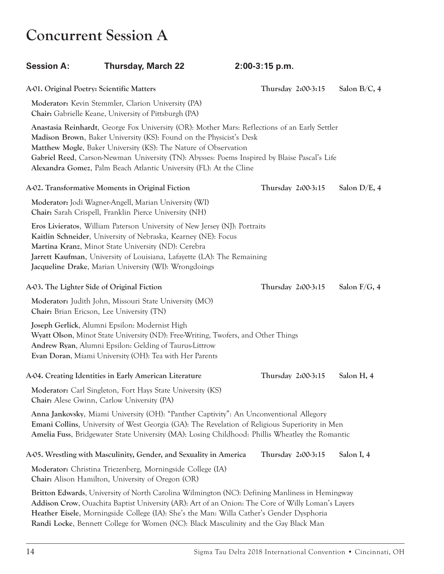### **Concurrent Session A**

| <b>Session A:</b> | <b>Thursday, March 22</b>                                                                                                                                                                                                                                                                                                                                                                                     | 2:00-3:15 p.m.     |                 |
|-------------------|---------------------------------------------------------------------------------------------------------------------------------------------------------------------------------------------------------------------------------------------------------------------------------------------------------------------------------------------------------------------------------------------------------------|--------------------|-----------------|
|                   | A-01. Original Poetry: Scientific Matters                                                                                                                                                                                                                                                                                                                                                                     | Thursday 2:00-3:15 | Salon B/C, 4    |
|                   | Moderator: Kevin Stemmler, Clarion University (PA)<br>Chair: Gabrielle Keane, University of Pittsburgh (PA)                                                                                                                                                                                                                                                                                                   |                    |                 |
|                   | Anastasia Reinhardt, George Fox University (OR): Mother Mars: Reflections of an Early Settler<br>Madison Brown, Baker University (KS): Found on the Physicist's Desk<br>Matthew Mogle, Baker University (KS): The Nature of Observation<br>Gabriel Reed, Carson-Newman University (TN): Abysses: Poems Inspired by Blaise Pascal's Life<br>Alexandra Gomez, Palm Beach Atlantic University (FL): At the Cline |                    |                 |
|                   | A-02. Transformative Moments in Original Fiction                                                                                                                                                                                                                                                                                                                                                              | Thursday 2:00-3:15 | Salon D/E, 4    |
|                   | Moderator: Jodi Wagner-Angell, Marian University (WI)<br>Chair: Sarah Crispell, Franklin Pierce University (NH)                                                                                                                                                                                                                                                                                               |                    |                 |
|                   | Eros Livieratos, William Paterson University of New Jersey (NJ): Portraits<br>Kaitlin Schneider, University of Nebraska, Kearney (NE): Focus<br>Martina Kranz, Minot State University (ND): Cerebra<br>Jarrett Kaufman, University of Louisiana, Lafayette (LA): The Remaining<br>Jacqueline Drake, Marian University (WI): Wrongdoings                                                                       |                    |                 |
|                   | A-03. The Lighter Side of Original Fiction                                                                                                                                                                                                                                                                                                                                                                    | Thursday 2:00-3:15 | Salon $F/G$ , 4 |
|                   | Moderator: Judith John, Missouri State University (MO)<br>Chair: Brian Ericson, Lee University (TN)                                                                                                                                                                                                                                                                                                           |                    |                 |
|                   | Joseph Gerlick, Alumni Epsilon: Modernist High<br>Wyatt Olson, Minot State University (ND): Free-Writing, Twofers, and Other Things<br>Andrew Ryan, Alumni Epsilon: Gelding of Taurus-Littrow<br>Evan Doran, Miami University (OH): Tea with Her Parents                                                                                                                                                      |                    |                 |
|                   | A-04. Creating Identities in Early American Literature                                                                                                                                                                                                                                                                                                                                                        | Thursday 2:00-3:15 | Salon H, 4      |
|                   | Moderator: Carl Singleton, Fort Hays State University (KS)<br>Chair: Alese Gwinn, Carlow University (PA)                                                                                                                                                                                                                                                                                                      |                    |                 |
|                   | Anna Jankovsky, Miami University (OH): "Panther Captivity": An Unconventional Allegory<br><b>Emani Collins, University of West Georgia (GA): The Revelation of Religious Superiority in Men</b><br>Amelia Fuss, Bridgewater State University (MA): Losing Childhood: Phillis Wheatley the Romantic                                                                                                            |                    |                 |
|                   | A-05. Wrestling with Masculinity, Gender, and Sexuality in America                                                                                                                                                                                                                                                                                                                                            | Thursday 2:00-3:15 | Salon I, 4      |
|                   | Moderator: Christina Triezenberg, Morningside College (IA)<br><b>Chair:</b> Alison Hamilton, University of Oregon (OR)                                                                                                                                                                                                                                                                                        |                    |                 |
|                   | Britton Edwards, University of North Carolina Wilmington (NC): Defining Manliness in Hemingway<br>Addison Crow, Ouachita Baptist University (AR): Art of an Onion: The Core of Willy Loman's Layers<br>Heather Eisele, Morningside College (IA): She's the Man: Willa Cather's Gender Dysphoria<br>Randi Locke, Bennett College for Women (NC): Black Masculinity and the Gay Black Man                       |                    |                 |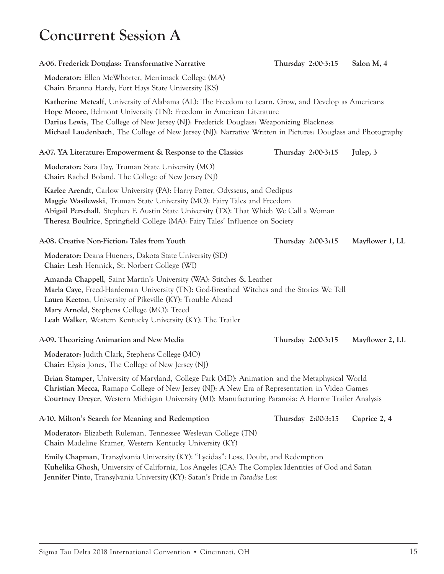### **Concurrent Session A**

| A-06. Frederick Douglass: Transformative Narrative                                                                                                                                                                                                                                                                                                                                   | Thursday 2:00-3:15 | Salon M, 4      |
|--------------------------------------------------------------------------------------------------------------------------------------------------------------------------------------------------------------------------------------------------------------------------------------------------------------------------------------------------------------------------------------|--------------------|-----------------|
| Moderator: Ellen McWhorter, Merrimack College (MA)<br>Chair: Brianna Hardy, Fort Hays State University (KS)                                                                                                                                                                                                                                                                          |                    |                 |
| Katherine Metcalf, University of Alabama (AL): The Freedom to Learn, Grow, and Develop as Americans<br>Hope Moore, Belmont University (TN): Freedom in American Literature<br>Darius Lewis, The College of New Jersey (NJ): Frederick Douglass: Weaponizing Blackness<br>Michael Laudenbach, The College of New Jersey (NJ): Narrative Written in Pictures: Douglass and Photography |                    |                 |
| A-07. YA Literature: Empowerment & Response to the Classics                                                                                                                                                                                                                                                                                                                          | Thursday 2:00-3:15 | Julep, 3        |
| Moderator: Sara Day, Truman State University (MO)<br><b>Chair:</b> Rachel Boland, The College of New Jersey (NJ)                                                                                                                                                                                                                                                                     |                    |                 |
| Karlee Arendt, Carlow University (PA): Harry Potter, Odysseus, and Oedipus<br>Maggie Wasilewski, Truman State University (MO): Fairy Tales and Freedom<br>Abigail Perschall, Stephen F. Austin State University (TX): That Which We Call a Woman<br>Theresa Boulrice, Springfield College (MA): Fairy Tales' Influence on Society                                                    |                    |                 |
| A-08. Creative Non-Fiction: Tales from Youth                                                                                                                                                                                                                                                                                                                                         | Thursday 2:00-3:15 | Mayflower 1, LL |
| Moderator: Deana Hueners, Dakota State University (SD)<br>Chair: Leah Hennick, St. Norbert College (WI)                                                                                                                                                                                                                                                                              |                    |                 |
| Amanda Chappell, Saint Martin's University (WA): Stitches & Leather<br>Marla Caye, Freed-Hardeman University (TN): God-Breathed Witches and the Stories We Tell<br>Laura Keeton, University of Pikeville (KY): Trouble Ahead<br>Mary Arnold, Stephens College (MO): Treed<br>Leah Walker, Western Kentucky University (KY): The Trailer                                              |                    |                 |
| A-09. Theorizing Animation and New Media                                                                                                                                                                                                                                                                                                                                             | Thursday 2:00-3:15 | Mayflower 2, LL |
| Moderator: Judith Clark, Stephens College (MO)<br>Chair: Elysia Jones, The College of New Jersey (NJ)                                                                                                                                                                                                                                                                                |                    |                 |
| Brian Stamper, University of Maryland, College Park (MD): Animation and the Metaphysical World<br>Christian Mecca, Ramapo College of New Jersey (NJ): A New Era of Representation in Video Games<br>Courtney Dreyer, Western Michigan University (MI): Manufacturing Paranoia: A Horror Trailer Analysis                                                                             |                    |                 |
| A-10. Milton's Search for Meaning and Redemption                                                                                                                                                                                                                                                                                                                                     | Thursday 2:00-3:15 | Caprice 2, 4    |
| Moderator: Elizabeth Ruleman, Tennessee Wesleyan College (TN)<br>Chair: Madeline Kramer, Western Kentucky University (KY)                                                                                                                                                                                                                                                            |                    |                 |
| Emily Chapman, Transylvania University (KY): "Lycidas": Loss, Doubt, and Redemption<br>Kuhelika Ghosh, University of California, Los Angeles (CA): The Complex Identities of God and Satan<br>Jennifer Pinto, Transylvania University (KY): Satan's Pride in Paradise Lost                                                                                                           |                    |                 |
|                                                                                                                                                                                                                                                                                                                                                                                      |                    |                 |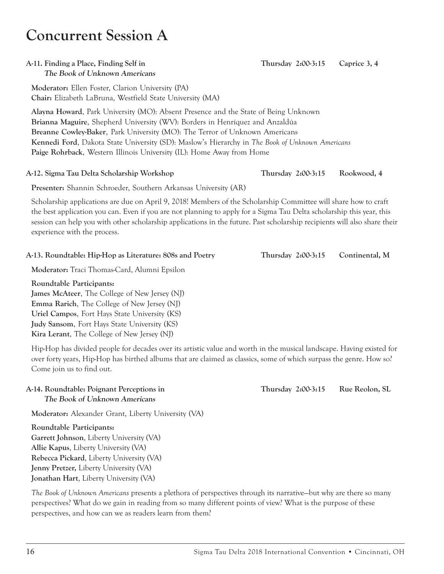#### 16 Sigma Tau Delta 2018 International Convention • Cincinnati, OH

### **Concurrent Session A**

### **A-11. Finding a Place, Finding Self in Thursday 2:00-3:15 Caprice 3, 4 The Book of Unknown Americans**

**Moderator:** Ellen Foster, Clarion University (PA) **Chair:** Elizabeth LaBruna, Westfield State University (MA)

**Alayna Howard**, Park University (MO): Absent Presence and the State of Being Unknown **Brianna Maguire**, Shepherd University (WV): Borders in Henríquez and Anzaldúa **Breanne Cowley-Baker**, Park University (MO): The Terror of Unknown Americans **Kennedi Ford**, Dakota State University (SD): Maslow's Hierarchy in *The Book of Unknown Americans* **Paige Rohrback**, Western Illinois University (IL): Home Away from Home

### **A-12. Sigma Tau Delta Scholarship Workshop Thursday 2:00-3:15 Rookwood, 4**

**Presenter:** Shannin Schroeder, Southern Arkansas University (AR)

Scholarship applications are due on April 9, 2018! Members of the Scholarship Committee will share how to craft the best application you can. Even if you are not planning to apply for a Sigma Tau Delta scholarship this year, this session can help you with other scholarship applications in the future. Past scholarship recipients will also share their experience with the process.

### **A-13. Roundtable: Hip-Hop as Literature: 808s and Poetry Thursday 2:00-3:15 Continental, M**

**Moderator:** Traci Thomas-Card, Alumni Epsilon

**Roundtable Participants:**

**James McAteer**, The College of New Jersey (NJ) **Emma Rarich**, The College of New Jersey (NJ) **Uriel Campos**, Fort Hays State University (KS) **Judy Sansom**, Fort Hays State University (KS) **Kira Lerant**, The College of New Jersey (NJ)

Hip-Hop has divided people for decades over its artistic value and worth in the musical landscape. Having existed for over forty years, Hip-Hop has birthed albums that are claimed as classics, some of which surpass the genre. How so? Come join us to find out.

### **A-14. Roundtable: Poignant Perceptions in Thursday 2:00-3:15 Rue Reolon, SL The Book of Unknown Americans**

**Moderator:** Alexander Grant, Liberty University (VA)

**Roundtable Participants: Garrett Johnson**, Liberty University (VA) **Allie Kapus**, Liberty University (VA) **Rebecca Pickard**, Liberty University (VA) **Jenny Pretzer,** Liberty University (VA) **Jonathan Hart**, Liberty University (VA)

*The Book of Unknown Americans* presents a plethora of perspectives through its narrative—but why are there so many perspectives? What do we gain in reading from so many different points of view? What is the purpose of these perspectives, and how can we as readers learn from them?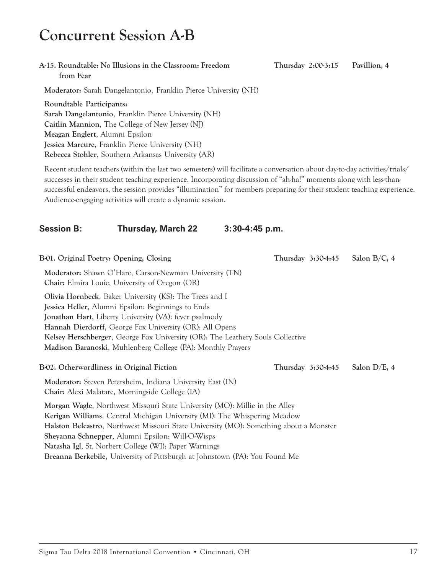### **Concurrent Session A-B**

#### **A-15. Roundtable: No Illusions in the Classroom: Freedom Thursday 2:00-3:15 Pavillion, 4 from Fear**

**Moderator:** Sarah Dangelantonio, Franklin Pierce University (NH)

**Roundtable Participants: Sarah Dangelantonio**, Franklin Pierce University (NH) **Caitlin Mannion**, The College of New Jersey (NJ) **Meagan Englert**, Alumni Epsilon **Jessica Marcure**, Franklin Pierce University (NH) **Rebecca Stohler**, Southern Arkansas University (AR)

Recent student teachers (within the last two semesters) will facilitate a conversation about day-to-day activities/trials/ successes in their student teaching experience. Incorporating discussion of "ah-ha!" moments along with less-thansuccessful endeavors, the session provides "illumination" for members preparing for their student teaching experience. Audience-engaging activities will create a dynamic session.

### **Session B: Thursday, March 22 3:30-4:45 p.m.**

**B-01. Original Poetry: Opening, Closing Thursday 3:30-4:45 Salon B/C, 4 Moderator:** Shawn O'Hare, Carson-Newman University (TN) **Chair:** Elmira Louie, University of Oregon (OR) **Olivia Hornbeck**, Baker University (KS): The Trees and I **Jessica Heller**, Alumni Epsilon: Beginnings to Ends **Jonathan Hart**, Liberty University (VA): fever psalmody **Hannah Dierdorff**, George Fox University (OR): All Opens **Kelsey Herschberger**, George Fox University (OR): The Leathery Souls Collective **Madison Baranoski**, Muhlenberg College (PA): Monthly Prayers **B-02. Otherwordliness in Original Fiction Thursday 3:30-4:45 Salon D/E, 4 Moderator:** Steven Petersheim, Indiana University East (IN) **Chair:** Alexi Malatare, Morningside College (IA) **Morgan Wagle**, Northwest Missouri State University (MO): Millie in the Alley **Kerigan Williams**, Central Michigan University (MI): The Whispering Meadow **Halston Belcastro**, Northwest Missouri State University (MO): Something about a Monster **Sheyanna Schnepper**, Alumni Epsilon: Will-O-Wisps **Natasha Igl**, St. Norbert College (WI): Paper Warnings **Breanna Berkebile**, University of Pittsburgh at Johnstown (PA): You Found Me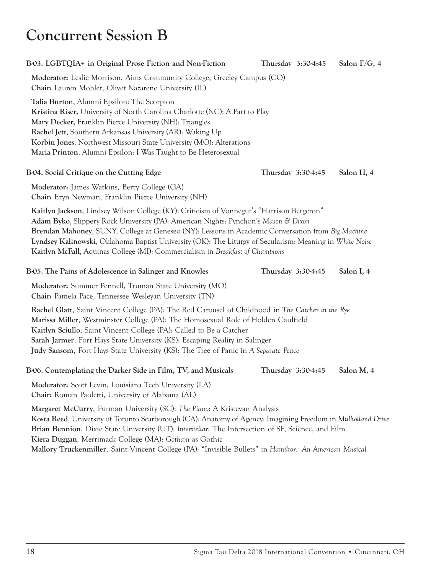### **Concurrent Session B**

| B-03. LGBTQIA+ in Original Prose Fiction and Non-Fiction                                                                                                                                                                                                                                                                                                                                                                                                                         |                    | Thursday 3:30-4:45 | Salon $F/G$ , 4 |
|----------------------------------------------------------------------------------------------------------------------------------------------------------------------------------------------------------------------------------------------------------------------------------------------------------------------------------------------------------------------------------------------------------------------------------------------------------------------------------|--------------------|--------------------|-----------------|
| Moderator: Leslie Morrison, Aims Community College, Greeley Campus (CO)<br>Chair: Lauren Mohler, Olivet Nazarene University (IL)                                                                                                                                                                                                                                                                                                                                                 |                    |                    |                 |
| Talia Burton, Alumni Epsilon: The Scorpion<br>Kristina Riser, University of North Carolina Charlotte (NC): A Part to Play<br>Mary Decker, Franklin Pierce University (NH): Triangles<br>Rachel Jett, Southern Arkansas University (AR): Waking Up<br>Korbin Jones, Northwest Missouri State University (MO): Alterations<br>Maria Printon, Alumni Epsilon: I Was Taught to Be Heterosexual                                                                                       |                    |                    |                 |
| B-04. Social Critique on the Cutting Edge                                                                                                                                                                                                                                                                                                                                                                                                                                        | Thursday 3:30-4:45 |                    | Salon H, 4      |
| Moderator: James Watkins, Berry College (GA)<br>Chair: Eryn Newman, Franklin Pierce University (NH)                                                                                                                                                                                                                                                                                                                                                                              |                    |                    |                 |
| Kaitlyn Jackson, Lindsey Wilson College (KY): Criticism of Vonnegut's "Harrison Bergeron"<br>Adam Byko, Slippery Rock University (PA): American Nights: Pynchon's Mason & Dixon<br>Brendan Mahoney, SUNY, College at Geneseo (NY): Lessons in Academic Conversation from Big Machine<br>Lyndsey Kalinowski, Oklahoma Baptist University (OK): The Liturgy of Secularism: Meaning in White Noise<br>Kaitlyn McFall, Aquinas College (MI): Commercialism in Breakfast of Champions |                    |                    |                 |
| B-05. The Pains of Adolescence in Salinger and Knowles                                                                                                                                                                                                                                                                                                                                                                                                                           | Thursday 3:30-4:45 |                    | Salon I, 4      |
| Moderator: Summer Pennell, Truman State University (MO)<br>Chair: Pamela Pace, Tennessee Wesleyan University (TN)                                                                                                                                                                                                                                                                                                                                                                |                    |                    |                 |
| Rachel Glatt, Saint Vincent College (PA): The Red Carousel of Childhood in The Catcher in the Rye<br>Marissa Miller, Westminster College (PA): The Homosexual Role of Holden Caulfield<br>Kaitlyn Sciullo, Saint Vincent College (PA): Called to Be a Catcher<br>Sarah Jarmer, Fort Hays State University (KS): Escaping Reality in Salinger<br>Judy Sansom, Fort Hays State University (KS): The Tree of Panic in A Separate Peace                                              |                    |                    |                 |
| B-06. Contemplating the Darker Side in Film, TV, and Musicals                                                                                                                                                                                                                                                                                                                                                                                                                    | Thursday 3:30-4:45 |                    | Salon M, 4      |
| Moderator: Scott Levin, Louisiana Tech University (LA)<br>Chair: Roman Paoletti, University of Alabama (AL)                                                                                                                                                                                                                                                                                                                                                                      |                    |                    |                 |
| Margaret McCurry, Furman University (SC): The Piano: A Kristevan Analysis<br>Kosta Reed, University of Toronto Scarborough (CA): Anatomy of Agency: Imagining Freedom in Mulholland Drive<br>Brian Bennion, Dixie State University (UT): Interstellar: The Intersection of SF, Science, and Film<br>Kiera Duggan, Merrimack College (MA): Gotham as Gothic<br>Mallory Truckenmiller, Saint Vincent College (PA): "Invisible Bullets" in Hamilton: An American Musical            |                    |                    |                 |
|                                                                                                                                                                                                                                                                                                                                                                                                                                                                                  |                    |                    |                 |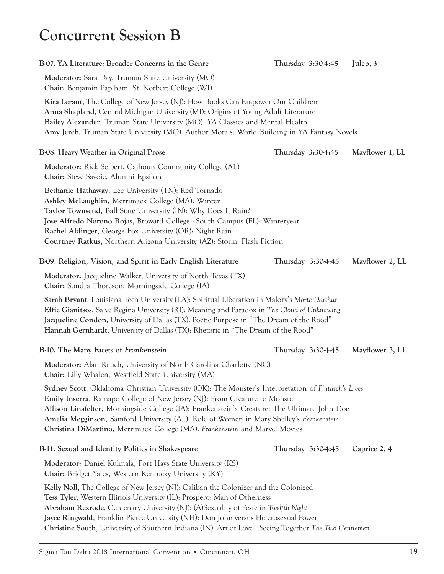### **Concurrent Session B**

| B-07. YA Literature: Broader Concerns in the Genre                                                                                                                                                                                                                                                                                                                                                                                                         | Thursday 3:30-4:45 | Julep, 3        |
|------------------------------------------------------------------------------------------------------------------------------------------------------------------------------------------------------------------------------------------------------------------------------------------------------------------------------------------------------------------------------------------------------------------------------------------------------------|--------------------|-----------------|
| Moderator: Sara Day, Truman State University (MO)<br>Chair: Benjamin Paplham, St. Norbert College (WI)                                                                                                                                                                                                                                                                                                                                                     |                    |                 |
| Kira Lerant, The College of New Jersey (NJ): How Books Can Empower Our Children<br>Anna Shapland, Central Michigan University (MI): Origins of Young Adult Literature<br>Bailey Alexander, Truman State University (MO): YA Classics and Mental Health<br>Amy Jereb, Truman State University (MO): Author Morals: World Building in YA Fantasy Novels                                                                                                      |                    |                 |
| B-08. Heavy Weather in Original Prose                                                                                                                                                                                                                                                                                                                                                                                                                      | Thursday 3:30-4:45 | Mayflower 1, LL |
| Moderator: Rick Seibert, Calhoun Community College (AL)<br>Chair: Steve Savoie, Alumni Epsilon                                                                                                                                                                                                                                                                                                                                                             |                    |                 |
| Bethanie Hathaway, Lee University (TN): Red Tornado<br>Ashley McLaughlin, Merrimack College (MA): Winter<br>Taylor Townsend, Ball State University (IN): Why Does It Rain?<br>Jose Alfredo Norono Rojas, Broward College - South Campus (FL): Winteryear<br>Rachel Aldinger, George Fox University (OR): Night Rain<br>Courtney Ratkus, Northern Arizona University (AZ): Storm: Flash Fiction                                                             |                    |                 |
| B-09. Religion, Vision, and Spirit in Early English Literature                                                                                                                                                                                                                                                                                                                                                                                             | Thursday 3:30-4:45 | Mayflower 2, LL |
| Moderator: Jacqueline Walker, University of North Texas (TX)<br>Chair: Sondra Thoreson, Morningside College (IA)                                                                                                                                                                                                                                                                                                                                           |                    |                 |
| Sarah Bryant, Louisiana Tech University (LA): Spiritual Liberation in Malory's Morte Darthur<br><b>Effie Gianitsos</b> , Salve Regina University (RI): Meaning and Paradox in The Cloud of Unknowing<br>Jacqueline Condon, University of Dallas (TX): Poetic Purpose in "The Dream of the Rood"<br>Hannah Gernhardt, University of Dallas (TX): Rhetoric in "The Dream of the Rood"                                                                        |                    |                 |
| B-10. The Many Facets of Frankenstein                                                                                                                                                                                                                                                                                                                                                                                                                      | Thursday 3:30-4:45 | Mayflower 3, LL |
| Moderator: Alan Rauch, University of North Carolina Charlotte (NC)<br>Chair: Lilly Whalen, Westfield State University (MA)                                                                                                                                                                                                                                                                                                                                 |                    |                 |
| Sydney Scott, Oklahoma Christian University (OK): The Monster's Interpretation of Plutarch's Lives<br>Emily Inserra, Ramapo College of New Jersey (NJ): From Creature to Monster<br>Allison Linafelter, Morningside College (IA): Frankenstein's Creature: The Ultimate John Doe<br>Amelia Megginson, Samford University (AL): Role of Women in Mary Shelley's Frankenstein<br>Christina DiMartino, Merrimack College (MA): Frankenstein and Marvel Movies |                    |                 |
| B-11. Sexual and Identity Politics in Shakespeare                                                                                                                                                                                                                                                                                                                                                                                                          | Thursday 3:30-4:45 | Caprice 2, 4    |
| Moderator: Daniel Kulmala, Fort Hays State University (KS)<br>Chair: Bridget Yates, Western Kentucky University (KY)                                                                                                                                                                                                                                                                                                                                       |                    |                 |
| Kelly Noll, The College of New Jersey (NJ): Caliban the Colonizer and the Colonized<br>Tess Tyler, Western Illinois University (IL): Prospero: Man of Otherness<br>Abraham Rexrode, Centenary University (NJ): (A)Sexuality of Feste in Twelfth Night<br>Jayce Ringwald, Franklin Pierce University (NH): Don John versus Heterosexual Power<br>Christine South, University of Southern Indiana (IN): Art of Love: Piecing Together The Two Gentlemen      |                    |                 |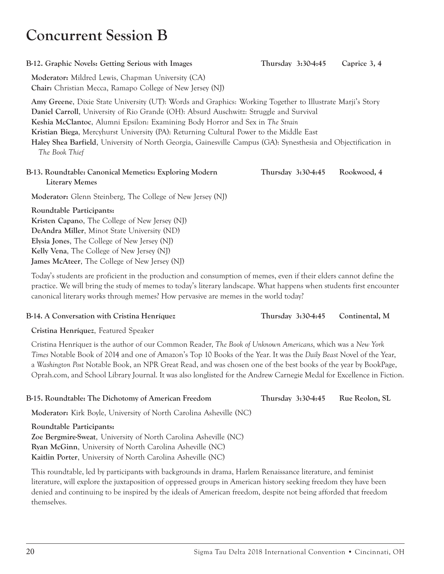### **Concurrent Session B**

#### **B-12. Graphic Novels: Getting Serious with Images Thursday 3:30-4:45 Caprice 3, 4**

**Moderator:** Mildred Lewis, Chapman University (CA) **Chair:** Christian Mecca, Ramapo College of New Jersey (NJ)

**Amy Greene**, Dixie State University (UT): Words and Graphics: Working Together to Illustrate Marji's Story **Daniel Carroll**, University of Rio Grande (OH): Absurd Auschwitz: Struggle and Survival **Keshia McClantoc**, Alumni Epsilon: Examining Body Horror and Sex in *The Strain* **Kristian Biega**, Mercyhurst University (PA): Returning Cultural Power to the Middle East **Haley Shea Barfield**, University of North Georgia, Gainesville Campus (GA): Synesthesia and Objectification in *The Book Thief*

#### **B-13. Roundtable: Canonical Memetics: Exploring Modern Thursday 3:30-4:45 Rookwood, 4 Literary Memes**

**Moderator:** Glenn Steinberg, The College of New Jersey (NJ)

**Roundtable Participants: Kristen Capano**, The College of New Jersey (NJ) **DeAndra Miller**, Minot State University (ND) **Elysia Jones**, The College of New Jersey (NJ) **Kelly Vena**, The College of New Jersey (NJ) **James McAteer**, The College of New Jersey (NJ)

Today's students are proficient in the production and consumption of memes, even if their elders cannot define the practice. We will bring the study of memes to today's literary landscape. What happens when students first encounter canonical literary works through memes? How pervasive are memes in the world today?

#### **B-14. A Conversation with Cristina Henríquez Thursday 3:30-4:45 Continental, M**

**Cristina Henríquez**, Featured Speaker

Cristina Henríquez is the author of our Common Reader, *The Book of Unknown Americans*, which was a *New York Times* Notable Book of 2014 and one of Amazon's Top 10 Books of the Year. It was the *Daily Beast* Novel of the Year, a *Washington Post* Notable Book, an NPR Great Read, and was chosen one of the best books of the year by BookPage, Oprah.com, and School Library Journal. It was also longlisted for the Andrew Carnegie Medal for Excellence in Fiction.

**Moderator:** Kirk Boyle, University of North Carolina Asheville (NC) **Roundtable Participants: Zoe Bergmire-Sweat**, University of North Carolina Asheville (NC) **Ryan McGinn**, University of North Carolina Asheville (NC) **Kaitlin Porter**, University of North Carolina Asheville (NC) This roundtable, led by participants with backgrounds in drama, Harlem Renaissance literature, and feminist literature, will explore the juxtaposition of oppressed groups in American history seeking freedom they have been

**B-15. Roundtable: The Dichotomy of American Freedom Thursday 3:30-4:45 Rue Reolon, SL** 

denied and continuing to be inspired by the ideals of American freedom, despite not being afforded that freedom themselves.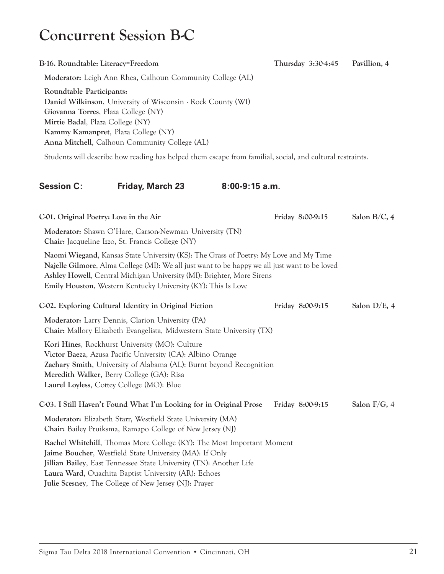# **Concurrent Session B-C**

| B-16. Roundtable: Literacy=Freedom                           |                                                                                                                                                                                                                                                                                                                                          |                | Thursday 3:30-4:45 | Pavillion, 4    |
|--------------------------------------------------------------|------------------------------------------------------------------------------------------------------------------------------------------------------------------------------------------------------------------------------------------------------------------------------------------------------------------------------------------|----------------|--------------------|-----------------|
|                                                              | Moderator: Leigh Ann Rhea, Calhoun Community College (AL)                                                                                                                                                                                                                                                                                |                |                    |                 |
| Roundtable Participants:<br>Mirtie Badal, Plaza College (NY) | Daniel Wilkinson, University of Wisconsin - Rock County (WI)<br>Giovanna Torres, Plaza College (NY)<br>Kammy Kamanpret, Plaza College (NY)<br>Anna Mitchell, Calhoun Community College (AL)                                                                                                                                              |                |                    |                 |
|                                                              | Students will describe how reading has helped them escape from familial, social, and cultural restraints.                                                                                                                                                                                                                                |                |                    |                 |
| <b>Session C:</b>                                            | Friday, March 23                                                                                                                                                                                                                                                                                                                         | 8:00-9:15 a.m. |                    |                 |
| C-01. Original Poetry: Love in the Air                       |                                                                                                                                                                                                                                                                                                                                          |                | Friday 8:00-9:15   | Salon B/C, 4    |
|                                                              | Moderator: Shawn O'Hare, Carson-Newman University (TN)<br>Chair: Jacqueline Izzo, St. Francis College (NY)                                                                                                                                                                                                                               |                |                    |                 |
|                                                              | Naomi Wiegand, Kansas State University (KS): The Grass of Poetry: My Love and My Time<br>Najelle Gilmore, Alma College (MI): We all just want to be happy we all just want to be loved<br>Ashley Howell, Central Michigan University (MI): Brighter, More Sirens<br><b>Emily Houston, Western Kentucky University (KY): This Is Love</b> |                |                    |                 |
|                                                              | C-02. Exploring Cultural Identity in Original Fiction                                                                                                                                                                                                                                                                                    |                | Friday 8:00-9:15   | Salon D/E, 4    |
|                                                              | Moderator: Larry Dennis, Clarion University (PA)<br>Chair: Mallory Elizabeth Evangelista, Midwestern State University (TX)                                                                                                                                                                                                               |                |                    |                 |
|                                                              | Kori Hines, Rockhurst University (MO): Culture<br>Victor Baeza, Azusa Pacific University (CA): Albino Orange<br>Zachary Smith, University of Alabama (AL): Burnt beyond Recognition<br>Meredith Walker, Berry College (GA): Risa<br>Laurel Loyless, Cottey College (MO): Blue                                                            |                |                    |                 |
|                                                              | C03. I Still Haven't Found What I'm Looking for in Original Prose                                                                                                                                                                                                                                                                        |                | Friday 8:00-9:15   | Salon $F/G$ , 4 |
|                                                              | Moderator: Elizabeth Starr, Westfield State University (MA)<br><b>Chair:</b> Bailey Pruiksma, Ramapo College of New Jersey (NJ)                                                                                                                                                                                                          |                |                    |                 |
|                                                              | Rachel Whitehill, Thomas More College (KY): The Most Important Moment<br>Jaime Boucher, Westfield State University (MA): If Only<br>Jillian Bailey, East Tennessee State University (TN): Another Life<br>Laura Ward, Ouachita Baptist University (AR): Echoes<br>Julie Scesney, The College of New Jersey (NJ): Prayer                  |                |                    |                 |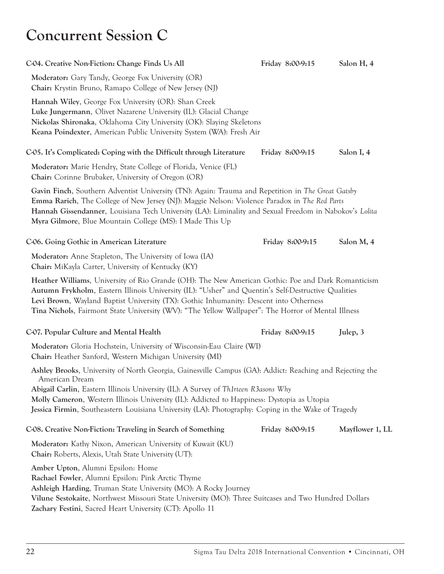### **Concurrent Session C**

| C-04. Creative Non-Fiction: Change Finds Us All                                                                                                                                                                                                                                                                                                                                                           | Friday 8:00-9:15 | Salon H, 4      |
|-----------------------------------------------------------------------------------------------------------------------------------------------------------------------------------------------------------------------------------------------------------------------------------------------------------------------------------------------------------------------------------------------------------|------------------|-----------------|
| Moderator: Gary Tandy, George Fox University (OR)<br>Chair: Krystin Bruno, Ramapo College of New Jersey (NJ)                                                                                                                                                                                                                                                                                              |                  |                 |
| Hannah Wiley, George Fox University (OR): Shan Creek<br>Luke Jungermann, Olivet Nazarene University (IL): Glacial Change<br>Nickolas Shironaka, Oklahoma City University (OK): Slaying Skeletons<br>Keana Poindexter, American Public University System (WA): Fresh Air                                                                                                                                   |                  |                 |
| C05. It's Complicated: Coping with the Difficult through Literature                                                                                                                                                                                                                                                                                                                                       | Friday 8:00-9:15 | Salon I, 4      |
| Moderator: Marie Hendry, State College of Florida, Venice (FL)<br>Chair: Corinne Brubaker, University of Oregon (OR)                                                                                                                                                                                                                                                                                      |                  |                 |
| Gavin Finch, Southern Adventist University (TN): Again: Trauma and Repetition in The Great Gatsby<br><b>Emma Rarich</b> , The College of New Jersey (NJ): Maggie Nelson: Violence Paradox in The Red Parts<br>Hannah Gissendanner, Louisiana Tech University (LA): Liminality and Sexual Freedom in Nabokov's Lolita<br>Myra Gilmore, Blue Mountain College (MS): I Made This Up                          |                  |                 |
| C-06. Going Gothic in American Literature                                                                                                                                                                                                                                                                                                                                                                 | Friday 8:00-9:15 | Salon M, 4      |
| Moderator: Anne Stapleton, The University of Iowa (IA)<br>Chair: MiKayla Carter, University of Kentucky (KY)                                                                                                                                                                                                                                                                                              |                  |                 |
| Heather Williams, University of Rio Grande (OH): The New American Gothic: Poe and Dark Romanticism<br>Autumn Frykholm, Eastern Illinois University (IL): "Usher" and Quentin's Self-Destructive Qualities<br>Levi Brown, Wayland Baptist University (TX): Gothic Inhumanity: Descent into Otherness<br>Tina Nichols, Fairmont State University (WV): "The Yellow Wallpaper": The Horror of Mental Illness |                  |                 |
| C-07. Popular Culture and Mental Health                                                                                                                                                                                                                                                                                                                                                                   | Friday 8:00-9:15 | Julep, 3        |
| Moderator: Gloria Hochstein, University of Wisconsin-Eau Claire (WI)<br>Chair: Heather Sanford, Western Michigan University (MI)                                                                                                                                                                                                                                                                          |                  |                 |
| Ashley Brooks, University of North Georgia, Gainesville Campus (GA): Addict: Reaching and Rejecting the                                                                                                                                                                                                                                                                                                   |                  |                 |
| American Dream<br>Abigail Carlin, Eastern Illinois University (IL): A Survey of Th1rteen R3asons Why<br>Molly Cameron, Western Illinois University (IL): Addicted to Happiness: Dystopia as Utopia<br>Jessica Firmin, Southeastern Louisiana University (LA): Photography: Coping in the Wake of Tragedy                                                                                                  |                  |                 |
| C-08. Creative Non-Fiction: Traveling in Search of Something                                                                                                                                                                                                                                                                                                                                              | Friday 8:00-9:15 | Mayflower 1, LL |
| Moderator: Kathy Nixon, American University of Kuwait (KU)<br>Chair: Roberts, Alexis, Utah State University (UT):                                                                                                                                                                                                                                                                                         |                  |                 |
| Amber Upton, Alumni Epsilon: Home<br>Rachael Fowler, Alumni Epsilon: Pink Arctic Thyme<br>Ashleigh Harding, Truman State University (MO): A Rocky Journey<br>Vilune Sestokaite, Northwest Missouri State University (MO): Three Suitcases and Two Hundred Dollars<br>Zachary Festini, Sacred Heart University (CT): Apollo 11                                                                             |                  |                 |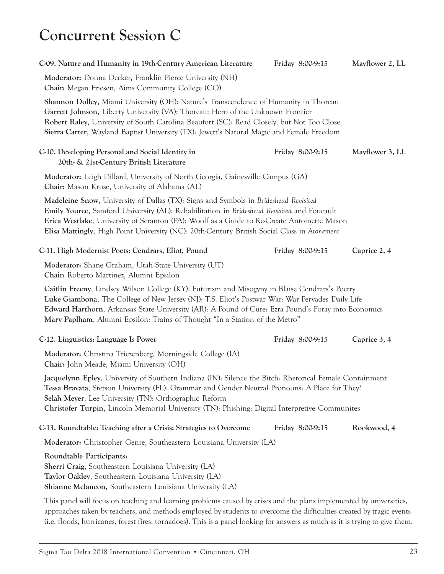### **Concurrent Session C**

| C09. Nature and Humanity in 19th-Century American Literature                                                                                                                                                                                                                                                                                                                             | Friday 8:00-9:15 | Mayflower 2, LL |
|------------------------------------------------------------------------------------------------------------------------------------------------------------------------------------------------------------------------------------------------------------------------------------------------------------------------------------------------------------------------------------------|------------------|-----------------|
| Moderator: Donna Decker, Franklin Pierce University (NH)<br>Chair: Megan Friesen, Aims Community College (CO)                                                                                                                                                                                                                                                                            |                  |                 |
| Shannon Dolley, Miami University (OH): Nature's Transcendence of Humanity in Thoreau<br>Garrett Johnson, Liberty University (VA): Thoreau: Hero of the Unknown Frontier<br>Robert Raley, University of South Carolina Beaufort (SC): Read Closely, but Not Too Close<br>Sierra Carter, Wayland Baptist University (TX): Jewett's Natural Magic and Female Freedom                        |                  |                 |
| C-10. Developing Personal and Social Identity in<br>20th- & 21st-Century British Literature                                                                                                                                                                                                                                                                                              | Friday 8:00-9:15 | Mayflower 3, LL |
| Moderator: Leigh Dillard, University of North Georgia, Gainesville Campus (GA)<br>Chair: Mason Kruse, University of Alabama (AL)                                                                                                                                                                                                                                                         |                  |                 |
| Madeleine Snow, University of Dallas (TX): Signs and Symbols in Brideshead Revisited<br>Emily Youree, Samford University (AL): Rehabilitation in Brideshead Revisited and Foucault<br>Erica Westlake, University of Scranton (PA): Woolf as a Guide to Re-Create Antoinette Mason<br>Elisa Mattingly, High Point University (NC): 20th-Century British Social Class in Atonement         |                  |                 |
| C-11. High Modernist Poets: Cendrars, Eliot, Pound                                                                                                                                                                                                                                                                                                                                       | Friday 8:00-9:15 | Caprice 2, 4    |
| Moderator: Shane Graham, Utah State University (UT)<br>Chair: Roberto Martinez, Alumni Epsilon                                                                                                                                                                                                                                                                                           |                  |                 |
| Caitlin Freeny, Lindsey Wilson College (KY): Futurism and Misogyny in Blaise Cendrars's Poetry<br>Luke Giambona, The College of New Jersey (NJ): T.S. Eliot's Postwar War: War Pervades Daily Life<br>Edward Harthorn, Arkansas State University (AR): A Pound of Cure: Ezra Pound's Foray into Economics<br>Mary Paplham, Alumni Epsilon: Trains of Thought "In a Station of the Metro" |                  |                 |
| C-12. Linguistics: Language Is Power                                                                                                                                                                                                                                                                                                                                                     | Friday 8:00-9:15 | Caprice 3, 4    |
| Moderator: Christina Triezenberg, Morningside College (IA)<br>Chair: John Meade, Miami University (OH)                                                                                                                                                                                                                                                                                   |                  |                 |
| Jacquelynn Epley, University of Southern Indiana (IN): Silence the Bitch: Rhetorical Female Containment<br>Tessa Bravata, Stetson University (FL): Grammar and Gender Neutral Pronouns: A Place for They?<br>Selah Meyer, Lee University (TN): Orthographic Reform<br>Christofer Turpin, Lincoln Memorial University (TN): Phishing; Digital Interpretive Communites                     |                  |                 |
| C-13. Roundtable: Teaching after a Crisis: Strategies to Overcome                                                                                                                                                                                                                                                                                                                        | Friday 8:00-9:15 | Rookwood, 4     |
| Moderator: Christopher Genre, Southeastern Louisiana University (LA)                                                                                                                                                                                                                                                                                                                     |                  |                 |
| Roundtable Participants:<br>Sherri Craig, Southeastern Louisiana University (LA)<br>Taylor Oakley, Southeastern Louisiana University (LA)<br>Shianne Melancon, Southeastern Louisiana University (LA)                                                                                                                                                                                    |                  |                 |
| This panel will focus on teaching and learning problems caused by crises and the plans implemented by universities,<br>approaches taken by teachers, and methods employed by students to overcome the difficulties created by tragic events                                                                                                                                              |                  |                 |

(i.e. floods, hurricanes, forest fires, tornadoes). This is a panel looking for answers as much as it is trying to give them.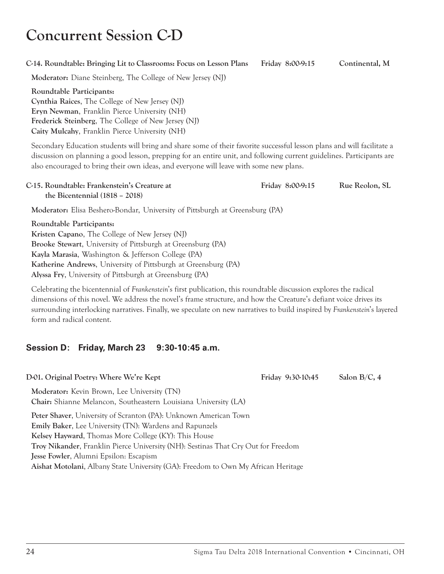# **Concurrent Session C-D**

#### **C-14. Roundtable: Bringing Lit to Classrooms: Focus on Lesson Plans Friday 8:00-9:15 Continental, M**

**Moderator:** Diane Steinberg, The College of New Jersey (NJ)

**Roundtable Participants: Cynthia Raices**, The College of New Jersey (NJ) **Eryn Newman**, Franklin Pierce University (NH) **Frederick Steinberg**, The College of New Jersey (NJ) **Caity Mulcahy**, Franklin Pierce University (NH)

Secondary Education students will bring and share some of their favorite successful lesson plans and will facilitate a discussion on planning a good lesson, prepping for an entire unit, and following current guidelines. Participants are also encouraged to bring their own ideas, and everyone will leave with some new plans.

| C-15. Roundtable: Frankenstein's Creature at | Friday 8:00-9:15 | Rue Reolon, SL |
|----------------------------------------------|------------------|----------------|
| the Bicentennial $(1818 - 2018)$             |                  |                |

**Moderator:** Elisa Beshero-Bondar, University of Pittsburgh at Greensburg (PA)

**Roundtable Participants: Kristen Capano**, The College of New Jersey (NJ) **Brooke Stewart**, University of Pittsburgh at Greensburg (PA) **Kayla Marasia**, Washington & Jefferson College (PA) **Katherine Andrews**, University of Pittsburgh at Greensburg (PA) **Alyssa Fry**, University of Pittsburgh at Greensburg (PA)

Celebrating the bicentennial of *Frankenstein*'s first publication, this roundtable discussion explores the radical dimensions of this novel. We address the novel's frame structure, and how the Creature's defiant voice drives its surrounding interlocking narratives. Finally, we speculate on new narratives to build inspired by *Frankenstein*'s layered form and radical content.

### **Session D: Friday, March 23 9:30-10:45 a.m.**

D-01. Original Poetry: Where We're Kept Friday 9:30-10:45 Salon B/C, 4 **Moderator:** Kevin Brown, Lee University (TN) **Chair:** Shianne Melancon, Southeastern Louisiana University (LA) **Peter Shaver**, University of Scranton (PA): Unknown American Town **Emily Baker**, Lee University (TN): Wardens and Rapunzels **Kelsey Hayward**, Thomas More College (KY): This House **Troy Nikander**, Franklin Pierce University (NH): Sestinas That Cry Out for Freedom **Jesse Fowler**, Alumni Epsilon: Escapism **Aishat Motolani**, Albany State University (GA): Freedom to Own My African Heritage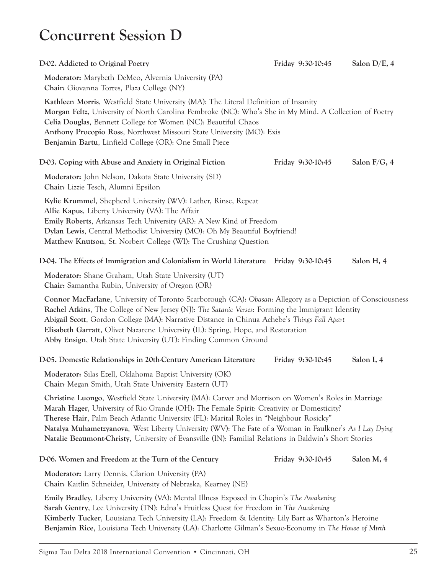### **Concurrent Session D**

| D-02. Addicted to Original Poetry                                                                                                                                                                                                                                                                                                                                                                                                                                                                               | Friday 9:30-10:45        | Salon D/E, 4    |
|-----------------------------------------------------------------------------------------------------------------------------------------------------------------------------------------------------------------------------------------------------------------------------------------------------------------------------------------------------------------------------------------------------------------------------------------------------------------------------------------------------------------|--------------------------|-----------------|
| Moderator: Marybeth DeMeo, Alvernia University (PA)<br>Chair: Giovanna Torres, Plaza College (NY)                                                                                                                                                                                                                                                                                                                                                                                                               |                          |                 |
| Kathleen Morris, Westfield State University (MA): The Literal Definition of Insanity<br>Morgan Feltz, University of North Carolina Pembroke (NC): Who's She in My Mind. A Collection of Poetry<br>Celia Douglas, Bennett College for Women (NC): Beautiful Chaos<br>Anthony Procopio Ross, Northwest Missouri State University (MO): Exis<br>Benjamin Bartu, Linfield College (OR): One Small Piece                                                                                                             |                          |                 |
| D-03. Coping with Abuse and Anxiety in Original Fiction                                                                                                                                                                                                                                                                                                                                                                                                                                                         | Friday 9:30-10:45        | Salon $F/G$ , 4 |
| Moderator: John Nelson, Dakota State University (SD)<br>Chair: Lizzie Tesch, Alumni Epsilon                                                                                                                                                                                                                                                                                                                                                                                                                     |                          |                 |
| Kylie Krummel, Shepherd University (WV): Lather, Rinse, Repeat<br>Allie Kapus, Liberty University (VA): The Affair<br><b>Emily Roberts, Arkansas Tech University (AR): A New Kind of Freedom</b><br>Dylan Lewis, Central Methodist University (MO): Oh My Beautiful Boyfriend!<br>Matthew Knutson, St. Norbert College (WI): The Crushing Question                                                                                                                                                              |                          |                 |
| D-04. The Effects of Immigration and Colonialism in World Literature                                                                                                                                                                                                                                                                                                                                                                                                                                            | <b>Friday 9:30-10:45</b> | Salon H, 4      |
| Moderator: Shane Graham, Utah State University (UT)<br>Chair: Samantha Rubin, University of Oregon (OR)                                                                                                                                                                                                                                                                                                                                                                                                         |                          |                 |
| Connor MacFarlane, University of Toronto Scarborough (CA): Obasan: Allegory as a Depiction of Consciousness<br>Rachel Atkins, The College of New Jersey (NJ): The Satanic Verses: Forming the Immigrant Identity<br>Abigail Scott, Gordon College (MA): Narrative Distance in Chinua Achebe's Things Fall Apart<br>Elisabeth Garratt, Olivet Nazarene University (IL): Spring, Hope, and Restoration<br>Abby Ensign, Utah State University (UT): Finding Common Ground                                          |                          |                 |
| D-05. Domestic Relationships in 20th-Century American Literature                                                                                                                                                                                                                                                                                                                                                                                                                                                | Friday 9:30-10:45        | Salon I, 4      |
| Moderator: Silas Ezell, Oklahoma Baptist University (OK)<br>Chair: Megan Smith, Utah State University Eastern (UT)                                                                                                                                                                                                                                                                                                                                                                                              |                          |                 |
| Christine Luongo, Westfield State University (MA): Carver and Morrison on Women's Roles in Marriage<br>Marah Hager, University of Rio Grande (OH): The Female Spirit: Creativity or Domesticity?<br>Therese Hair, Palm Beach Atlantic University (FL): Marital Roles in "Neighbour Rosicky"<br>Natalya Muhametzyanova, West Liberty University (WV): The Fate of a Woman in Faulkner's As I Lay Dying<br>Natalie Beaumont-Christy, University of Evansville (IN): Familial Relations in Baldwin's Short Stories |                          |                 |
| D-06. Women and Freedom at the Turn of the Century                                                                                                                                                                                                                                                                                                                                                                                                                                                              | Friday 9:30-10:45        | Salon M, 4      |
| Moderator: Larry Dennis, Clarion University (PA)<br>Chair: Kaitlin Schneider, University of Nebraska, Kearney (NE)                                                                                                                                                                                                                                                                                                                                                                                              |                          |                 |
| Emily Bradley, Liberty University (VA): Mental Illness Exposed in Chopin's The Awakening<br>Sarah Gentry, Lee University (TN): Edna's Fruitless Quest for Freedom in The Awakening<br>Kimberly Tucker, Louisiana Tech University (LA): Freedom & Identity: Lily Bart as Wharton's Heroine<br>Benjamin Rice, Louisiana Tech University (LA): Charlotte Gilman's Sexuo-Economy in The House of Mirth                                                                                                              |                          |                 |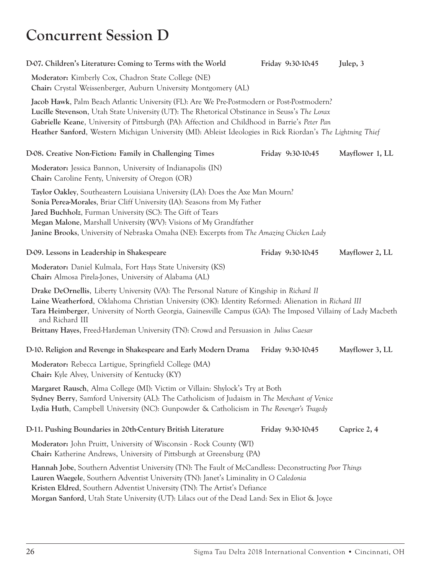# **Concurrent Session D**

| D-07. Children's Literature: Coming to Terms with the World                                                                                                                                                                                                                                                                                                                                                                | Friday 9:30-10:45 | Julep, 3        |
|----------------------------------------------------------------------------------------------------------------------------------------------------------------------------------------------------------------------------------------------------------------------------------------------------------------------------------------------------------------------------------------------------------------------------|-------------------|-----------------|
| Moderator: Kimberly Cox, Chadron State College (NE)<br>Chair: Crystal Weissenberger, Auburn University Montgomery (AL)                                                                                                                                                                                                                                                                                                     |                   |                 |
| Jacob Hawk, Palm Beach Atlantic University (FL): Are We Pre-Postmodern or Post-Postmodern?<br>Lucille Stevenson, Utah State University (UT): The Rhetorical Obstinance in Seuss's The Lorax<br>Gabrielle Keane, University of Pittsburgh (PA): Affection and Childhood in Barrie's Peter Pan<br>Heather Sanford, Western Michigan University (MI): Ableist Ideologies in Rick Riordan's The Lightning Thief                |                   |                 |
| D-08. Creative Non-Fiction: Family in Challenging Times                                                                                                                                                                                                                                                                                                                                                                    | Friday 9:30-10:45 | Mayflower 1, LL |
| Moderator: Jessica Bannon, University of Indianapolis (IN)<br>Chair: Caroline Fenty, University of Oregon (OR)                                                                                                                                                                                                                                                                                                             |                   |                 |
| Taylor Oakley, Southeastern Louisiana University (LA): Does the Axe Man Mourn?<br>Sonia Perea-Morales, Briar Cliff University (IA): Seasons from My Father<br><b>Jared Buchholz, Furman University (SC): The Gift of Tears</b><br>Megan Malone, Marshall University (WV): Visions of My Grandfather<br>Janine Brooks, University of Nebraska Omaha (NE): Excerpts from The Amazing Chicken Lady                            |                   |                 |
| D-09. Lessons in Leadership in Shakespeare                                                                                                                                                                                                                                                                                                                                                                                 | Friday 9:30-10:45 | Mayflower 2, LL |
| Moderator: Daniel Kulmala, Fort Hays State University (KS)<br>Chair: Almosa Pirela-Jones, University of Alabama (AL)                                                                                                                                                                                                                                                                                                       |                   |                 |
| Drake DeOrnellis, Liberty University (VA): The Personal Nature of Kingship in Richard II<br>Laine Weatherford, Oklahoma Christian University (OK): Identity Reformed: Alienation in Richard III<br>Tara Heimberger, University of North Georgia, Gainesville Campus (GA): The Imposed Villainy of Lady Macbeth<br>and Richard III<br>Brittany Hayes, Freed-Hardeman University (TN): Crowd and Persuasion in Julius Caesar |                   |                 |
| D-10. Religion and Revenge in Shakespeare and Early Modern Drama                                                                                                                                                                                                                                                                                                                                                           | Friday 9:30-10:45 | Mayflower 3, LL |
| Moderator: Rebecca Lartigue, Springfield College (MA)<br>Chair: Kyle Alvey, University of Kentucky (KY)                                                                                                                                                                                                                                                                                                                    |                   |                 |
| Margaret Rausch, Alma College (MI): Victim or Villain: Shylock's Try at Both<br>Sydney Berry, Samford University (AL): The Catholicism of Judaism in The Merchant of Venice<br>Lydia Huth, Campbell University (NC): Gunpowder & Catholicism in The Revenger's Tragedy                                                                                                                                                     |                   |                 |
| D-11. Pushing Boundaries in 20th-Century British Literature                                                                                                                                                                                                                                                                                                                                                                | Friday 9:30-10:45 | Caprice 2, 4    |
| Moderator: John Pruitt, University of Wisconsin - Rock County (WI)<br>Chair: Katherine Andrews, University of Pittsburgh at Greensburg (PA)                                                                                                                                                                                                                                                                                |                   |                 |
| Hannah Jobe, Southern Adventist University (TN): The Fault of McCandless: Deconstructing Poor Things<br>Lauren Waegele, Southern Adventist University (TN): Janet's Liminality in O Caledonia<br>Kristen Eldred, Southern Adventist University (TN): The Artist's Defiance<br>Morgan Sanford, Utah State University (UT): Lilacs out of the Dead Land: Sex in Eliot & Joyce                                                |                   |                 |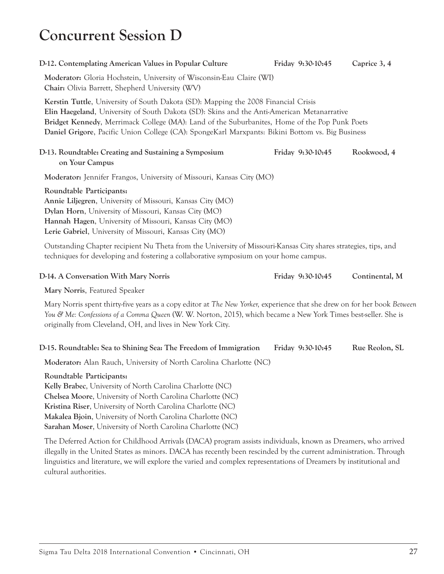## **Concurrent Session D**

#### **D-12. Contemplating American Values in Popular Culture Friday 9:30-10:45 Caprice 3, 4**

**Moderator:** Gloria Hochstein, University of Wisconsin-Eau Claire (WI) **Chair:** Olivia Barrett, Shepherd University (WV)

**Kerstin Tuttle**, University of South Dakota (SD): Mapping the 2008 Financial Crisis **Elin Haegeland**, University of South Dakota (SD): Skins and the Anti-American Metanarrative **Bridget Kennedy**, Merrimack College (MA): Land of the Suburbanites, Home of the Pop Punk Poets **Daniel Grigore**, Pacific Union College (CA): SpongeKarl Marxpants: Bikini Bottom vs. Big Business

#### **D-13. Roundtable: Creating and Sustaining a Symposium Friday 9:30-10:45 Rookwood, 4 on Your Campus**

**Moderator:** Jennifer Frangos, University of Missouri, Kansas City (MO)

**Roundtable Participants: Annie Liljegren**, University of Missouri, Kansas City (MO) **Dylan Horn**, University of Missouri, Kansas City (MO) **Hannah Hagen**, University of Missouri, Kansas City (MO) **Lerie Gabriel**, University of Missouri, Kansas City (MO)

Outstanding Chapter recipient Nu Theta from the University of Missouri-Kansas City shares strategies, tips, and techniques for developing and fostering a collaborative symposium on your home campus.

#### **D-14. A Conversation With Mary Norris Friday 9:30-10:45 Continental, M**

**Mary Norris**, Featured Speaker

Mary Norris spent thirty-five years as a copy editor at *The New Yorker,* experience that she drew on for her book *Between You & Me: Confessions of a Comma Queen* (W. W. Norton, 2015), which became a New York Times best-seller. She is originally from Cleveland, OH, and lives in New York City.

### **D-15. Roundtable: Sea to Shining Sea: The Freedom of Immigration Friday 9:30-10:45 Rue Reolon, SL**

**Moderator:** Alan Rauch, University of North Carolina Charlotte (NC)

### **Roundtable Participants:**

**Kelly Brabec**, University of North Carolina Charlotte (NC) **Chelsea Moore**, University of North Carolina Charlotte (NC) **Kristina Riser**, University of North Carolina Charlotte (NC) **Makalea Bjoin**, University of North Carolina Charlotte (NC) **Sarahan Moser**, University of North Carolina Charlotte (NC)

The Deferred Action for Childhood Arrivals (DACA) program assists individuals, known as Dreamers, who arrived illegally in the United States as minors. DACA has recently been rescinded by the current administration. Through linguistics and literature, we will explore the varied and complex representations of Dreamers by institutional and cultural authorities.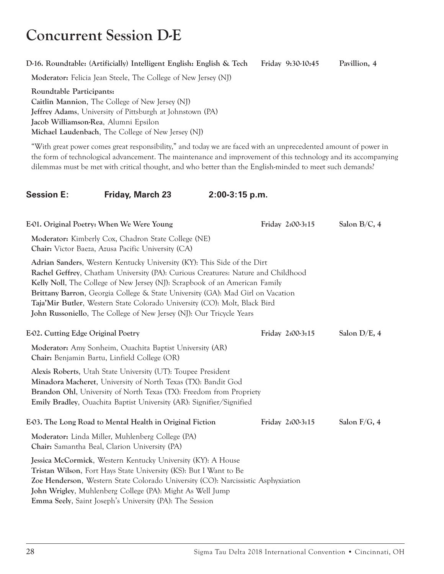# **Concurrent Session D-E**

#### **D-16. Roundtable: (Artificially) Intelligent English: English & Tech Friday 9:30-10:45 Pavillion, 4**

**Moderator:** Felicia Jean Steele, The College of New Jersey (NJ)

**Roundtable Participants: Caitlin Mannion**, The College of New Jersey (NJ) **Jeffrey Adams**, University of Pittsburgh at Johnstown (PA) **Jacob Williamson-Rea**, Alumni Epsilon **Michael Laudenbach**, The College of New Jersey (NJ)

"With great power comes great responsibility," and today we are faced with an unprecedented amount of power in the form of technological advancement. The maintenance and improvement of this technology and its accompanying dilemmas must be met with critical thought, and who better than the English-minded to meet such demands?

### **Session E: Friday, March 23 2:00-3:15 p.m.**

| E01. Original Poetry: When We Were Young                                                                                                                                                                                                                                                                                                                                                                                                                                                     | Friday 2:00-3:15 | Salon $B/C$ , 4 |
|----------------------------------------------------------------------------------------------------------------------------------------------------------------------------------------------------------------------------------------------------------------------------------------------------------------------------------------------------------------------------------------------------------------------------------------------------------------------------------------------|------------------|-----------------|
| Moderator: Kimberly Cox, Chadron State College (NE)<br>Chair: Victor Baeza, Azusa Pacific University (CA)                                                                                                                                                                                                                                                                                                                                                                                    |                  |                 |
| Adrian Sanders, Western Kentucky University (KY): This Side of the Dirt<br>Rachel Geffrey, Chatham University (PA): Curious Creatures: Nature and Childhood<br>Kelly Noll, The College of New Jersey (NJ): Scrapbook of an American Family<br><b>Brittany Barron, Georgia College &amp; State University (GA): Mad Girl on Vacation</b><br>Taja'Mir Butler, Western State Colorado University (CO): Molt, Black Bird<br>John Russoniello, The College of New Jersey (NJ): Our Tricycle Years |                  |                 |
| E-02. Cutting Edge Original Poetry                                                                                                                                                                                                                                                                                                                                                                                                                                                           | Friday 2:00-3:15 | Salon D/E, 4    |
| Moderator: Amy Sonheim, Ouachita Baptist University (AR)<br>Chair: Benjamin Bartu, Linfield College (OR)                                                                                                                                                                                                                                                                                                                                                                                     |                  |                 |
| Alexis Roberts, Utah State University (UT): Toupee President<br>Minadora Macheret, University of North Texas (TX): Bandit God<br><b>Brandon Ohl,</b> University of North Texas (TX): Freedom from Propriety<br><b>Emily Bradley, Ouachita Baptist University (AR): Signifier/Signified</b>                                                                                                                                                                                                   |                  |                 |
| E-03. The Long Road to Mental Health in Original Fiction                                                                                                                                                                                                                                                                                                                                                                                                                                     | Friday 2:00-3:15 | Salon $F/G$ , 4 |
| Moderator: Linda Miller, Muhlenberg College (PA)<br>Chair: Samantha Beal, Clarion University (PA)                                                                                                                                                                                                                                                                                                                                                                                            |                  |                 |
| Jessica McCormick, Western Kentucky University (KY): A House<br><b>Tristan Wilson, Fort Hays State University (KS): But I Want to Be</b><br>Zoe Henderson, Western State Colorado University (CO): Narcissistic Asphyxiation<br>John Wrigley, Muhlenberg College (PA): Might As Well Jump<br><b>Emma Seely, Saint Joseph's University (PA): The Session</b>                                                                                                                                  |                  |                 |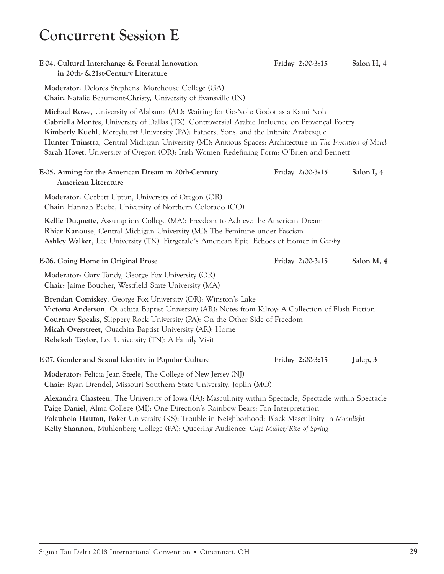### **Concurrent Session E**

| E-04. Cultural Interchange & Formal Innovation<br>in 20th- & 21st-Century Literature                                                                                                                                                                                                                                                                                                                                                                                                   | Friday 2:00-3:15 | Salon H, 4 |
|----------------------------------------------------------------------------------------------------------------------------------------------------------------------------------------------------------------------------------------------------------------------------------------------------------------------------------------------------------------------------------------------------------------------------------------------------------------------------------------|------------------|------------|
| Moderator: Delores Stephens, Morehouse College (GA)<br>Chair: Natalie Beaumont-Christy, University of Evansville (IN)                                                                                                                                                                                                                                                                                                                                                                  |                  |            |
| Michael Rowe, University of Alabama (AL): Waiting for Go-Noh: Godot as a Kami Noh<br>Gabriella Montes, University of Dallas (TX): Controversial Arabic Influence on Provençal Poetry<br>Kimberly Kuehl, Mercyhurst University (PA): Fathers, Sons, and the Infinite Arabesque<br>Hunter Tuinstra, Central Michigan University (MI): Anxious Spaces: Architecture in The Invention of Morel<br>Sarah Hovet, University of Oregon (OR): Irish Women Redefining Form: O'Brien and Bennett |                  |            |
| E-05. Aiming for the American Dream in 20th-Century<br><b>American Literature</b>                                                                                                                                                                                                                                                                                                                                                                                                      | Friday 2:00-3:15 | Salon I, 4 |
| Moderator: Corbett Upton, University of Oregon (OR)<br>Chair: Hannah Beebe, University of Northern Colorado (CO)                                                                                                                                                                                                                                                                                                                                                                       |                  |            |
| Kellie Duquette, Assumption College (MA): Freedom to Achieve the American Dream<br>Rhiar Kanouse, Central Michigan University (MI): The Feminine under Fascism<br>Ashley Walker, Lee University (TN): Fitzgerald's American Epic: Echoes of Homer in Gatsby                                                                                                                                                                                                                            |                  |            |
| E-06. Going Home in Original Prose                                                                                                                                                                                                                                                                                                                                                                                                                                                     | Friday 2:00-3:15 | Salon M, 4 |
| Moderator: Gary Tandy, George Fox University (OR)<br>Chair: Jaime Boucher, Westfield State University (MA)                                                                                                                                                                                                                                                                                                                                                                             |                  |            |
| Brendan Comiskey, George Fox University (OR): Winston's Lake<br>Victoria Anderson, Ouachita Baptist University (AR): Notes from Kilroy: A Collection of Flash Fiction<br>Courtney Speaks, Slippery Rock University (PA): On the Other Side of Freedom<br>Micah Overstreet, Ouachita Baptist University (AR): Home<br>Rebekah Taylor, Lee University (TN): A Family Visit                                                                                                               |                  |            |
| E07. Gender and Sexual Identity in Popular Culture                                                                                                                                                                                                                                                                                                                                                                                                                                     | Friday 2:00-3:15 | Julep, 3   |
|                                                                                                                                                                                                                                                                                                                                                                                                                                                                                        |                  |            |
| Moderator: Felicia Jean Steele, The College of New Jersey (NJ)<br>Chair: Ryan Drendel, Missouri Southern State University, Joplin (MO)                                                                                                                                                                                                                                                                                                                                                 |                  |            |
| Alexandra Chasteen, The University of Iowa (IA): Masculinity within Spectacle, Spectacle within Spectacle<br>Paige Daniel, Alma College (MI): One Direction's Rainbow Bears: Fan Interpretation<br>Folauhola Hautau, Baker University (KS): Trouble in Neighborhood: Black Masculinity in Moonlight<br>Kelly Shannon, Muhlenberg College (PA): Queering Audience: Café Müller/Rite of Spring                                                                                           |                  |            |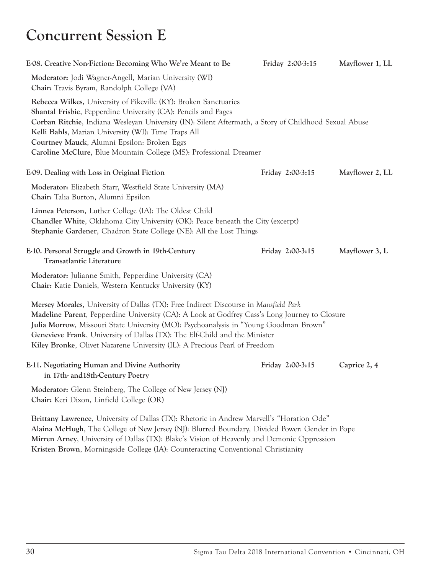### **Concurrent Session E**

| E08. Creative Non-Fiction: Becoming Who We're Meant to Be                                                                                                                                                                                                                                                                                                                                                                                  | Friday 2:00-3:15 | Mayflower 1, LL |
|--------------------------------------------------------------------------------------------------------------------------------------------------------------------------------------------------------------------------------------------------------------------------------------------------------------------------------------------------------------------------------------------------------------------------------------------|------------------|-----------------|
| Moderator: Jodi Wagner-Angell, Marian University (WI)<br>Chair: Travis Byram, Randolph College (VA)                                                                                                                                                                                                                                                                                                                                        |                  |                 |
| Rebecca Wilkes, University of Pikeville (KY): Broken Sanctuaries<br>Shantal Frisbie, Pepperdine University (CA): Pencils and Pages<br>Corban Ritchie, Indiana Wesleyan University (IN): Silent Aftermath, a Story of Childhood Sexual Abuse<br>Kelli Bahls, Marian University (WI): Time Traps All<br>Courtney Mauck, Alumni Epsilon: Broken Eggs<br>Caroline McClure, Blue Mountain College (MS): Professional Dreamer                    |                  |                 |
| E-09. Dealing with Loss in Original Fiction                                                                                                                                                                                                                                                                                                                                                                                                | Friday 2:00-3:15 | Mayflower 2, LL |
| Moderator: Elizabeth Starr, Westfield State University (MA)<br>Chair: Talia Burton, Alumni Epsilon                                                                                                                                                                                                                                                                                                                                         |                  |                 |
| Linnea Peterson, Luther College (IA): The Oldest Child<br>Chandler White, Oklahoma City University (OK): Peace beneath the City (excerpt)<br>Stephanie Gardener, Chadron State College (NE): All the Lost Things                                                                                                                                                                                                                           |                  |                 |
| E-10. Personal Struggle and Growth in 19th-Century<br><b>Transatlantic Literature</b>                                                                                                                                                                                                                                                                                                                                                      | Friday 2:00-3:15 | Mayflower 3, L  |
| Moderator: Julianne Smith, Pepperdine University (CA)<br>Chair: Katie Daniels, Western Kentucky University (KY)                                                                                                                                                                                                                                                                                                                            |                  |                 |
| Mersey Morales, University of Dallas (TX): Free Indirect Discourse in Mansfield Park<br>Madeline Parent, Pepperdine University (CA): A Look at Godfrey Cass's Long Journey to Closure<br>Julia Morrow, Missouri State University (MO): Psychoanalysis in "Young Goodman Brown"<br>Genevieve Frank, University of Dallas (TX): The Elf-Child and the Minister<br>Kiley Bronke, Olivet Nazarene University (IL): A Precious Pearl of Freedom |                  |                 |
| E-11. Negotiating Human and Divine Authority<br>in 17th- and 18th-Century Poetry                                                                                                                                                                                                                                                                                                                                                           | Friday 2:00-3:15 | Caprice 2, 4    |
| Moderator: Glenn Steinberg, The College of New Jersey (NJ)<br>Chair: Keri Dixon, Linfield College (OR)                                                                                                                                                                                                                                                                                                                                     |                  |                 |
| Brittany Lawrence, University of Dallas (TX): Rhetoric in Andrew Marvell's "Horation Ode"<br>Alaina McHugh, The College of New Jersey (NJ): Blurred Boundary, Divided Power: Gender in Pope                                                                                                                                                                                                                                                |                  |                 |

**Mirren Arney**, University of Dallas (TX): Blake's Vision of Heavenly and Demonic Oppression **Kristen Brown**, Morningside College (IA): Counteracting Conventional Christianity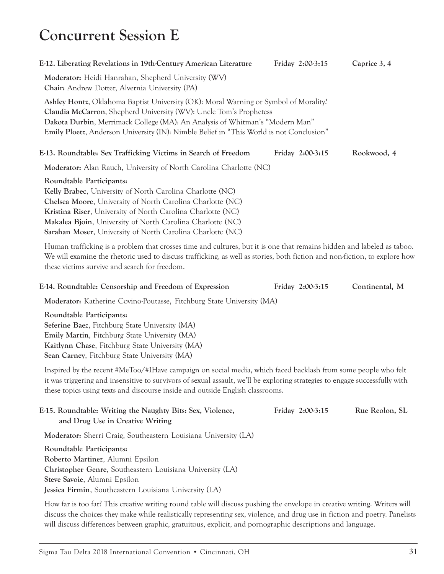# **Concurrent Session E**

| E-12. Liberating Revelations in 19th-Century American Literature                                                                                                                                                                                                                                                                      | Friday 2:00-3:15 | Caprice 3, 4 |
|---------------------------------------------------------------------------------------------------------------------------------------------------------------------------------------------------------------------------------------------------------------------------------------------------------------------------------------|------------------|--------------|
| Moderator: Heidi Hanrahan, Shepherd University (WV)<br><b>Chair:</b> Andrew Dotter, Alvernia University (PA)                                                                                                                                                                                                                          |                  |              |
| Ashley Hontz, Oklahoma Baptist University (OK): Moral Warning or Symbol of Morality?<br>Claudia McCarron, Shepherd University (WV): Uncle Tom's Prophetess<br>Dakota Durbin, Merrimack College (MA): An Analysis of Whitman's "Modern Man"<br>Emily Ploetz, Anderson University (IN): Nimble Belief in "This World is not Conclusion" |                  |              |
| E-13. Roundtable: Sex Trafficking Victims in Search of Freedom                                                                                                                                                                                                                                                                        | Friday 2:00-3:15 | Rookwood, 4  |
| Moderator: Alan Rauch, University of North Carolina Charlotte (NC)                                                                                                                                                                                                                                                                    |                  |              |
| Roundtable Participants:                                                                                                                                                                                                                                                                                                              |                  |              |
| Kelly Brabec, University of North Carolina Charlotte (NC)                                                                                                                                                                                                                                                                             |                  |              |
| Chelsea Moore, University of North Carolina Charlotte (NC)                                                                                                                                                                                                                                                                            |                  |              |
| Kristina Riser, University of North Carolina Charlotte (NC)                                                                                                                                                                                                                                                                           |                  |              |
| Makalea Bjoin, University of North Carolina Charlotte (NC)                                                                                                                                                                                                                                                                            |                  |              |
| Sarahan Moser, University of North Carolina Charlotte (NC)                                                                                                                                                                                                                                                                            |                  |              |
| Human trafficking is a problem that crosses time and cultures, but it is one that remains hidden and labeled as tab                                                                                                                                                                                                                   |                  |              |

Human trafficking is a problem that crosses time and cultures, but it is one that remains hidden and labeled as taboo. We will examine the rhetoric used to discuss trafficking, as well as stories, both fiction and non-fiction, to explore how these victims survive and search for freedom.

#### **E-14. Roundtable: Censorship and Freedom of Expression Friday 2:00-3:15 Continental, M**

**Moderator:** Katherine Covino-Poutasse, Fitchburg State University (MA)

**Roundtable Participants: Seferine Baez**, Fitchburg State University (MA) **Emily Martin**, Fitchburg State University (MA) **Kaitlynn Chase**, Fitchburg State University (MA) **Sean Carney**, Fitchburg State University (MA)

Inspired by the recent #MeToo/#IHave campaign on social media, which faced backlash from some people who felt it was triggering and insensitive to survivors of sexual assault, we'll be exploring strategies to engage successfully with these topics using texts and discourse inside and outside English classrooms.

| E-15. Roundtable: Writing the Naughty Bits: Sex, Violence,<br>and Drug Use in Creative Writing                                               | Friday 2:00-3:15 | Rue Reolon, SL |
|----------------------------------------------------------------------------------------------------------------------------------------------|------------------|----------------|
| Moderator: Sherri Craig, Southeastern Louisiana University (LA)                                                                              |                  |                |
| Roundtable Participants:                                                                                                                     |                  |                |
| Roberto Martinez, Alumni Epsilon                                                                                                             |                  |                |
| Christopher Genre, Southeastern Louisiana University (LA)                                                                                    |                  |                |
| Steve Savoie, Alumni Epsilon                                                                                                                 |                  |                |
| Jessica Firmin, Southeastern Louisiana University (LA)                                                                                       |                  |                |
| $\mathbf{H}$ is a constant of the constant $\mathbf{H}$ in the constant $\mathbf{H}$ is a constant $\mathbf{W}$ is the constant $\mathbf{H}$ |                  |                |

How far is too far? This creative writing round table will discuss pushing the envelope in creative writing. Writers will discuss the choices they make while realistically representing sex, violence, and drug use in fiction and poetry. Panelists will discuss differences between graphic, gratuitous, explicit, and pornographic descriptions and language.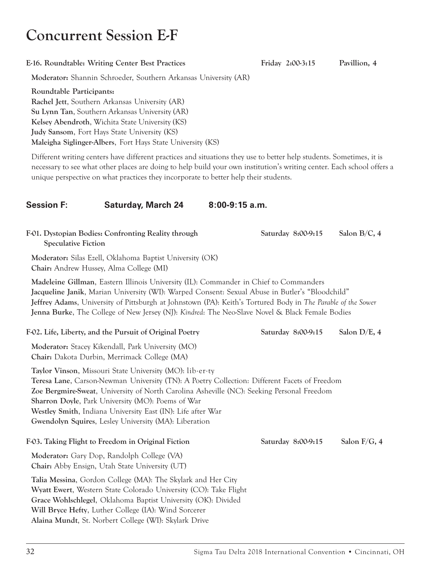### **Concurrent Session E-F**

| E-16. Roundtable: Writing Center Best Practices | Friday 2:00-3:15 | Pavillion, 4 |
|-------------------------------------------------|------------------|--------------|
|-------------------------------------------------|------------------|--------------|

**Moderator:** Shannin Schroeder, Southern Arkansas University (AR)

**Roundtable Participants: Rachel Jett**, Southern Arkansas University (AR) **Su Lynn Tan**, Southern Arkansas University (AR) **Kelsey Abendroth**, Wichita State University (KS) **Judy Sansom**, Fort Hays State University (KS) **Maleigha Siglinger-Albers**, Fort Hays State University (KS)

**Alaina Mundt**, St. Norbert College (WI): Skylark Drive

Different writing centers have different practices and situations they use to better help students. Sometimes, it is necessary to see what other places are doing to help build your own institution's writing center. Each school offers a unique perspective on what practices they incorporate to better help their students.

### **Session F: Saturday, March 24 8:00-9:15 a.m.**

| F-01. Dystopian Bodies: Confronting Reality through<br><b>Speculative Fiction</b>                                                                                                                                                                                                                                                                                                                                                         | Saturday 8:00-9:15 | Salon B/C, 4    |
|-------------------------------------------------------------------------------------------------------------------------------------------------------------------------------------------------------------------------------------------------------------------------------------------------------------------------------------------------------------------------------------------------------------------------------------------|--------------------|-----------------|
| Moderator: Silas Ezell, Oklahoma Baptist University (OK)<br>Chair: Andrew Hussey, Alma College (MI)                                                                                                                                                                                                                                                                                                                                       |                    |                 |
| Madeleine Gillman, Eastern Illinois University (IL): Commander in Chief to Commanders<br>Jacqueline Janik, Marian University (WI): Warped Consent: Sexual Abuse in Butler's "Bloodchild"<br>Jeffrey Adams, University of Pittsburgh at Johnstown (PA): Keith's Tortured Body in The Parable of the Sower<br>Jenna Burke, The College of New Jersey (NJ): Kindred: The Neo-Slave Novel & Black Female Bodies                               |                    |                 |
| F-02. Life, Liberty, and the Pursuit of Original Poetry                                                                                                                                                                                                                                                                                                                                                                                   | Saturday 8:00-9:15 | Salon $D/E$ , 4 |
| Moderator: Stacey Kikendall, Park University (MO)<br>Chair: Dakota Durbin, Merrimack College (MA)                                                                                                                                                                                                                                                                                                                                         |                    |                 |
| Taylor Vinson, Missouri State University (MO): lib.er.ty<br>Teresa Lane, Carson-Newman University (TN): A Poetry Collection: Different Facets of Freedom<br>Zoe Bergmire-Sweat, University of North Carolina Asheville (NC): Seeking Personal Freedom<br><b>Sharron Doyle, Park University (MO): Poems of War</b><br>Westley Smith, Indiana University East (IN): Life after War<br>Gwendolyn Squires, Lesley University (MA): Liberation |                    |                 |
| F-03. Taking Flight to Freedom in Original Fiction                                                                                                                                                                                                                                                                                                                                                                                        | Saturday 8:00-9:15 | Salon F/G, 4    |
| Moderator: Gary Dop, Randolph College (VA)<br><b>Chair:</b> Abby Ensign, Utah State University (UT)                                                                                                                                                                                                                                                                                                                                       |                    |                 |
| Talia Messina, Gordon College (MA): The Skylark and Her City<br>Wyatt Ewert, Western State Colorado University (CO): Take Flight<br>Grace Wohlschlegel, Oklahoma Baptist University (OK): Divided<br>Will Bryce Hefty, Luther College (IA): Wind Sorcerer                                                                                                                                                                                 |                    |                 |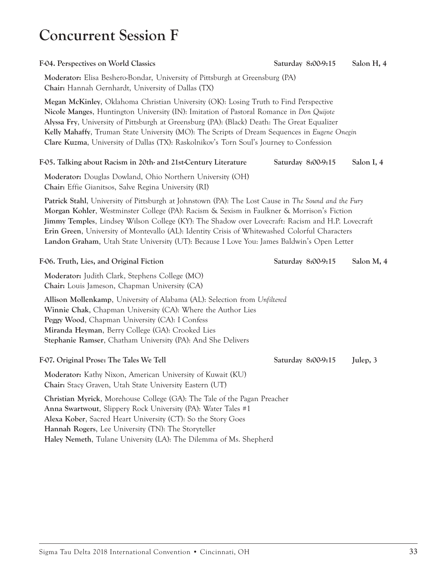### **Concurrent Session F**

**Moderator:** Elisa Beshero-Bondar, University of Pittsburgh at Greensburg (PA) **Chair:** Hannah Gernhardt, University of Dallas (TX)

**Megan McKinley**, Oklahoma Christian University (OK): Losing Truth to Find Perspective **Nicole Manges**, Huntington University (IN): Imitation of Pastoral Romance in *Don Quijote* **Alyssa Fry**, University of Pittsburgh at Greensburg (PA): (Black) Death: The Great Equalizer **Kelly Mahaffy**, Truman State University (MO): The Scripts of Dream Sequences in *Eugene Onegin* **Clare Kuzma**, University of Dallas (TX): Raskolnikov's Torn Soul's Journey to Confession

#### **F-05. Talking about Racism in 20th- and 21st-Century Literature Saturday 8:00-9:15 Salon I, 4**

**Moderator:** Douglas Dowland, Ohio Northern University (OH) **Chair:** Effie Gianitsos, Salve Regina University (RI)

**Patrick Stahl**, University of Pittsburgh at Johnstown (PA): The Lost Cause in *The Sound and the Fury* **Morgan Kohler**, Westminster College (PA): Racism & Sexism in Faulkner & Morrison's Fiction **Jimmy Temples**, Lindsey Wilson College (KY): The Shadow over Lovecraft: Racism and H.P. Lovecraft **Erin Green**, University of Montevallo (AL): Identity Crisis of Whitewashed Colorful Characters **Landon Graham**, Utah State University (UT): Because I Love You: James Baldwin's Open Letter

F-06. Truth, Lies, and Original Fiction Saturday 8:00-9:15 Salon M, 4

**Moderator:** Judith Clark, Stephens College (MO) **Chair:** Louis Jameson, Chapman University (CA)

**Allison Mollenkamp**, University of Alabama (AL): Selection from *Unfiltered* **Winnie Chak**, Chapman University (CA): Where the Author Lies **Peggy Wood**, Chapman University (CA): I Confess **Miranda Heyman**, Berry College (GA): Crooked Lies **Stephanie Ramser**, Chatham University (PA): And She Delivers

F-07. Original Prose: The Tales We Tell Saturday 8:00-9:15 Julep, 3

**Moderator:** Kathy Nixon, American University of Kuwait (KU) **Chair:** Stacy Graven, Utah State University Eastern (UT)

**Christian Myrick**, Morehouse College (GA): The Tale of the Pagan Preacher **Anna Swartwout**, Slippery Rock University (PA): Water Tales #1 **Alexa Kober**, Sacred Heart University (CT): So the Story Goes **Hannah Rogers**, Lee University (TN): The Storyteller **Haley Nemeth**, Tulane University (LA): The Dilemma of Ms. Shepherd

**F-04. Perspectives on World Classics Saturday 8:00-9:15 Salon H, 4**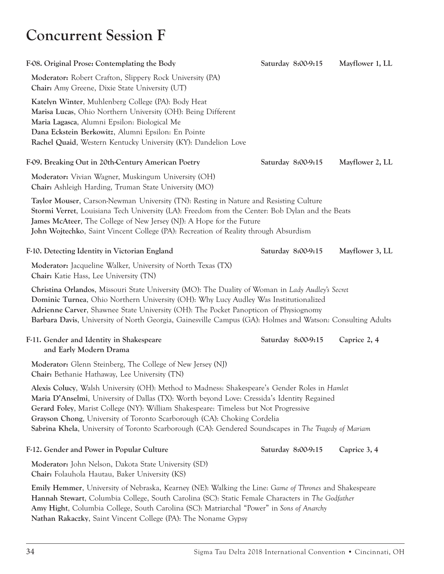### **Concurrent Session F**

| F-08. Original Prose: Contemplating the Body                                                                                                                                                                                                                                                                                                                                                                                                                            | Saturday 8:00-9:15 | Mayflower 1, LL |
|-------------------------------------------------------------------------------------------------------------------------------------------------------------------------------------------------------------------------------------------------------------------------------------------------------------------------------------------------------------------------------------------------------------------------------------------------------------------------|--------------------|-----------------|
| Moderator: Robert Crafton, Slippery Rock University (PA)<br>Chair: Amy Greene, Dixie State University (UT)                                                                                                                                                                                                                                                                                                                                                              |                    |                 |
| Katelyn Winter, Muhlenberg College (PA): Body Heat<br>Marisa Lucas, Ohio Northern University (OH): Being Different<br>Maria Lagasca, Alumni Epsilon: Biological Me<br>Dana Eckstein Berkowitz, Alumni Epsilon: En Pointe<br>Rachel Quaid, Western Kentucky University (KY): Dandelion Love                                                                                                                                                                              |                    |                 |
| F-09. Breaking Out in 20th-Century American Poetry                                                                                                                                                                                                                                                                                                                                                                                                                      | Saturday 8:00-9:15 | Mayflower 2, LL |
| Moderator: Vivian Wagner, Muskingum University (OH)<br>Chair: Ashleigh Harding, Truman State University (MO)                                                                                                                                                                                                                                                                                                                                                            |                    |                 |
| Taylor Mouser, Carson-Newman University (TN): Resting in Nature and Resisting Culture<br>Stormi Verret, Louisiana Tech University (LA): Freedom from the Center: Bob Dylan and the Beats<br>James McAteer, The College of New Jersey (NJ): A Hope for the Future<br>John Wojtechko, Saint Vincent College (PA): Recreation of Reality through Absurdism                                                                                                                 |                    |                 |
| F-10. Detecting Identity in Victorian England                                                                                                                                                                                                                                                                                                                                                                                                                           | Saturday 8:00-9:15 | Mayflower 3, LL |
| Moderator: Jacqueline Walker, University of North Texas (TX)<br>Chair: Katie Hass, Lee University (TN)                                                                                                                                                                                                                                                                                                                                                                  |                    |                 |
| Christina Orlandos, Missouri State University (MO): The Duality of Woman in Lady Audley's Secret<br>Dominic Turnea, Ohio Northern University (OH): Why Lucy Audley Was Institutionalized<br>Adrienne Carver, Shawnee State University (OH): The Pocket Panopticon of Physiognomy<br>Barbara Davis, University of North Georgia, Gainesville Campus (GA): Holmes and Watson: Consulting Adults                                                                           |                    |                 |
| F-11. Gender and Identity in Shakespeare<br>and Early Modern Drama                                                                                                                                                                                                                                                                                                                                                                                                      | Saturday 8:00-9:15 | Caprice 2, 4    |
| Moderator: Glenn Steinberg, The College of New Jersey (NJ)<br>Chair: Bethanie Hathaway, Lee University (TN)                                                                                                                                                                                                                                                                                                                                                             |                    |                 |
| Alexis Colucy, Walsh University (OH): Method to Madness: Shakespeare's Gender Roles in Hamlet<br>Maria D'Anselmi, University of Dallas (TX): Worth beyond Love: Cressida's Identity Regained<br>Gerard Foley, Marist College (NY): William Shakespeare: Timeless but Not Progressive<br>Grayson Chong, University of Toronto Scarborough (CA): Choking Cordelia<br>Sabrina Khela, University of Toronto Scarborough (CA): Gendered Soundscapes in The Tragedy of Mariam |                    |                 |
| F-12. Gender and Power in Popular Culture                                                                                                                                                                                                                                                                                                                                                                                                                               | Saturday 8:00-9:15 | Caprice 3, 4    |
| Moderator: John Nelson, Dakota State University (SD)<br>Chair: Folauhola Hautau, Baker University (KS)                                                                                                                                                                                                                                                                                                                                                                  |                    |                 |
| <b>Emily Hemmer</b> , University of Nebraska, Kearney (NE): Walking the Line: Game of Thrones and Shakespeare<br>Hannah Stewart, Columbia College, South Carolina (SC): Static Female Characters in The Godfather<br>Amy Hight, Columbia College, South Carolina (SC): Matriarchal "Power" in Sons of Anarchy<br>Nathan Rakaczky, Saint Vincent College (PA): The Noname Gypsy                                                                                          |                    |                 |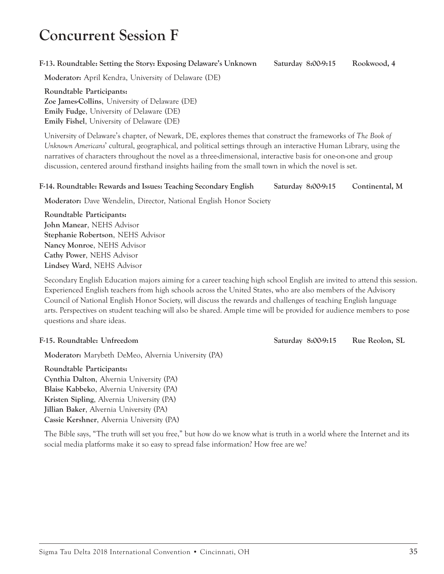## **Concurrent Session F**

#### **F-13. Roundtable: Setting the Story: Exposing Delaware's Unknown Saturday 8:00-9:15 Rookwood, 4**

**Moderator:** April Kendra, University of Delaware (DE)

**Roundtable Participants: Zoe James-Collins**, University of Delaware (DE) **Emily Fudge**, University of Delaware (DE) **Emily Fishel**, University of Delaware (DE)

University of Delaware's chapter, of Newark, DE, explores themes that construct the frameworks of *The Book of Unknown Americans*' cultural, geographical, and political settings through an interactive Human Library, using the narratives of characters throughout the novel as a three-dimensional, interactive basis for one-on-one and group discussion, centered around firsthand insights hailing from the small town in which the novel is set.

#### **F-14. Roundtable: Rewards and Issues: Teaching Secondary English Saturday 8:00-9:15 Continental, M**

**Moderator:** Dave Wendelin, Director, National English Honor Society

**Roundtable Participants: John Manear**, NEHS Advisor **Stephanie Robertson**, NEHS Advisor **Nancy Monroe**, NEHS Advisor **Cathy Power**, NEHS Advisor **Lindsey Ward**, NEHS Advisor

Secondary English Education majors aiming for a career teaching high school English are invited to attend this session. Experienced English teachers from high schools across the United States, who are also members of the Advisory Council of National English Honor Society, will discuss the rewards and challenges of teaching English language arts. Perspectives on student teaching will also be shared. Ample time will be provided for audience members to pose questions and share ideas.

**Moderator:** Marybeth DeMeo, Alvernia University (PA)

**Roundtable Participants: Cynthia Dalton**, Alvernia University (PA) **Blaise Kabbeko**, Alvernia University (PA) **Kristen Sipling**, Alvernia University (PA) **Jillian Baker**, Alvernia University (PA) **Cassie Kershner**, Alvernia University (PA)

The Bible says, "The truth will set you free," but how do we know what is truth in a world where the Internet and its social media platforms make it so easy to spread false information? How free are we?

**F-15. Roundtable: Unfreedom Saturday 8:00-9:15 Rue Reolon, SL**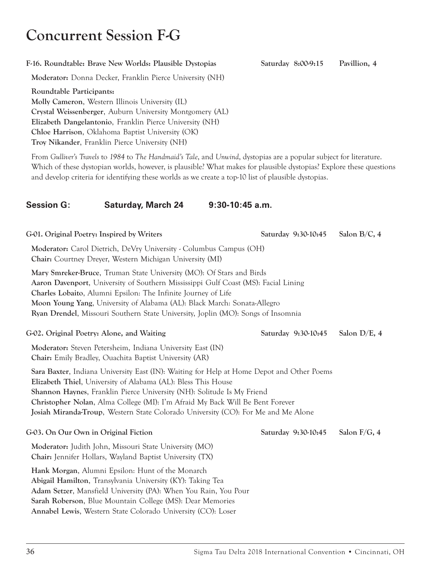# **Concurrent Session F-G**

### **F-16. Roundtable: Brave New Worlds: Plausible Dystopias Saturday 8:00-9:15 Pavillion, 4**

**Moderator:** Donna Decker, Franklin Pierce University (NH)

**Roundtable Participants: Molly Cameron**, Western Illinois University (IL) **Crystal Weissenberger**, Auburn University Montgomery (AL) **Elizabeth Dangelantonio**, Franklin Pierce University (NH) **Chloe Harrison**, Oklahoma Baptist University (OK) **Troy Nikander**, Franklin Pierce University (NH)

From *Gulliver's Travels* to *1984* to *The Handmaid's Tale*, and *Unwind*, dystopias are a popular subject for literature. Which of these dystopian worlds, however, is plausible? What makes for plausible dystopias? Explore these questions and develop criteria for identifying these worlds as we create a top-10 list of plausible dystopias.

### **Session G: Saturday, March 24 9:30-10:45 a.m.**

G-01. Original Poetry: Inspired by Writers Saturday 9:30-10:45 Salon B/C, 4 **Moderator:** Carol Dietrich, DeVry University - Columbus Campus (OH) **Chair:** Courtney Dreyer, Western Michigan University (MI) **Mary Smreker-Bruce**, Truman State University (MO): Of Stars and Birds **Aaron Davenport**, University of Southern Mississippi Gulf Coast (MS): Facial Lining **Charles Lobaito**, Alumni Epsilon: The Infinite Journey of Life **Moon Young Yang**, University of Alabama (AL): Black March: Sonata-Allegro **Ryan Drendel**, Missouri Southern State University, Joplin (MO): Songs of Insomnia **G-02. Original Poetry: Alone, and Waiting Saturday 9:30-10:45 Salon D/E, 4 Moderator:** Steven Petersheim, Indiana University East (IN) **Chair:** Emily Bradley, Ouachita Baptist University (AR) **Sara Baxter**, Indiana University East (IN): Waiting for Help at Home Depot and Other Poems **Elizabeth Thiel**, University of Alabama (AL): Bless This House **Shannon Haynes**, Franklin Pierce University (NH): Solitude Is My Friend **Christopher Nolan**, Alma College (MI): I'm Afraid My Back Will Be Bent Forever **Josiah Miranda-Troup**, Western State Colorado University (CO): For Me and Me Alone **G-03. On Our Own in Original Fiction Saturday 9:30-10:45 Salon F/G, 4 Moderator:** Judith John, Missouri State University (MO) **Chair:** Jennifer Hollars, Wayland Baptist University (TX) **Hank Morgan**, Alumni Epsilon: Hunt of the Monarch **Abigail Hamilton**, Transylvania University (KY): Taking Tea **Adam Setzer**, Mansfield University (PA): When You Rain, You Pour

**Sarah Roberson**, Blue Mountain College (MS): Dear Memories **Annabel Lewis**, Western State Colorado University (CO): Loser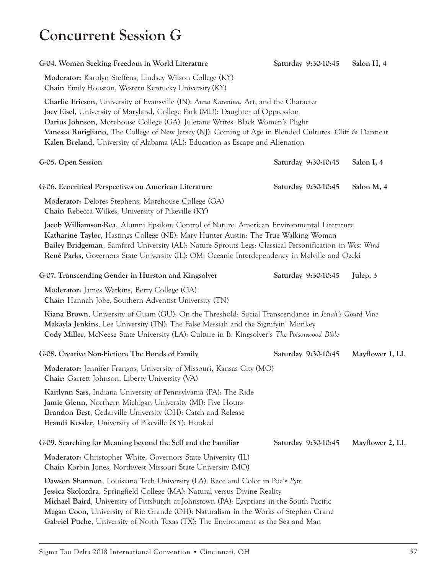## **Concurrent Session G**

| G-04. Women Seeking Freedom in World Literature                                                                                                                                                                                                                                                                                                                                                                                                     | Saturday 9:30-10:45 | Salon H, 4      |
|-----------------------------------------------------------------------------------------------------------------------------------------------------------------------------------------------------------------------------------------------------------------------------------------------------------------------------------------------------------------------------------------------------------------------------------------------------|---------------------|-----------------|
| Moderator: Karolyn Steffens, Lindsey Wilson College (KY)<br>Chair: Emily Houston, Western Kentucky University (KY)                                                                                                                                                                                                                                                                                                                                  |                     |                 |
| Charlie Ericson, University of Evansville (IN): Anna Karenina, Art, and the Character<br>Jacy Eisel, University of Maryland, College Park (MD): Daughter of Oppression<br>Darius Johnson, Morehouse College (GA): Juletane Writes: Black Women's Plight<br>Vanessa Rutigliano, The College of New Jersey (NJ): Coming of Age in Blended Cultures: Cliff & Danticat<br>Kalen Breland, University of Alabama (AL): Education as Escape and Alienation |                     |                 |
| G-05. Open Session                                                                                                                                                                                                                                                                                                                                                                                                                                  | Saturday 9:30-10:45 | Salon I, 4      |
| G-06. Ecocritical Perspectives on American Literature                                                                                                                                                                                                                                                                                                                                                                                               | Saturday 9:30-10:45 | Salon M, 4      |
| Moderator: Delores Stephens, Morehouse College (GA)<br>Chair: Rebecca Wilkes, University of Pikeville (KY)                                                                                                                                                                                                                                                                                                                                          |                     |                 |
| Jacob Williamson-Rea, Alumni Epsilon: Control of Nature: American Environmental Literature<br>Katharine Taylor, Hastings College (NE): Mary Hunter Austin: The True Walking Woman<br>Bailey Bridgeman, Samford University (AL): Nature Sprouts Legs: Classical Personification in West Wind<br>René Parks, Governors State University (IL): OM: Oceanic Interdependency in Melville and Ozeki                                                       |                     |                 |
| G-07. Transcending Gender in Hurston and Kingsolver                                                                                                                                                                                                                                                                                                                                                                                                 | Saturday 9:30-10:45 | Julep, 3        |
| Moderator: James Watkins, Berry College (GA)<br>Chair: Hannah Jobe, Southern Adventist University (TN)                                                                                                                                                                                                                                                                                                                                              |                     |                 |
| Kiana Brown, University of Guam (GU): On the Threshold: Social Transcendance in Jonah's Gourd Vine<br>Makayla Jenkins, Lee University (TN): The False Messiah and the Signifyin' Monkey<br>Cody Miller, McNeese State University (LA): Culture in B. Kingsolver's The Poisonwood Bible                                                                                                                                                              |                     |                 |
| G-08. Creative Non-Fiction: The Bonds of Family                                                                                                                                                                                                                                                                                                                                                                                                     | Saturday 9:30-10:45 | Mayflower 1, LL |
| Moderator: Jennifer Frangos, University of Missouri, Kansas City (MO)<br>Chair: Garrett Johnson, Liberty University (VA)                                                                                                                                                                                                                                                                                                                            |                     |                 |
| Kaitlynn Sass, Indiana University of Pennsylvania (PA): The Ride<br>Jamie Glenn, Northern Michigan University (MI): Five Hours<br>Brandon Best, Cedarville University (OH): Catch and Release<br>Brandi Kessler, University of Pikeville (KY): Hooked                                                                                                                                                                                               |                     |                 |
| G-09. Searching for Meaning beyond the Self and the Familiar                                                                                                                                                                                                                                                                                                                                                                                        | Saturday 9:30-10:45 | Mayflower 2, LL |
| Moderator: Christopher White, Governors State University (IL)<br>Chair: Korbin Jones, Northwest Missouri State University (MO)                                                                                                                                                                                                                                                                                                                      |                     |                 |
| Dawson Shannon, Louisiana Tech University (LA): Race and Color in Poe's Pym<br>Jessica Skolozdra, Springfield College (MA): Natural versus Divine Reality<br>Michael Baird, University of Pittsburgh at Johnstown (PA): Egyptians in the South Pacific<br>Megan Coon, University of Rio Grande (OH): Naturalism in the Works of Stephen Crane<br>Gabriel Puche, University of North Texas (TX): The Environment as the Sea and Man                  |                     |                 |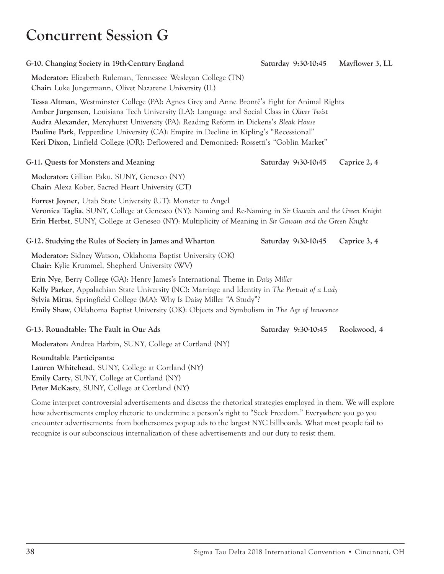### **Concurrent Session G**

| G-10. Changing Society in 19th-Century England                                                                                                                                                                                                                                                                                                                                                                                                                          | Saturday 9:30-10:45 | Mayflower 3, LL |
|-------------------------------------------------------------------------------------------------------------------------------------------------------------------------------------------------------------------------------------------------------------------------------------------------------------------------------------------------------------------------------------------------------------------------------------------------------------------------|---------------------|-----------------|
| Moderator: Elizabeth Ruleman, Tennessee Wesleyan College (TN)<br>Chair: Luke Jungermann, Olivet Nazarene University (IL)                                                                                                                                                                                                                                                                                                                                                |                     |                 |
| Tessa Altman, Westminster College (PA): Agnes Grey and Anne Brontë's Fight for Animal Rights<br>Amber Jurgensen, Louisiana Tech University (LA): Language and Social Class in Oliver Twist<br>Audra Alexander, Mercyhurst University (PA): Reading Reform in Dickens's Bleak House<br>Pauline Park, Pepperdine University (CA): Empire in Decline in Kipling's "Recessional"<br>Keri Dixon, Linfield College (OR): Deflowered and Demonized: Rossetti's "Goblin Market" |                     |                 |
| G-11. Quests for Monsters and Meaning                                                                                                                                                                                                                                                                                                                                                                                                                                   | Saturday 9:30-10:45 | Caprice 2, 4    |
| Moderator: Gillian Paku, SUNY, Geneseo (NY)<br>Chair: Alexa Kober, Sacred Heart University (CT)                                                                                                                                                                                                                                                                                                                                                                         |                     |                 |
| Forrest Joyner, Utah State University (UT): Monster to Angel<br>Veronica Taglia, SUNY, College at Geneseo (NY): Naming and Re-Naming in Sir Gawain and the Green Knight<br>Erin Herbst, SUNY, College at Geneseo (NY): Multiplicity of Meaning in Sir Gawain and the Green Knight                                                                                                                                                                                       |                     |                 |
| G-12. Studying the Rules of Society in James and Wharton                                                                                                                                                                                                                                                                                                                                                                                                                | Saturday 9:30-10:45 | Caprice 3, 4    |
| Moderator: Sidney Watson, Oklahoma Baptist University (OK)<br>Chair: Kylie Krummel, Shepherd University (WV)                                                                                                                                                                                                                                                                                                                                                            |                     |                 |
| Erin Nye, Berry College (GA): Henry James's International Theme in Daisy Miller<br>Kelly Parker, Appalachian State University (NC): Marriage and Identity in The Portrait of a Lady<br>Sylvia Mitus, Springfield College (MA): Why Is Daisy Miller "A Study"?<br>Emily Shaw, Oklahoma Baptist University (OK): Objects and Symbolism in The Age of Innocence                                                                                                            |                     |                 |
| G-13. Roundtable: The Fault in Our Ads                                                                                                                                                                                                                                                                                                                                                                                                                                  | Saturday 9:30-10:45 | Rookwood, 4     |
| Moderator: Andrea Harbin, SUNY, College at Cortland (NY)                                                                                                                                                                                                                                                                                                                                                                                                                |                     |                 |
| Roundtable Participants:<br>Lauren Whitehead, SUNY, College at Cortland (NY)<br>Emily Carty, SUNY, College at Cortland (NY)<br>Peter McKasty, SUNY, College at Cortland (NY)                                                                                                                                                                                                                                                                                            |                     |                 |

Come interpret controversial advertisements and discuss the rhetorical strategies employed in them. We will explore how advertisements employ rhetoric to undermine a person's right to "Seek Freedom." Everywhere you go you encounter advertisements: from bothersomes popup ads to the largest NYC billboards. What most people fail to recognize is our subconscious internalization of these advertisements and our duty to resist them.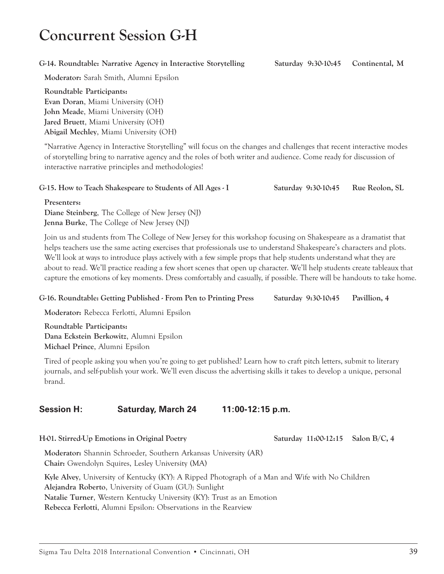# **Concurrent Session G-H**

#### **G-14. Roundtable: Narrative Agency in Interactive Storytelling Saturday 9:30-10:45 Continental, M**

**Moderator:** Sarah Smith, Alumni Epsilon

**Roundtable Participants: Evan Doran**, Miami University (OH) **John Meade**, Miami University (OH) **Jared Bruett**, Miami University (OH) **Abigail Mechley**, Miami University (OH)

"Narrative Agency in Interactive Storytelling" will focus on the changes and challenges that recent interactive modes of storytelling bring to narrative agency and the roles of both writer and audience. Come ready for discussion of interactive narrative principles and methodologies!

#### **G-15. How to Teach Shakespeare to Students of All Ages - I Saturday 9:30-10:45 Rue Reolon, SL**

**Presenters: Diane Steinberg**, The College of New Jersey (NJ) **Jenna Burke**, The College of New Jersey (NJ)

Join us and students from The College of New Jersey for this workshop focusing on Shakespeare as a dramatist that helps teachers use the same acting exercises that professionals use to understand Shakespeare's characters and plots. We'll look at ways to introduce plays actively with a few simple props that help students understand what they are about to read. We'll practice reading a few short scenes that open up character. We'll help students create tableaux that capture the emotions of key moments. Dress comfortably and casually, if possible. There will be handouts to take home.

#### **G-16. Roundtable: Getting Published - From Pen to Printing Press Saturday 9:30-10:45 Pavillion, 4**

**Moderator:** Rebecca Ferlotti, Alumni Epsilon

**Roundtable Participants: Dana Eckstein Berkowitz**, Alumni Epsilon **Michael Prince**, Alumni Epsilon

Tired of people asking you when you're going to get published? Learn how to craft pitch letters, submit to literary journals, and self-publish your work. We'll even discuss the advertising skills it takes to develop a unique, personal brand.

### **Session H: Saturday, March 24 11:00-12:15 p.m.**

**H-01. Stirred-Up Emotions in Original Poetry Saturday 11:00-12:15 Salon B/C, 4**

**Moderator:** Shannin Schroeder, Southern Arkansas University (AR) **Chair:** Gwendolyn Squires, Lesley University (MA)

**Kyle Alvey**, University of Kentucky (KY): A Ripped Photograph of a Man and Wife with No Children **Alejandra Roberto**, University of Guam (GU): Sunlight **Natalie Turner**, Western Kentucky University (KY): Trust as an Emotion **Rebecca Ferlotti**, Alumni Epsilon: Observations in the Rearview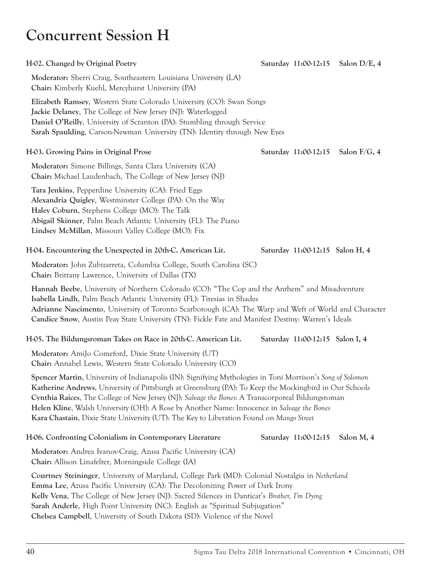# **Concurrent Session H**

| H-02. Changed by Original Poetry                                                                                                                                                                                                                                                                                                                                                        |                                 | Saturday 11:00-12:15 Salon D/E, 4 |
|-----------------------------------------------------------------------------------------------------------------------------------------------------------------------------------------------------------------------------------------------------------------------------------------------------------------------------------------------------------------------------------------|---------------------------------|-----------------------------------|
| Moderator: Sherri Craig, Southeastern Louisiana University (LA)<br>Chair: Kimberly Kuehl, Mercyhurst University (PA)                                                                                                                                                                                                                                                                    |                                 |                                   |
| Elizabeth Ramsey, Western State Colorado University (CO): Swan Songs<br>Jackie Delaney, The College of New Jersey (NJ): Waterlogged<br>Daniel O'Reilly, University of Scranton (PA): Stumbling through Service<br>Sarah Spaulding, Carson-Newman University (TN): Identity through New Eyes                                                                                             |                                 |                                   |
| H-03. Growing Pains in Original Prose                                                                                                                                                                                                                                                                                                                                                   | Saturday 11:00-12:15            | Salon $F/G$ , 4                   |
| Moderator: Simone Billings, Santa Clara University (CA)<br><b>Chair:</b> Michael Laudenbach, The College of New Jersey (NJ)                                                                                                                                                                                                                                                             |                                 |                                   |
| Tara Jenkins, Pepperdine University (CA): Fried Eggs<br>Alexandria Quigley, Westminster College (PA): On the Way<br>Haley Coburn, Stephens College (MO): The Talk<br>Abigail Skinner, Palm Beach Atlantic University (FL): The Piano<br>Lindsey McMillan, Missouri Valley College (MO): Fix                                                                                             |                                 |                                   |
| H-04. Encountering the Unexpected in 20th-C. American Lit.                                                                                                                                                                                                                                                                                                                              | Saturday 11:00-12:15 Salon H, 4 |                                   |
| Moderator: John Zubizarreta, Columbia College, South Carolina (SC)<br><b>Chair:</b> Brittany Lawrence, University of Dallas (TX)                                                                                                                                                                                                                                                        |                                 |                                   |
| Hannah Beebe, University of Northern Colorado (CO): "The Cop and the Anthem" and Misadventure<br>Isabella Lindh, Palm Beach Atlantic University (FL): Tiresias in Shades<br>Adrianne Nascimento, University of Toronto Scarborough (CA): The Warp and Weft of World and Character<br>Candice Snow, Austin Peay State University (TN): Fickle Fate and Manifest Destiny: Warren's Ideals |                                 |                                   |

### **H-05. The Bildungsroman Takes on Race in 20th-C. American Lit. Saturday 11:00-12:15 Salon I, 4**

**Moderator:** AmiJo Comeford, Dixie State University (UT) **Chair:** Annabel Lewis, Western State Colorado University (CO)

**Spencer Martin**, University of Indianapolis (IN): Signifying Mythologies in Toni Morrison's *Song of Solomon* **Katherine Andrews**, University of Pittsburgh at Greensburg (PA): To Keep the Mockingbird in Our Schools **Cynthia Raices**, The College of New Jersey (NJ): *Salvage the Bones*: A Transcorporeal Bildungsroman **Helen Kline**, Walsh University (OH): A Rose by Another Name: Innocence in *Salvage the Bones* **Kara Chastain**, Dixie State University (UT): The Key to Liberation Found on *Mango Street*

### **H-06. Confronting Colonialism in Contemporary Literature Saturday 11:00-12:15 Salon M, 4**

**Moderator:** Andrea Ivanov-Craig, Azusa Pacific University (CA) **Chair:** Allison Linafelter, Morningside College (IA)

**Courtney Steininger**, University of Maryland, College Park (MD): Colonial Nostalgia in *Netherland* **Emma Lee**, Azusa Pacific University (CA): The Decolonizing Power of Dark Irony **Kelly Vena**, The College of New Jersey (NJ): Sacred Silences in Danticat's *Brother, I'm Dying* **Sarah Anderle**, High Point University (NC): English as "Spiritual Subjugation" **Chelsea Campbell**, University of South Dakota (SD): Violence of the Novel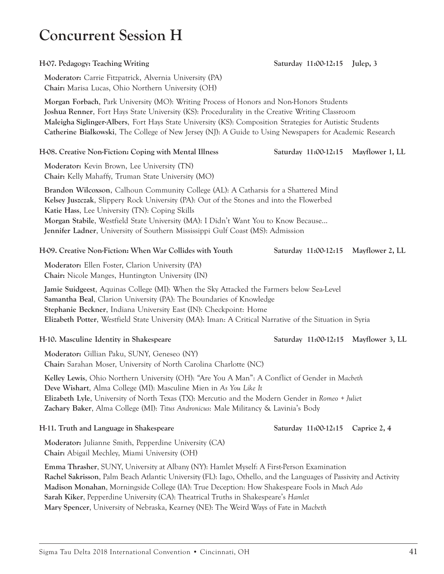### **Concurrent Session H**

**H-07. Pedagogy: Teaching Writing Saturday 11:00-12:15 Julep, 3**

**Moderator:** Carrie Fitzpatrick, Alvernia University (PA) **Chair:** Marisa Lucas, Ohio Northern University (OH)

**Morgan Forbach**, Park University (MO): Writing Process of Honors and Non-Honors Students **Joshua Renner**, Fort Hays State University (KS): Procedurality in the Creative Writing Classroom **Maleigha Siglinger-Albers**, Fort Hays State University (KS): Composition Strategies for Autistic Students **Catherine Bialkowski**, The College of New Jersey (NJ): A Guide to Using Newspapers for Academic Research

#### **H-08. Creative Non-Fiction: Coping with Mental Illness Saturday 11:00-12:15 Mayflower 1, LL**

**Moderator:** Kevin Brown, Lee University (TN) **Chair:** Kelly Mahaffy, Truman State University (MO)

**Brandon Wilcoxson**, Calhoun Community College (AL): A Catharsis for a Shattered Mind **Kelsey Juszczak**, Slippery Rock University (PA): Out of the Stones and into the Flowerbed **Katie Hass**, Lee University (TN): Coping Skills **Morgan Stabile**, Westfield State University (MA): I Didn't Want You to Know Because... **Jennifer Ladner**, University of Southern Mississippi Gulf Coast (MS): Admission

#### **H-09. Creative Non-Fiction: When War Collides with Youth Saturday 11:00-12:15 Mayflower 2, LL**

**Moderator:** Ellen Foster, Clarion University (PA) **Chair:** Nicole Manges, Huntington University (IN)

**Jamie Suidgeest**, Aquinas College (MI): When the Sky Attacked the Farmers below Sea-Level **Samantha Beal**, Clarion University (PA): The Boundaries of Knowledge **Stephanie Beckner**, Indiana University East (IN): Checkpoint: Home **Elizabeth Potter**, Westfield State University (MA): Iman: A Critical Narrative of the Situation in Syria

**Moderator:** Gillian Paku, SUNY, Geneseo (NY) **Chair:** Sarahan Moser, University of North Carolina Charlotte (NC)

**Kelley Lewis**, Ohio Northern University (OH): "Are You A Man": A Conflict of Gender in *Macbeth* **Deve Wishart**, Alma College (MI): Masculine Mien in *As You Like It* **Elizabeth Lyle**, University of North Texas (TX): Mercutio and the Modern Gender in *Romeo + Julie*t **Zachary Baker**, Alma College (MI): *Titus Andronicus*: Male Militancy & Lavinia's Body

**H-11. Truth and Language in Shakespeare Saturday 11:00-12:15 Caprice 2, 4**

**Moderator:** Julianne Smith, Pepperdine University (CA) **Chair:** Abigail Mechley, Miami University (OH)

**Emma Thrasher**, SUNY, University at Albany (NY): Hamlet Myself: A First-Person Examination **Rachel Sakrisson**, Palm Beach Atlantic University (FL): Iago, Othello, and the Languages of Passivity and Activity **Madison Monahan**, Morningside College (IA): True Deception: How Shakespeare Fools in *Much Ado* **Sarah Kiker**, Pepperdine University (CA): Theatrical Truths in Shakespeare's *Hamlet* **Mary Spencer**, University of Nebraska, Kearney (NE): The Weird Ways of Fate in *Macbeth*

### **H-10. Masculine Identity in Shakespeare Saturday 11:00-12:15 Mayflower 3, LL**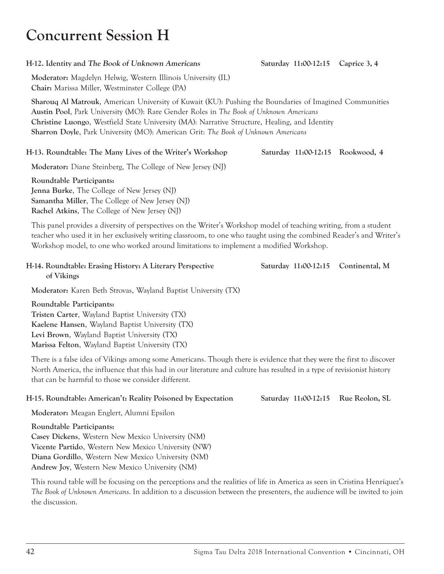# **Concurrent Session H**

#### **H-12. Identity and The Book of Unknown Americans Saturday 11:00-12:15 Caprice 3, 4**

**Moderator:** Magdelyn Helwig, Western Illinois University (IL) **Chair:** Marissa Miller, Westminster College (PA)

**Sharouq Al Matrouk**, American University of Kuwait (KU): Pushing the Boundaries of Imagined Communities **Austin Pool**, Park University (MO): Rare Gender Roles in *The Book of Unknown Americans* **Christine Luongo**, Westfield State University (MA): Narrative Structure, Healing, and Identity **Sharron Doyle**, Park University (MO): American Grit: *The Book of Unknown Americans*

### **H-13. Roundtable: The Many Lives of the Writer's Workshop Saturday 11:00-12:15 Rookwood, 4**

**Moderator:** Diane Steinberg, The College of New Jersey (NJ)

**Roundtable Participants: Jenna Burke**, The College of New Jersey (NJ) **Samantha Miller**, The College of New Jersey (NJ) **Rachel Atkins**, The College of New Jersey (NJ)

This panel provides a diversity of perspectives on the Writer's Workshop model of teaching writing, from a student teacher who used it in her exclusively writing classroom, to one who taught using the combined Reader's and Writer's Workshop model, to one who worked around limitations to implement a modified Workshop.

#### **H-14. Roundtable: Erasing History: A Literary Perspective Saturday 11:00-12:15 Continental, M of Vikings**

**Moderator:** Karen Beth Strovas, Wayland Baptist University (TX)

**Roundtable Participants: Tristen Carter**, Wayland Baptist University (TX) **Kaelene Hansen**, Wayland Baptist University (TX) **Levi Brown**, Wayland Baptist University (TX) **Marissa Felton**, Wayland Baptist University (TX)

There is a false idea of Vikings among some Americans. Though there is evidence that they were the first to discover North America, the influence that this had in our literature and culture has resulted in a type of revisionist history that can be harmful to those we consider different.

### **H-15. Roundtable: American't: Reality Poisoned by Expectation Saturday 11:00-12:15 Rue Reolon, SL**

**Moderator:** Meagan Englert, Alumni Epsilon

**Roundtable Participants: Casey Dickens**, Western New Mexico University (NM) **Vicente Partido**, Western New Mexico University (NW) **Diana Gordillo**, Western New Mexico University (NM) **Andrew Joy**, Western New Mexico University (NM)

This round table will be focusing on the perceptions and the realities of life in America as seen in Cristina Henríquez's *The Book of Unknown Americans*. In addition to a discussion between the presenters, the audience will be invited to join the discussion.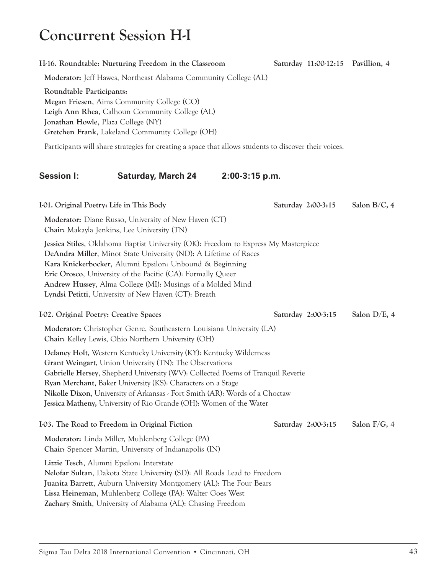# **Concurrent Session H-I**

**Moderator:** Jeff Hawes, Northeast Alabama Community College (AL)

### **Roundtable Participants: Megan Friesen**, Aims Community College (CO) **Leigh Ann Rhea**, Calhoun Community College (AL) **Jonathan Howle**, Plaza College (NY) **Gretchen Frank**, Lakeland Community College (OH) Participants will share strategies for creating a space that allows students to discover their voices. **Session I: Saturday, March 24 2:00-3:15 p.m. I-01.** Original Poetry: Life in This Body Saturday 2:00-3:15 Salon B/C, 4 **Moderator:** Diane Russo, University of New Haven (CT) **Chair:** Makayla Jenkins, Lee University (TN) **Jessica Stiles**, Oklahoma Baptist University (OK): Freedom to Express My Masterpiece **DeAndra Miller**, Minot State University (ND): A Lifetime of Races **Kara Knickerbocker**, Alumni Epsilon: Unbound & Beginning **Eric Orosco**, University of the Pacific (CA): Formally Queer **Andrew Hussey**, Alma College (MI): Musings of a Molded Mind **Lyndsi Petitti**, University of New Haven (CT): Breath **I-02. Original Poetry: Creative Spaces Saturday 2:00-3:15 Salon D/E, 4 Moderator:** Christopher Genre, Southeastern Louisiana University (LA) **Chair:** Kelley Lewis, Ohio Northern University (OH) **Delaney Holt**, Western Kentucky University (KY): Kentucky Wilderness **Grant Weingart**, Union University (TN): The Observations **Gabrielle Hersey**, Shepherd University (WV): Collected Poems of Tranquil Reverie **Ryan Merchant**, Baker University (KS): Characters on a Stage **Nikolle Dixon**, University of Arkansas - Fort Smith (AR): Words of a Choctaw **Jessica Matheny,** University of Rio Grande (OH): Women of the Water **I-03. The Road to Freedom in Original Fiction Saturday 2:00-3:15 Salon F/G, 4 Moderator:** Linda Miller, Muhlenberg College (PA) **Chair:** Spencer Martin, University of Indianapolis (IN) **Lizzie Tesch**, Alumni Epsilon: Interstate **Nelofar Sultan**, Dakota State University (SD): All Roads Lead to Freedom **Juanita Barrett**, Auburn University Montgomery (AL): The Four Bears **Lissa Heineman**, Muhlenberg College (PA): Walter Goes West

**H-16. Roundtable: Nurturing Freedom in the Classroom Saturday 11:00-12:15 Pavillion, 4**

**Zachary Smith**, University of Alabama (AL): Chasing Freedom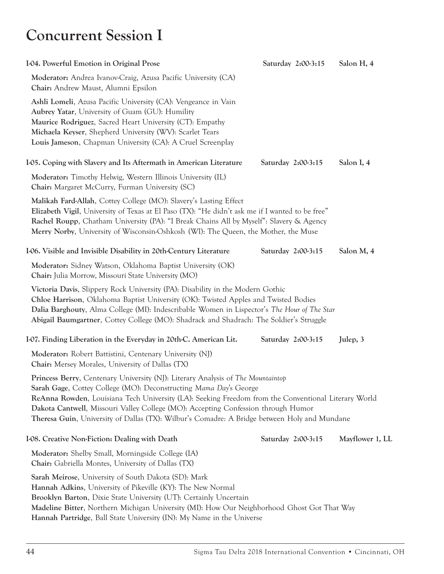# **Concurrent Session I**

| 104. Powerful Emotion in Original Prose                                                                                                                                                                                                                                                                                                                                                                                                                 | Saturday 2:00-3:15 | Salon H, 4      |
|---------------------------------------------------------------------------------------------------------------------------------------------------------------------------------------------------------------------------------------------------------------------------------------------------------------------------------------------------------------------------------------------------------------------------------------------------------|--------------------|-----------------|
| Moderator: Andrea Ivanov-Craig, Azusa Pacific University (CA)<br>Chair: Andrew Maust, Alumni Epsilon                                                                                                                                                                                                                                                                                                                                                    |                    |                 |
| Ashli Lomeli, Azusa Pacific University (CA): Vengeance in Vain<br>Aubrey Yatar, University of Guam (GU): Humility<br>Maurice Rodriguez, Sacred Heart University (CT): Empathy<br>Michaela Keyser, Shepherd University (WV): Scarlet Tears<br>Louis Jameson, Chapman University (CA): A Cruel Screenplay                                                                                                                                                 |                    |                 |
| I-05. Coping with Slavery and Its Aftermath in American Literature                                                                                                                                                                                                                                                                                                                                                                                      | Saturday 2:00-3:15 | Salon I, 4      |
| Moderator: Timothy Helwig, Western Illinois University (IL)<br>Chair: Margaret McCurry, Furman University (SC)                                                                                                                                                                                                                                                                                                                                          |                    |                 |
| Malikah Fard-Allah, Cottey College (MO): Slavery's Lasting Effect<br>Elizabeth Vigil, University of Texas at El Paso (TX): "He didn't ask me if I wanted to be free"<br>Rachel Roupp, Chatham University (PA): "I Break Chains All by Myself": Slavery & Agency<br>Merry Norby, University of Wisconsin-Oshkosh (WI): The Queen, the Mother, the Muse                                                                                                   |                    |                 |
| I-06. Visible and Invisible Disability in 20th-Century Literature                                                                                                                                                                                                                                                                                                                                                                                       | Saturday 2:00-3:15 | Salon M, 4      |
| Moderator: Sidney Watson, Oklahoma Baptist University (OK)<br>Chair: Julia Morrow, Missouri State University (MO)                                                                                                                                                                                                                                                                                                                                       |                    |                 |
| Victoria Davis, Slippery Rock University (PA): Disability in the Modern Gothic<br>Chloe Harrison, Oklahoma Baptist University (OK): Twisted Apples and Twisted Bodies<br>Dalia Barghouty, Alma College (MI): Indescribable Women in Lispector's The Hour of The Star<br>Abigail Baumgartner, Cottey College (MO): Shadrack and Shadrach: The Soldier's Struggle                                                                                         |                    |                 |
| I-07. Finding Liberation in the Everyday in 20th-C. American Lit.                                                                                                                                                                                                                                                                                                                                                                                       | Saturday 2:00-3:15 | Julep, 3        |
| Moderator: Robert Battistini, Centenary University (NJ)<br>Chair: Mersey Morales, University of Dallas (TX)                                                                                                                                                                                                                                                                                                                                             |                    |                 |
| Princess Berry, Centenary University (NJ): Literary Analysis of The Mountaintop<br>Sarah Gage, Cottey College (MO): Deconstructing Mama Day's George<br>ReAnna Rowden, Louisiana Tech University (LA): Seeking Freedom from the Conventional Literary World<br>Dakota Cantwell, Missouri Valley College (MO): Accepting Confession through Humor<br><b>Theresa Guin,</b> University of Dallas (TX): Wilbur's Comadre: A Bridge between Holy and Mundane |                    |                 |
| 108. Creative Non-Fiction: Dealing with Death                                                                                                                                                                                                                                                                                                                                                                                                           | Saturday 2:00-3:15 | Mayflower 1, LL |
| Moderator: Shelby Small, Morningside College (IA)<br>Chair: Gabriella Montes, University of Dallas (TX)                                                                                                                                                                                                                                                                                                                                                 |                    |                 |
| Sarah Meirose, University of South Dakota (SD): Mark<br>Hannah Adkins, University of Pikeville (KY): The New Normal<br>Brooklyn Barton, Dixie State University (UT): Certainly Uncertain<br>Madeline Bitter, Northern Michigan University (MI): How Our Neighborhood Ghost Got That Way<br>Hannah Partridge, Ball State University (IN): My Name in the Universe                                                                                        |                    |                 |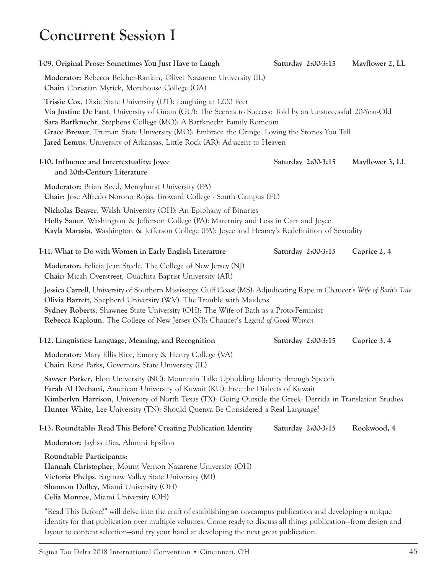# **Concurrent Session I**

| I-09. Original Prose: Sometimes You Just Have to Laugh                                                                                                                                                                                                                                                                                                                                                                         | Saturday 2:00-3:15 | Mayflower 2, LL |
|--------------------------------------------------------------------------------------------------------------------------------------------------------------------------------------------------------------------------------------------------------------------------------------------------------------------------------------------------------------------------------------------------------------------------------|--------------------|-----------------|
| Moderator: Rebecca Belcher-Rankin, Olivet Nazarene University (IL)<br>Chair: Christian Myrick, Morehouse College (GA)                                                                                                                                                                                                                                                                                                          |                    |                 |
| Trissie Cox, Dixie State University (UT): Laughing at 1200 Feet<br>Via Justine De Fant, University of Guam (GU): The Secrets to Success: Told by an Unsuccessful 20-Year-Old<br>Sara Barfknecht, Stephens College (MO): A Barfknecht Family Romcom<br>Grace Brewer, Truman State University (MO): Embrace the Cringe: Loving the Stories You Tell<br>Jared Lemus, University of Arkansas, Little Rock (AR): Adjacent to Heaven |                    |                 |
| I-10. Influence and Intertextuality: Joyce<br>and 20th-Century Literature                                                                                                                                                                                                                                                                                                                                                      | Saturday 2:00-3:15 | Mayflower 3, LL |
| Moderator: Brian Reed, Mercyhurst University (PA)<br>Chair: Jose Alfredo Norono Rojas, Broward College - South Campus (FL)                                                                                                                                                                                                                                                                                                     |                    |                 |
| Nicholas Beaver, Walsh University (OH): An Epiphany of Binaries<br>Holly Sauer, Washington & Jefferson College (PA): Maternity and Loss in Carr and Joyce<br>Kayla Marasia, Washington & Jefferson College (PA): Joyce and Heaney's Redefinition of Sexuality                                                                                                                                                                  |                    |                 |
| I-11. What to Do with Women in Early English Literature                                                                                                                                                                                                                                                                                                                                                                        | Saturday 2:00-3:15 | Caprice 2, 4    |
| Moderator: Felicia Jean Steele, The College of New Jersey (NJ)<br>Chair: Micah Overstreet, Ouachita Baptist University (AR)                                                                                                                                                                                                                                                                                                    |                    |                 |
| Jessica Carrell, University of Southern Mississippi Gulf Coast (MS): Adjudicating Rape in Chaucer's Wife of Bath's Tale<br>Olivia Barrett, Shepherd University (WV): The Trouble with Maidens<br>Sydney Roberts, Shawnee State University (OH): The Wife of Bath as a Proto-Feminist<br>Rebecca Kaploun, The College of New Jersey (NJ): Chaucer's Legend of Good Women                                                        |                    |                 |
| I-12. Linguistics: Language, Meaning, and Recognition                                                                                                                                                                                                                                                                                                                                                                          | Saturday 2:00-3:15 | Caprice 3, 4    |
| Moderator: Mary Ellis Rice, Emory & Henry College (VA)<br>Chair: René Parks, Governors State University (IL)                                                                                                                                                                                                                                                                                                                   |                    |                 |
| Sawyer Parker, Elon University (NC): Mountain Talk: Upholding Identity through Speech<br>Farah Al Deehani, American University of Kuwait (KU): Free the Dialects of Kuwait<br>Kimberlyn Harrison, University of North Texas (TX): Going Outside the Greek: Derrida in Translation Studies<br>Hunter White, Lee University (TN): Should Quenya Be Considered a Real Language?                                                   |                    |                 |
| I-13. Roundtable: Read This Before? Creating Publication Identity                                                                                                                                                                                                                                                                                                                                                              | Saturday 2:00-3:15 | Rookwood, 4     |
| Moderator: Jayliss Diaz, Alumni Epsilon                                                                                                                                                                                                                                                                                                                                                                                        |                    |                 |
| Roundtable Participants:<br>Hannah Christopher, Mount Vernon Nazarene University (OH)<br>Victoria Phelps, Saginaw Valley State University (MI)<br>Shannon Dolley, Miami University (OH)<br>Celia Monroe, Miami University (OH)                                                                                                                                                                                                 |                    |                 |
| "Read This Before?" will delve into the craft of establishing an on-campus publication and developing a unique                                                                                                                                                                                                                                                                                                                 |                    |                 |

"Read This Before?" will delve into the craft of establishing an on-campus publication and developing a unique identity for that publication over multiple volumes. Come ready to discuss all things publication—from design and layout to content selection—and try your hand at developing the next great publication.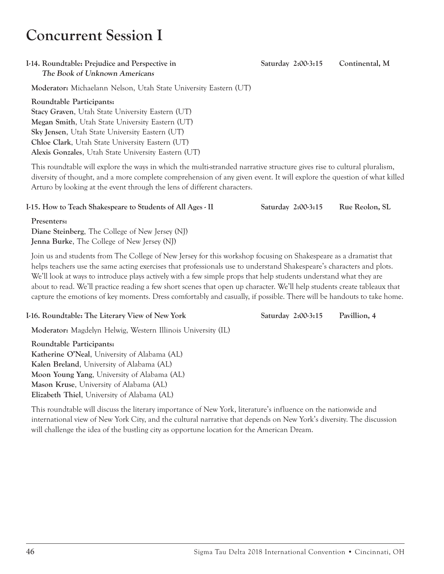# **Concurrent Session I**

#### **I-14. Roundtable: Prejudice and Perspective in Saturday 2:00-3:15 Continental, M The Book of Unknown Americans**

**Moderator:** Michaelann Nelson, Utah State University Eastern (UT)

### **Roundtable Participants:**

**Stacy Graven**, Utah State University Eastern (UT) **Megan Smith**, Utah State University Eastern (UT) **Sky Jensen**, Utah State University Eastern (UT) **Chloe Clark**, Utah State University Eastern (UT) **Alexis Gonzales**, Utah State University Eastern (UT)

This roundtable will explore the ways in which the multi-stranded narrative structure gives rise to cultural pluralism, diversity of thought, and a more complete comprehension of any given event. It will explore the question of what killed Arturo by looking at the event through the lens of different characters.

### **I-15. How to Teach Shakespeare to Students of All Ages - II Saturday 2:00-3:15 Rue Reolon, SL**

**Presenters:**

**Diane Steinberg**, The College of New Jersey (NJ) **Jenna Burke**, The College of New Jersey (NJ)

Join us and students from The College of New Jersey for this workshop focusing on Shakespeare as a dramatist that helps teachers use the same acting exercises that professionals use to understand Shakespeare's characters and plots. We'll look at ways to introduce plays actively with a few simple props that help students understand what they are about to read. We'll practice reading a few short scenes that open up character. We'll help students create tableaux that capture the emotions of key moments. Dress comfortably and casually, if possible. There will be handouts to take home.

### **I-16. Roundtable: The Literary View of New York Saturday 2:00-3:15 Pavillion, 4**

**Moderator:** Magdelyn Helwig, Western Illinois University (IL)

**Roundtable Participants: Katherine O'Neal**, University of Alabama (AL) **Kalen Breland**, University of Alabama (AL) **Moon Young Yang**, University of Alabama (AL) **Mason Kruse**, University of Alabama (AL) **Elizabeth Thiel**, University of Alabama (AL)

This roundtable will discuss the literary importance of New York, literature's influence on the nationwide and international view of New York City, and the cultural narrative that depends on New York's diversity. The discussion will challenge the idea of the bustling city as opportune location for the American Dream.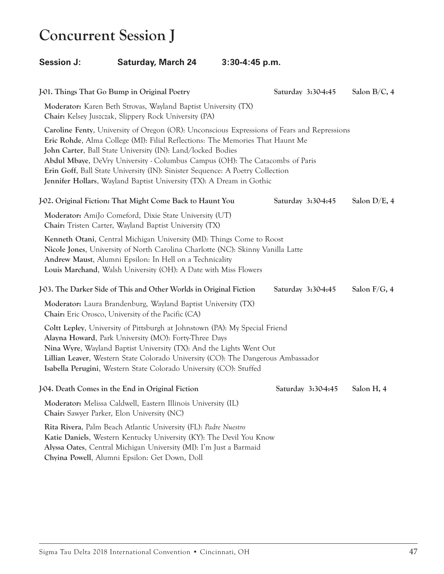# **Concurrent Session J**

### **Session J: Saturday, March 24 3:30-4:45 p.m.**

| J-01. Things That Go Bump in Original Poetry                                                                                                                                                                                                                                                                                                                                                                                                                                         | Saturday 3:30-4:45 | Salon B/C, 4 |
|--------------------------------------------------------------------------------------------------------------------------------------------------------------------------------------------------------------------------------------------------------------------------------------------------------------------------------------------------------------------------------------------------------------------------------------------------------------------------------------|--------------------|--------------|
| Moderator: Karen Beth Strovas, Wayland Baptist University (TX)<br>Chair: Kelsey Juszczak, Slippery Rock University (PA)                                                                                                                                                                                                                                                                                                                                                              |                    |              |
| Caroline Fenty, University of Oregon (OR): Unconscious Expressions of Fears and Repressions<br>Eric Rohde, Alma College (MI): Filial Reflections: The Memories That Haunt Me<br>John Carter, Ball State University (IN): Land/locked Bodies<br>Abdul Mbaye, DeVry University - Columbus Campus (OH): The Catacombs of Paris<br>Erin Goff, Ball State University (IN): Sinister Sequence: A Poetry Collection<br>Jennifer Hollars, Wayland Baptist University (TX): A Dream in Gothic |                    |              |
| J-02. Original Fiction: That Might Come Back to Haunt You                                                                                                                                                                                                                                                                                                                                                                                                                            | Saturday 3:30-4:45 | Salon D/E, 4 |
| Moderator: AmiJo Comeford, Dixie State University (UT)<br>Chair: Tristen Carter, Wayland Baptist University (TX)                                                                                                                                                                                                                                                                                                                                                                     |                    |              |
| Kenneth Otani, Central Michigan University (MI): Things Come to Roost<br>Nicole Jones, University of North Carolina Charlotte (NC): Skinny Vanilla Latte<br>Andrew Maust, Alumni Epsilon: In Hell on a Technicality<br>Louis Marchand, Walsh University (OH): A Date with Miss Flowers                                                                                                                                                                                               |                    |              |
| J-03. The Darker Side of This and Other Worlds in Original Fiction                                                                                                                                                                                                                                                                                                                                                                                                                   | Saturday 3:30-4:45 | Salon F/G, 4 |
| Moderator: Laura Brandenburg, Wayland Baptist University (TX)<br>Chair: Eric Orosco, University of the Pacific (CA)                                                                                                                                                                                                                                                                                                                                                                  |                    |              |
| Coltt Lepley, University of Pittsburgh at Johnstown (PA): My Special Friend<br>Alayna Howard, Park University (MO): Forty-Three Days<br>Nina Wyre, Wayland Baptist University (TX): And the Lights Went Out<br>Lillian Leaver, Western State Colorado University (CO): The Dangerous Ambassador<br>Isabella Perugini, Western State Colorado University (CO): Stuffed                                                                                                                |                    |              |
| J-04. Death Comes in the End in Original Fiction                                                                                                                                                                                                                                                                                                                                                                                                                                     | Saturday 3:30-4:45 | Salon H, 4   |
| Moderator: Melissa Caldwell, Eastern Illinois University (IL)<br>Chair: Sawyer Parker, Elon University (NC)                                                                                                                                                                                                                                                                                                                                                                          |                    |              |
| Rita Rivera, Palm Beach Atlantic University (FL): Padre Nuestro<br>Katie Daniels, Western Kentucky University (KY): The Devil You Know<br>Alyssa Oates, Central Michigan University (MI): I'm Just a Barmaid<br>Chyina Powell, Alumni Epsilon: Get Down, Doll                                                                                                                                                                                                                        |                    |              |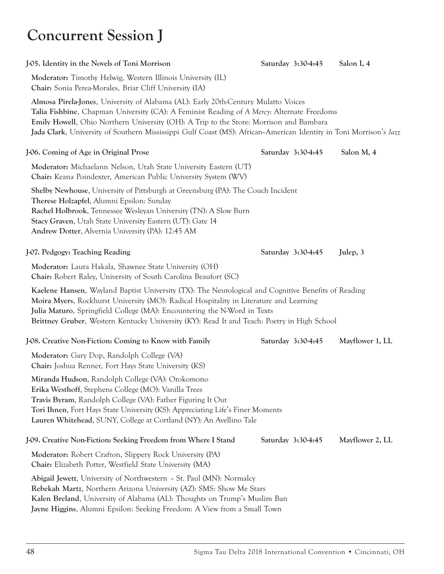# **Concurrent Session J**

| J-05. Identity in the Novels of Toni Morrison                                                                                                                                                                                                                                                                                                                                                   | Saturday 3:30-4:45 | Salon I, 4      |
|-------------------------------------------------------------------------------------------------------------------------------------------------------------------------------------------------------------------------------------------------------------------------------------------------------------------------------------------------------------------------------------------------|--------------------|-----------------|
| Moderator: Timothy Helwig, Western Illinois University (IL)<br>Chair: Sonia Perea-Morales, Briar Cliff University (IA)                                                                                                                                                                                                                                                                          |                    |                 |
| Almosa Pirela-Jones, University of Alabama (AL): Early 20th-Century Mulatto Voices<br>Talia Fishbine, Chapman University (CA): A Feminist Reading of A Mercy: Alternate Freedoms<br>Emily Howell, Ohio Northern University (OH): A Trip to the Store: Morrison and Bambara<br>Jada Clark, University of Southern Mississippi Gulf Coast (MS): African-American Identity in Toni Morrison's Jazz |                    |                 |
| J-06. Coming of Age in Original Prose                                                                                                                                                                                                                                                                                                                                                           | Saturday 3:30-4:45 | Salon M, 4      |
| Moderator: Michaelann Nelson, Utah State University Eastern (UT)<br>Chair: Keana Poindexter, American Public University System (WV)                                                                                                                                                                                                                                                             |                    |                 |
| <b>Shelby Newhouse, University of Pittsburgh at Greensburg (PA): The Couch Incident</b><br>Therese Holzapfel, Alumni Epsilon: Sunday<br>Rachel Holbrook, Tennessee Wesleyan University (TN): A Slow Burn<br>Stacy Graven, Utah State University Eastern (UT): Gate 14<br>Andrew Dotter, Alvernia University (PA): 12:45 AM                                                                      |                    |                 |
| J-07. Pedgogy: Teaching Reading                                                                                                                                                                                                                                                                                                                                                                 | Saturday 3:30-4:45 | Julep, 3        |
| Moderator: Laura Hakala, Shawnee State University (OH)<br>Chair: Robert Raley, University of South Carolina Beaufort (SC)                                                                                                                                                                                                                                                                       |                    |                 |
| Kaelene Hansen, Wayland Baptist University (TX): The Neurological and Cognitive Benefits of Reading<br>Moira Myers, Rockhurst University (MO): Radical Hospitality in Literature and Learning<br>Julia Maturo, Springfield College (MA): Encountering the N-Word in Texts<br>Brittney Gruber, Western Kentucky University (KY): Read It and Teach: Poetry in High School                        |                    |                 |
| J-08. Creative Non-Fiction: Coming to Know with Family                                                                                                                                                                                                                                                                                                                                          | Saturday 3:30-4:45 | Mayflower 1, LL |
| Moderator: Gary Dop, Randolph College (VA)<br>Chair: Joshua Renner, Fort Hays State University (KS)                                                                                                                                                                                                                                                                                             |                    |                 |
| Miranda Hudson, Randolph College (VA): Orokomono<br>Erika Westhoff, Stephens College (MO): Vanilla Trees<br>Travis Byram, Randolph College (VA): Father Figuring It Out<br>Tori Ihnen, Fort Hays State University (KS): Appreciating Life's Finer Moments<br>Lauren Whitehead, SUNY, College at Cortland (NY): An Avellino Tale                                                                 |                    |                 |
| J-09. Creative Non-Fiction: Seeking Freedom from Where I Stand                                                                                                                                                                                                                                                                                                                                  | Saturday 3:30-4:45 | Mayflower 2, LL |
| Moderator: Robert Crafton, Slippery Rock University (PA)<br>Chair: Elizabeth Potter, Westfield State University (MA)                                                                                                                                                                                                                                                                            |                    |                 |
| Abigail Jewett, University of Northwestern - St. Paul (MN): Normalcy<br>Rebekah Martz, Northern Arizona University (AZ): SMS: Show Me Stars<br>Kalen Breland, University of Alabama (AL): Thoughts on Trump's Muslim Ban                                                                                                                                                                        |                    |                 |

**Jayne Higgins**, Alumni Epsilon: Seeking Freedom: A View from a Small Town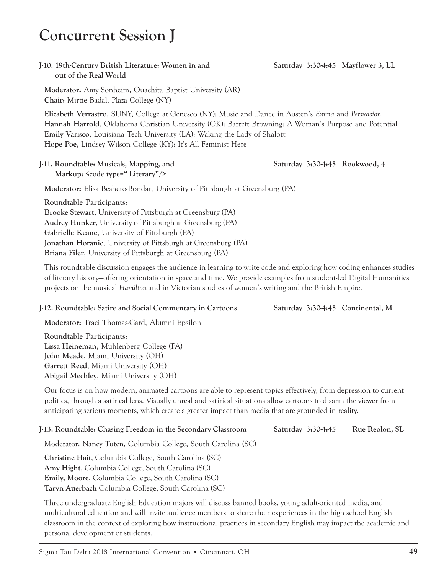### **Concurrent Session J**

### **out of the Real World**

**Moderator:** Amy Sonheim, Ouachita Baptist University (AR) **Chair:** Mirtie Badal, Plaza College (NY)

**Elizabeth Verrastro**, SUNY, College at Geneseo (NY): Music and Dance in Austen's *Emma* and *Persuasion* **Hannah Harrold**, Oklahoma Christian University (OK): Barrett Browning: A Woman's Purpose and Potential **Emily Varisco**, Louisiana Tech University (LA): Waking the Lady of Shalott **Hope Poe**, Lindsey Wilson College (KY): It's All Feminist Here

#### **J-11. Roundtable: Musicals, Mapping, and Saturday 3:30-4:45 Rookwood, 4 Markup: <code type=" Literary"/>**

**Moderator:** Elisa Beshero-Bondar, University of Pittsburgh at Greensburg (PA)

**Roundtable Participants: Brooke Stewart**, University of Pittsburgh at Greensburg (PA) **Audrey Hunker**, University of Pittsburgh at Greensburg (PA) **Gabrielle Keane**, University of Pittsburgh (PA) **Jonathan Horanic**, University of Pittsburgh at Greensburg (PA) **Briana Filer**, University of Pittsburgh at Greensburg (PA)

This roundtable discussion engages the audience in learning to write code and exploring how coding enhances studies of literary history—offering orientation in space and time. We provide examples from student-led Digital Humanities projects on the musical *Hamilton* and in Victorian studies of women's writing and the British Empire.

#### **J-12. Roundtable: Satire and Social Commentary in Cartoons Saturday 3:30-4:45 Continental, M**

**Moderator:** Traci Thomas-Card, Alumni Epsilon

**Roundtable Participants: Lissa Heineman**, Muhlenberg College (PA) **John Meade**, Miami University (OH) **Garrett Reed**, Miami University (OH) **Abigail Mechley**, Miami University (OH)

Our focus is on how modern, animated cartoons are able to represent topics effectively, from depression to current politics, through a satirical lens. Visually unreal and satirical situations allow cartoons to disarm the viewer from anticipating serious moments, which create a greater impact than media that are grounded in reality.

#### **J-13. Roundtable: Chasing Freedom in the Secondary Classroom Saturday 3:30-4:45 Rue Reolon, SL**

Moderator: Nancy Tuten, Columbia College, South Carolina (SC)

**Christine Hait**, Columbia College, South Carolina (SC) **Amy Hight**, Columbia College, South Carolina (SC) **Emily, Moore**, Columbia College, South Carolina (SC) **Taryn Auerbach** Columbia College, South Carolina (SC)

Three undergraduate English Education majors will discuss banned books, young adult-oriented media, and multicultural education and will invite audience members to share their experiences in the high school English classroom in the context of exploring how instructional practices in secondary English may impact the academic and personal development of students.

**J-10. 19th-Century British Literature: Women in and Saturday 3:30-4:45 Mayflower 3, LL**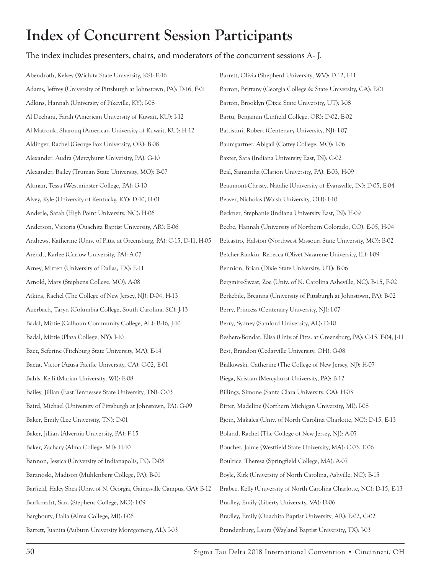#### The index includes presenters, chairs, and moderators of the concurrent sessions A- J.

Abendroth, Kelsey (Wichita State University, KS): E-16 Adams, Jeffrey (University of Pittsburgh at Johnstown, PA): D-16, F-01 Adkins, Hannah (University of Pikeville, KY): I-08 Al Deehani, Farah (American University of Kuwait, KU): I-12 Al Matrouk, Sharouq (American University of Kuwait, KU): H-12 Aldinger, Rachel (George Fox University, OR): B-08 Alexander, Audra (Mercyhurst University, PA): G-10 Alexander, Bailey (Truman State University, MO): B-07 Altman, Tessa (Westminster College, PA): G-10 Alvey, Kyle (University of Kentucky, KY): D-10, H-01 Anderle, Sarah (High Point University, NC): H-06 Anderson, Victoria (Ouachita Baptist University, AR): E-06 Andrews, Katherine (Univ. of Pitts. at Greensburg, PA): C-15, D-11, H-05 Arendt, Karlee (Carlow University, PA): A-07 Arney, Mirren (University of Dallas, TX): E-11 Arnold, Mary (Stephens College, MO): A-08 Atkins, Rachel (The College of New Jersey, NJ): D-04, H-13 Auerbach, Taryn (Columbia College, South Carolina, SC): J-13 Badal, Mirtie (Calhoun Community College, AL): B-16, J-10 Badal, Mirtie (Plaza College, NY): J-10 Baez, Seferine (Fitchburg State University, MA): E-14 Baeza, Victor (Azusa Pacific University, CA): C-02, E-01 Bahls, Kelli (Marian University, WI): E-08 Bailey, Jillian (East Tennessee State University, TN): C-03 Baird, Michael (University of Pittsburgh at Johnstown, PA): G-09 Baker, Emily (Lee University, TN): D-01 Baker, Jillian (Alvernia University, PA): F-15 Baker, Zachary (Alma College, MI): H-10 Bannon, Jessica (University of Indianapolis, IN): D-08 Baranoski, Madison (Muhlenberg College, PA): B-01 Barfield, Haley Shea (Univ. of N. Georgia, Gainesville Campus, GA): B-12 Barfknecht, Sara (Stephens College, MO): I-09 Barghouty, Dalia (Alma College, MI): I-06 Barrett, Juanita (Auburn University Montgomery, AL): I-03 Barrett, Olivia (Shepherd University, WV): D-12, I-11 Barron, Brittany (Georgia College & State University, GA): E-01 Barton, Brooklyn (Dixie State University, UT): I-08 Bartu, Benjamin (Linfield College, OR): D-02, E-02 Battistini, Robert (Centenary University, NJ): I-07 Baumgartner, Abigail (Cottey College, MO): I-06 Baxter, Sara (Indiana University East, IN): G-02 Beal, Samantha (Clarion University, PA): E-03, H-09 Beaumont-Christy, Natalie (University of Evansville, IN): D-05, E-04 Beaver, Nicholas (Walsh University, OH): I-10 Beckner, Stephanie (Indiana University East, IN): H-09 Beebe, Hannah (University of Northern Colorado, CO): E-05, H-04 Belcastro, Halston (Northwest Missouri State University, MO): B-02 Belcher-Rankin, Rebecca (Olivet Nazarene University, IL): I-09 Bennion, Brian (Dixie State University, UT): B-06 Bergmire-Sweat, Zoe (Univ. of N. Carolina Asheville, NC): B-15, F-02 Berkebile, Breanna (University of Pittsburgh at Johnstown, PA): B-02 Berry, Princess (Centenary University, NJ): I-07 Berry, Sydney (Samford University, AL): D-10 Beshero-Bondar, Elisa (Univ.of Pitts. at Greensburg, PA): C-15, F-04, J-11 Best, Brandon (Cedarville University, OH): G-08 Bialkowski, Catherine (The College of New Jersey, NJ): H-07 Biega, Kristian (Mercyhurst University, PA): B-12 Billings, Simone (Santa Clara University, CA): H-03 Bitter, Madeline (Northern Michigan University, MI): I-08 Bjoin, Makalea (Univ. of North Carolina Charlotte, NC): D-15, E-13 Boland, Rachel (The College of New Jersey, NJ): A-07 Boucher, Jaime (Westfield State University, MA): C-03, E-06 Boulrice, Theresa (Springfield College, MA): A-07 Boyle, Kirk (University of North Carolina, Ashville, NC): B-15 Brabec, Kelly (University of North Carolina Charlotte, NC): D-15, E-13 Bradley, Emily (Liberty University, VA): D-06 Bradley, Emily (Ouachita Baptist University, AR): E-02, G-02 Brandenburg, Laura (Wayland Baptist University, TX): J-03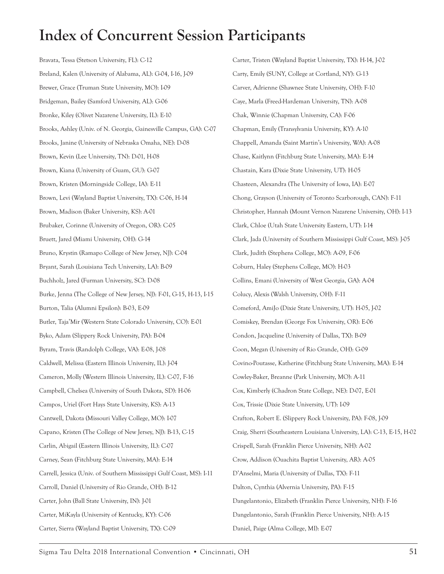Bravata, Tessa (Stetson University, FL): C-12 Breland, Kalen (University of Alabama, AL): G-04, I-16, J-09 Brewer, Grace (Truman State University, MO): I-09 Bridgeman, Bailey (Samford University, AL): G-06 Bronke, Kiley (Olivet Nazarene University, IL): E-10 Brooks, Ashley (Univ. of N. Georgia, Gainesville Campus, GA): C-07 Brooks, Janine (University of Nebraska Omaha, NE): D-08 Brown, Kevin (Lee University, TN): D-01, H-08 Brown, Kiana (University of Guam, GU): G-07 Brown, Kristen (Morningside College, IA): E-11 Brown, Levi (Wayland Baptist University, TX): C-06, H-14 Brown, Madison (Baker University, KS): A-01 Brubaker, Corinne (University of Oregon, OR): C-05 Bruett, Jared (Miami University, OH): G-14 Bruno, Krystin (Ramapo College of New Jersey, NJ): C-04 Bryant, Sarah (Louisiana Tech University, LA): B-09 Buchholz, Jared (Furman University, SC): D-08 Burke, Jenna (The College of New Jersey, NJ): F-01, G-15, H-13, I-15 Burton, Talia (Alumni Epsilon): B-03, E-09 Butler, Taja'Mir (Western State Colorado University, CO): E-01 Byko, Adam (Slippery Rock University, PA): B-04 Byram, Travis (Randolph College, VA): E-08, J-08 Caldwell, Melissa (Eastern Illinois University, IL): J-04 Cameron, Molly (Western Illinois University, IL): C-07, F-16 Campbell, Chelsea (University of South Dakota, SD): H-06 Campos, Uriel (Fort Hays State University, KS): A-13 Cantwell, Dakota (Missouri Valley College, MO): I-07 Capano, Kristen (The College of New Jersey, NJ): B-13, C-15 Carlin, Abigail (Eastern Illinois University, IL): C-07 Carney, Sean (Fitchburg State University, MA): E-14 Carrell, Jessica (Univ. of Southern Mississippi Gulf Coast, MS): I-11 Carroll, Daniel (University of Rio Grande, OH): B-12 Carter, John (Ball State University, IN): J-01 Carter, MiKayla (University of Kentucky, KY): C-06 Carter, Sierra (Wayland Baptist University, TX): C-09

Carter, Tristen (Wayland Baptist University, TX): H-14, J-02 Carty, Emily (SUNY, College at Cortland, NY): G-13 Carver, Adrienne (Shawnee State University, OH): F-10 Caye, Marla (Freed-Hardeman University, TN): A-08 Chak, Winnie (Chapman University, CA): F-06 Chapman, Emily (Transylvania University, KY): A-10 Chappell, Amanda (Saint Martin's University, WA): A-08 Chase, Kaitlynn (Fitchburg State University, MA): E-14 Chastain, Kara (Dixie State University, UT): H-05 Chasteen, Alexandra (The University of Iowa, IA): E-07 Chong, Grayson (University of Toronto Scarborough, CAN): F-11 Christopher, Hannah (Mount Vernon Nazarene University, OH): I-13 Clark, Chloe (Utah State University Eastern, UT): I-14 Clark, Jada (University of Southern Mississippi Gulf Coast, MS): J-05 Clark, Judith (Stephens College, MO): A-09, F-06 Coburn, Haley (Stephens College, MO): H-03 Collins, Emani (University of West Georgia, GA): A-04 Colucy, Alexis (Walsh University, OH): F-11 Comeford, AmiJo (Dixie State University, UT): H-05, J-02 Comiskey, Brendan (George Fox University, OR): E-06 Condon, Jacqueline (University of Dallas, TX): B-09 Coon, Megan (University of Rio Grande, OH): G-09 Covino-Poutasse, Katherine (Fitchburg State University, MA): E-14 Cowley-Baker, Breanne (Park University, MO): A-11 Cox, Kimberly (Chadron State College, NE): D-07, E-01 Cox, Trissie (Dixie State University, UT): I-09 Crafton, Robert E. (Slippery Rock University, PA): F-08, J-09 Craig, Sherri (Southeastern Louisiana University, LA): C-13, E-15, H-02 Crispell, Sarah (Franklin Pierce University, NH): A-02 Crow, Addison (Ouachita Baptist University, AR): A-05 D'Anselmi, Maria (University of Dallas, TX): F-11 Dalton, Cynthia (Alvernia University, PA): F-15 Dangelantonio, Elizabeth (Franklin Pierce University, NH): F-16 Dangelantonio, Sarah (Franklin Pierce University, NH): A-15 Daniel, Paige (Alma College, MI): E-07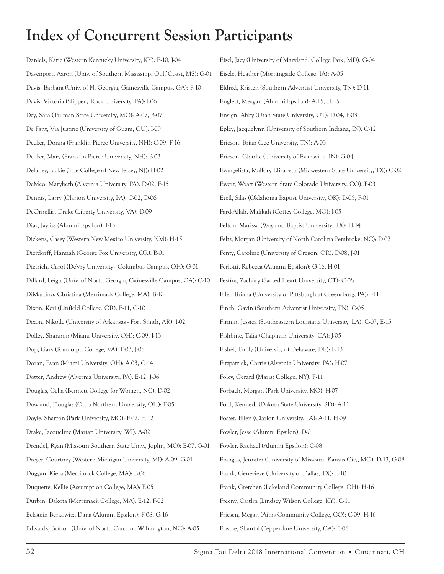Daniels, Katie (Western Kentucky University, KY): E-10, J-04 Davenport, Aaron (Univ. of Southern Mississippi Gulf Coast, MS): G-01 Davis, Barbara (Univ. of N. Georgia, Gainesville Campus, GA): F-10 Davis, Victoria (Slippery Rock University, PA): I-06 Day, Sara (Truman State University, MO): A-07, B-07 De Fant, Via Justine (University of Guam, GU): I-09 Decker, Donna (Franklin Pierce University, NH): C-09, F-16 Decker, Mary (Franklin Pierce University, NH): B-03 Delaney, Jackie (The College of New Jersey, NJ): H-02 DeMeo, Marybeth (Alvernia University, PA): D-02, F-15 Dennis, Larry (Clarion University, PA): C-02, D-06 DeOrnellis, Drake (Liberty University, VA): D-09 Diaz, Jayliss (Alumni Epsilon): I-13 Dickens, Casey (Western New Mexico University, NM): H-15 Dierdorff, Hannah (George Fox University, OR): B-01 Dietrich, Carol (DeVry University - Columbus Campus, OH): G-01 Dillard, Leigh (Univ. of North Georgia, Gainesville Campus, GA): C-10 DiMartino, Christina (Merrimack College, MA): B-10 Dixon, Keri (Linfield College, OR): E-11, G-10 Dixon, Nikolle (University of Arkansas - Fort Smith, AR): I-02 Dolley, Shannon (Miami University, OH): C-09, I-13 Dop, Gary (Randolph College, VA): F-03, J-08 Doran, Evan (Miami University, OH): A-03, G-14 Dotter, Andrew (Alvernia University, PA): E-12, J-06 Douglas, Celia (Bennett College for Women, NC): D-02 Dowland, Douglas (Ohio Northern University, OH): F-05 Doyle, Sharron (Park University, MO): F-02, H-12 Drake, Jacqueline (Marian University, WI): A-02 Drendel, Ryan (Missouri Southern State Univ., Joplin, MO): E-07, G-01 Dreyer, Courtney (Western Michigan University, MI): A-09, G-01 Duggan, Kiera (Merrimack College, MA): B-06 Duquette, Kellie (Assumption College, MA): E-05 Durbin, Dakota (Merrimack College, MA): E-12, F-02 Eckstein Berkowitz, Dana (Alumni Epsilon): F-08, G-16 Edwards, Britton (Univ. of North Carolina Wilmington, NC): A-05 Frisbie, Shantal (Pepperdine University, CA): E-08

Eisel, Jacy (University of Maryland, College Park, MD): G-04 Eisele, Heather (Morningside College, IA): A-05 Eldred, Kristen (Southern Adventist University, TN): D-11 Englert, Meagan (Alumni Epsilon): A-15, H-15 Ensign, Abby (Utah State University, UT): D-04, F-03 Epley, Jacquelynn (University of Southern Indiana, IN): C-12 Ericson, Brian (Lee University, TN): A-03 Ericson, Charlie (University of Evansville, IN): G-04 Evangelista, Mallory Elizabeth (Midwestern State University, TX): C-02 Ewert, Wyatt (Western State Colorado University, CO): F-03 Ezell, Silas (Oklahoma Baptist University, OK): D-05, F-01 Fard-Allah, Malikah (Cottey College, MO): I-05 Felton, Marissa (Wayland Baptist University, TX): H-14 Feltz, Morgan (University of North Carolina Pembroke, NC): D-02 Fenty, Caroline (University of Oregon, OR): D-08, J-01 Ferlotti, Rebecca (Alumni Epsilon): G-16, H-01 Festini, Zachary (Sacred Heart University, CT): C-08 Filer, Briana (University of Pittsburgh at Greensburg, PA): J-11 Finch, Gavin (Southern Adventist University, TN): C-05 Firmin, Jessica (Southeastern Louisiana University, LA): C-07, E-15 Fishbine, Talia (Chapman University, CA): J-05 Fishel, Emily (University of Delaware, DE): F-13 Fitzpatrick, Carrie (Alvernia University, PA): H-07 Foley, Gerard (Marist College, NY): F-11 Forbach, Morgan (Park University, MO): H-07 Ford, Kennedi (Dakota State University, SD): A-11 Foster, Ellen (Clarion University, PA): A-11, H-09 Fowler, Jesse (Alumni Epsilon): D-01 Fowler, Rachael (Alumni Epsilon): C-08 Frangos, Jennifer (University of Missouri, Kansas City, MO): D-13, G-08 Frank, Genevieve (University of Dallas, TX): E-10 Frank, Gretchen (Lakeland Community College, OH): H-16 Freeny, Caitlin (Lindsey Wilson College, KY): C-11 Friesen, Megan (Aims Community College, CO): C-09, H-16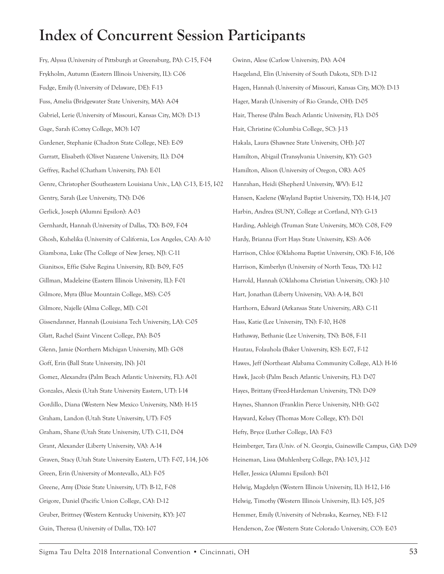Fry, Alyssa (University of Pittsburgh at Greensburg, PA): C-15, F-04 Frykholm, Autumn (Eastern Illinois University, IL): C-06 Fudge, Emily (University of Delaware, DE): F-13 Fuss, Amelia (Bridgewater State University, MA): A-04 Gabriel, Lerie (University of Missouri, Kansas City, MO): D-13 Gage, Sarah (Cottey College, MO): I-07 Gardener, Stephanie (Chadron State College, NE): E-09 Garratt, Elisabeth (Olivet Nazarene University, IL): D-04 Geffrey, Rachel (Chatham University, PA): E-01 Genre, Christopher (Southeastern Louisiana Univ., LA): C-13, E-15, I-02 Gentry, Sarah (Lee University, TN): D-06 Gerlick, Joseph (Alumni Epsilon): A-03 Gernhardt, Hannah (University of Dallas, TX): B-09, F-04 Ghosh, Kuhelika (University of California, Los Angeles, CA): A-10 Giambona, Luke (The College of New Jersey, NJ): C-11 Gianitsos, Effie (Salve Regina University, RI): B-09, F-05 Gillman, Madeleine (Eastern Illinois University, IL): F-01 Gilmore, Myra (Blue Mountain College, MS): C-05 Gilmore, Najelle (Alma College, MI): C-01 Gissendanner, Hannah (Louisiana Tech University, LA): C-05 Glatt, Rachel (Saint Vincent College, PA): B-05 Glenn, Jamie (Northern Michigan University, MI): G-08 Goff, Erin (Ball State University, IN): J-01 Gomez, Alexandra (Palm Beach Atlantic University, FL): A-01 Gonzales, Alexis (Utah State University Eastern, UT): I-14 Gordillo, Diana (Western New Mexico University, NM): H-15 Graham, Landon (Utah State University, UT): F-05 Graham, Shane (Utah State University, UT): C-11, D-04 Grant, Alexander (Liberty University, VA): A-14 Graven, Stacy (Utah State University Eastern, UT): F-07, I-14, J-06 Green, Erin (University of Montevallo, AL): F-05 Greene, Amy (Dixie State University, UT): B-12, F-08 Grigore, Daniel (Pacific Union College, CA): D-12 Gruber, Brittney (Western Kentucky University, KY): J-07 Guin, Theresa (University of Dallas, TX): I-07

Gwinn, Alese (Carlow University, PA): A-04 Haegeland, Elin (University of South Dakota, SD): D-12 Hagen, Hannah (University of Missouri, Kansas City, MO): D-13 Hager, Marah (University of Rio Grande, OH): D-05 Hair, Therese (Palm Beach Atlantic University, FL): D-05 Hait, Christine (Columbia College, SC): J-13 Hakala, Laura (Shawnee State University, OH): J-07 Hamilton, Abigail (Transylvania University, KY): G-03 Hamilton, Alison (University of Oregon, OR): A-05 Hanrahan, Heidi (Shepherd University, WV): E-12 Hansen, Kaelene (Wayland Baptist University, TX): H-14, J-07 Harbin, Andrea (SUNY, College at Cortland, NY): G-13 Harding, Ashleigh (Truman State University, MO): C-08, F-09 Hardy, Brianna (Fort Hays State University, KS): A-06 Harrison, Chloe (Oklahoma Baptist University, OK): F-16, I-06 Harrison, Kimberlyn (University of North Texas, TX): I-12 Harrold, Hannah (Oklahoma Christian University, OK): J-10 Hart, Jonathan (Liberty University, VA): A-14, B-01 Harthorn, Edward (Arkansas State University, AR): C-11 Hass, Katie (Lee University, TN): F-10, H-08 Hathaway, Bethanie (Lee University, TN): B-08, F-11 Hautau, Folauhola (Baker University, KS): E-07, F-12 Hawes, Jeff (Northeast Alabama Community College, AL): H-16 Hawk, Jacob (Palm Beach Atlantic University, FL): D-07 Hayes, Brittany (Freed-Hardeman University, TN): D-09 Haynes, Shannon (Franklin Pierce University, NH): G-02 Hayward, Kelsey (Thomas More College, KY): D-01 Hefty, Bryce (Luther College, IA): F-03 Heimberger, Tara (Univ. of N. Georgia, Gainesville Campus, GA): D-09 Heineman, Lissa (Muhlenberg College, PA): I-03, J-12 Heller, Jessica (Alumni Epsilon): B-01 Helwig, Magdelyn (Western Illinois University, IL): H-12, I-16 Helwig, Timothy (Western Illinois University, IL): I-05, J-05 Hemmer, Emily (University of Nebraska, Kearney, NE): F-12 Henderson, Zoe (Western State Colorado University, CO): E-03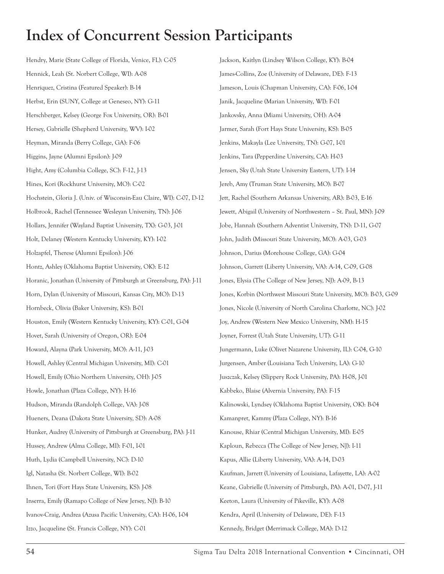Hendry, Marie (State College of Florida, Venice, FL): C-05 Hennick, Leah (St. Norbert College, WI): A-08 Henríquez, Cristina (Featured Speaker): B-14 Herbst, Erin (SUNY, College at Geneseo, NY): G-11 Herschberger, Kelsey (George Fox University, OR): B-01 Hersey, Gabrielle (Shepherd University, WV): I-02 Heyman, Miranda (Berry College, GA): F-06 Higgins, Jayne (Alumni Epsilon): J-09 Hight, Amy (Columbia College, SC): F-12, J-13 Hines, Kori (Rockhurst University, MO): C-02 Hochstein, Gloria J. (Univ. of Wisconsin-Eau Claire, WI): C-07, D-12 Holbrook, Rachel (Tennessee Wesleyan University, TN): J-06 Hollars, Jennifer (Wayland Baptist University, TX): G-03, J-01 Holt, Delaney (Western Kentucky University, KY): I-02 Holzapfel, Therese (Alumni Epsilon): J-06 Hontz, Ashley (Oklahoma Baptist University, OK): E-12 Horanic, Jonathan (University of Pittsburgh at Greensburg, PA): J-11 Horn, Dylan (University of Missouri, Kansas City, MO): D-13 Hornbeck, Olivia (Baker University, KS): B-01 Houston, Emily (Western Kentucky University, KY): C-01, G-04 Hovet, Sarah (University of Oregon, OR): E-04 Howard, Alayna (Park University, MO): A-11, J-03 Howell, Ashley (Central Michigan University, MI): C-01 Howell, Emily (Ohio Northern University, OH): J-05 Howle, Jonathan (Plaza College, NY): H-16 Hudson, Miranda (Randolph College, VA): J-08 Hueners, Deana (Dakota State University, SD): A-08 Hunker, Audrey (University of Pittsburgh at Greensburg, PA): J-11 Hussey, Andrew (Alma College, MI): F-01, I-01 Huth, Lydia (Campbell University, NC): D-10 Igl, Natasha (St. Norbert College, WI): B-02 Ihnen, Tori (Fort Hays State University, KS): J-08 Inserra, Emily (Ramapo College of New Jersey, NJ): B-10 Ivanov-Craig, Andrea (Azusa Pacific University, CA): H-06, I-04 Izzo, Jacqueline (St. Francis College, NY): C-01

Jackson, Kaitlyn (Lindsey Wilson College, KY): B-04 James-Collins, Zoe (University of Delaware, DE): F-13 Jameson, Louis (Chapman University, CA): F-06, I-04 Janik, Jacqueline (Marian University, WI): F-01 Jankovsky, Anna (Miami University, OH): A-04 Jarmer, Sarah (Fort Hays State University, KS): B-05 Jenkins, Makayla (Lee University, TN): G-07, I-01 Jenkins, Tara (Pepperdine University, CA): H-03 Jensen, Sky (Utah State University Eastern, UT): I-14 Jereb, Amy (Truman State University, MO): B-07 Jett, Rachel (Southern Arkansas University, AR): B-03, E-16 Jewett, Abigail (University of Northwestern – St. Paul, MN): J-09 Jobe, Hannah (Southern Adventist University, TN): D-11, G-07 John, Judith (Missouri State University, MO): A-03, G-03 Johnson, Darius (Morehouse College, GA): G-04 Johnson, Garrett (Liberty University, VA): A-14, C-09, G-08 Jones, Elysia (The College of New Jersey, NJ): A-09, B-13 Jones, Korbin (Northwest Missouri State University, MO): B-03, G-09 Jones, Nicole (University of North Carolina Charlotte, NC): J-02 Joy, Andrew (Western New Mexico University, NM): H-15 Joyner, Forrest (Utah State University, UT): G-11 Jungermann, Luke (Olivet Nazarene University, IL): C-04, G-10 Jurgensen, Amber (Louisiana Tech University, LA): G-10 Juszczak, Kelsey (Slippery Rock University, PA): H-08, J-01 Kabbeko, Blaise (Alvernia University, PA): F-15 Kalinowski, Lyndsey (Oklahoma Baptist University, OK): B-04 Kamanpret, Kammy (Plaza College, NY): B-16 Kanouse, Rhiar (Central Michigan University, MI): E-05 Kaploun, Rebecca (The College of New Jersey, NJ): I-11 Kapus, Allie (Liberty University, VA): A-14, D-03 Kaufman, Jarrett (University of Louisiana, Lafayette, LA): A-02 Keane, Gabrielle (University of Pittsburgh, PA): A-01, D-07, J-11 Keeton, Laura (University of Pikeville, KY): A-08 Kendra, April (University of Delaware, DE): F-13 Kennedy, Bridget (Merrimack College, MA): D-12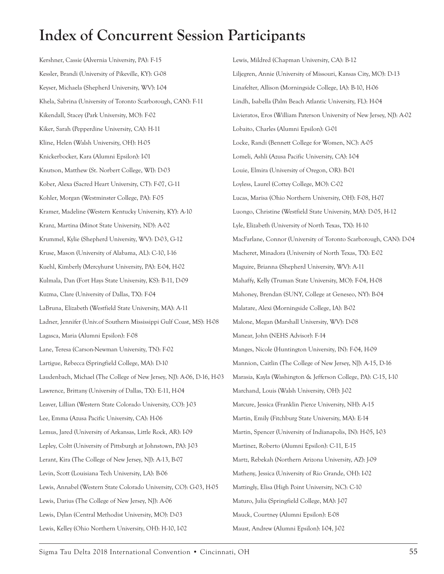Kershner, Cassie (Alvernia University, PA): F-15 Kessler, Brandi (University of Pikeville, KY): G-08 Keyser, Michaela (Shepherd University, WV): I-04 Khela, Sabrina (University of Toronto Scarborough, CAN): F-11 Kikendall, Stacey (Park University, MO): F-02 Kiker, Sarah (Pepperdine University, CA): H-11 Kline, Helen (Walsh University, OH): H-05 Knickerbocker, Kara (Alumni Epsilon): I-01 Knutson, Matthew (St. Norbert College, WI): D-03 Kober, Alexa (Sacred Heart University, CT): F-07, G-11 Kohler, Morgan (Westminster College, PA): F-05 Kramer, Madeline (Western Kentucky University, KY): A-10 Kranz, Martina (Minot State University, ND): A-02 Krummel, Kylie (Shepherd University, WV): D-03, G-12 Kruse, Mason (University of Alabama, AL): C-10, I-16 Kuehl, Kimberly (Mercyhurst University, PA): E-04, H-02 Kulmala, Dan (Fort Hays State University, KS): B-11, D-09 Kuzma, Clare (University of Dallas, TX): F-04 LaBruna, Elizabeth (Westfield State University, MA): A-11 Ladner, Jennifer (Univ.of Southern Mississippi Gulf Coast, MS): H-08 Lagasca, Maria (Alumni Epsilon): F-08 Lane, Teresa (Carson-Newman University, TN): F-02 Lartigue, Rebecca (Springfield College, MA): D-10 Laudenbach, Michael (The College of New Jersey, NJ): A-06, D-16, H-03 Lawrence, Brittany (University of Dallas, TX): E-11, H-04 Leaver, Lillian (Western State Colorado University, CO): J-03 Lee, Emma (Azusa Pacific University, CA): H-06 Lemus, Jared (University of Arkansas, Little Rock, AR): I-09 Lepley, Coltt (University of Pittsburgh at Johnstown, PA): J-03 Lerant, Kira (The College of New Jersey, NJ): A-13, B-07 Levin, Scott (Louisiana Tech University, LA): B-06 Lewis, Annabel (Western State Colorado University, CO): G-03, H-05 Lewis, Darius (The College of New Jersey, NJ): A-06 Lewis, Dylan (Central Methodist University, MO): D-03 Lewis, Kelley (Ohio Northern University, OH): H-10, I-02

Lewis, Mildred (Chapman University, CA): B-12 Liljegren, Annie (University of Missouri, Kansas City, MO): D-13 Linafelter, Allison (Morningside College, IA): B-10, H-06 Lindh, Isabella (Palm Beach Atlantic University, FL): H-04 Livieratos, Eros (William Paterson University of New Jersey, NJ): A-02 Lobaito, Charles (Alumni Epsilon): G-01 Locke, Randi (Bennett College for Women, NC): A-05 Lomeli, Ashli (Azusa Pacific University, CA): I-04 Louie, Elmira (University of Oregon, OR): B-01 Loyless, Laurel (Cottey College, MO): C-02 Lucas, Marisa (Ohio Northern University, OH): F-08, H-07 Luongo, Christine (Westfield State University, MA): D-05, H-12 Lyle, Elizabeth (University of North Texas, TX): H-10 MacFarlane, Connor (University of Toronto Scarborough, CAN): D-04 Macheret, Minadora (University of North Texas, TX): E-02 Maguire, Brianna (Shepherd University, WV): A-11 Mahaffy, Kelly (Truman State University, MO): F-04, H-08 Mahoney, Brendan (SUNY, College at Geneseo, NY): B-04 Malatare, Alexi (Morningside College, IA): B-02 Malone, Megan (Marshall University, WV): D-08 Manear, John (NEHS Advisor): F-14 Manges, Nicole (Huntington University, IN): F-04, H-09 Mannion, Caitlin (The College of New Jersey, NJ): A-15, D-16 Marasia, Kayla (Washington & Jefferson College, PA): C-15, I-10 Marchand, Louis (Walsh University, OH): J-02 Marcure, Jessica (Franklin Pierce University, NH): A-15 Martin, Emily (Fitchburg State University, MA): E-14 Martin, Spencer (University of Indianapolis, IN): H-05, I-03 Martinez, Roberto (Alumni Epsilon): C-11, E-15 Martz, Rebekah (Northern Arizona University, AZ): J-09 Matheny, Jessica (University of Rio Grande, OH): I-02 Mattingly, Elisa (High Point University, NC): C-10 Maturo, Julia (Springfield College, MA): J-07 Mauck, Courtney (Alumni Epsilon): E-08 Maust, Andrew (Alumni Epsilon): I-04, J-02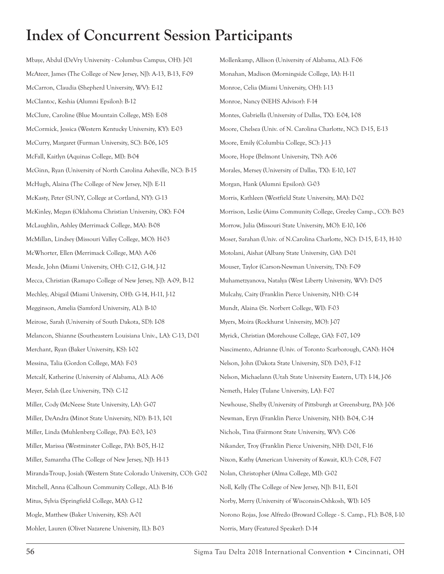Mbaye, Abdul (DeVry University - Columbus Campus, OH): J-01 McAteer, James (The College of New Jersey, NJ): A-13, B-13, F-09 McCarron, Claudia (Shepherd University, WV): E-12 McClantoc, Keshia (Alumni Epsilon): B-12 McClure, Caroline (Blue Mountain College, MS): E-08 McCormick, Jessica (Western Kentucky University, KY): E-03 McCurry, Margaret (Furman University, SC): B-06, I-05 McFall, Kaitlyn (Aquinas College, MI): B-04 McGinn, Ryan (University of North Carolina Asheville, NC): B-15 McHugh, Alaina (The College of New Jersey, NJ): E-11 McKasty, Peter (SUNY, College at Cortland, NY): G-13 McKinley, Megan (Oklahoma Christian University, OK): F-04 McLaughlin, Ashley (Merrimack College, MA): B-08 McMillan, Lindsey (Missouri Valley College, MO): H-03 McWhorter, Ellen (Merrimack College, MA): A-06 Meade, John (Miami University, OH): C-12, G-14, J-12 Mecca, Christian (Ramapo College of New Jersey, NJ): A-09, B-12 Mechley, Abigail (Miami University, OH): G-14, H-11, J-12 Megginson, Amelia (Samford University, AL): B-10 Meirose, Sarah (University of South Dakota, SD): I-08 Melancon, Shianne (Southeastern Louisiana Univ., LA): C-13, D-01 Merchant, Ryan (Baker University, KS): I-02 Messina, Talia (Gordon College, MA): F-03 Metcalf, Katherine (University of Alabama, AL): A-06 Meyer, Selah (Lee University, TN): C-12 Miller, Cody (McNeese State University, LA): G-07 Miller, DeAndra (Minot State University, ND): B-13, I-01 Miller, Linda (Muhlenberg College, PA): E-03, I-03 Miller, Marissa (Westminster College, PA): B-05, H-12 Miller, Samantha (The College of New Jersey, NJ): H-13 Miranda-Troup, Josiah (Western State Colorado University, CO): G-02 Mitchell, Anna (Calhoun Community College, AL): B-16 Mitus, Sylvia (Springfield College, MA): G-12 Mogle, Matthew (Baker University, KS): A-01 Mohler, Lauren (Olivet Nazarene University, IL): B-03

Mollenkamp, Allison (University of Alabama, AL): F-06 Monahan, Madison (Morningside College, IA): H-11 Monroe, Celia (Miami University, OH): I-13 Monroe, Nancy (NEHS Advisor): F-14 Montes, Gabriella (University of Dallas, TX): E-04, I-08 Moore, Chelsea (Univ. of N. Carolina Charlotte, NC): D-15, E-13 Moore, Emily (Columbia College, SC): J-13 Moore, Hope (Belmont University, TN): A-06 Morales, Mersey (University of Dallas, TX): E-10, I-07 Morgan, Hank (Alumni Epsilon): G-03 Morris, Kathleen (Westfield State University, MA): D-02 Morrison, Leslie (Aims Community College, Greeley Camp., CO): B-03 Morrow, Julia (Missouri State University, MO): E-10, I-06 Moser, Sarahan (Univ. of N.Carolina Charlotte, NC): D-15, E-13, H-10 Motolani, Aishat (Albany State University, GA): D-01 Mouser, Taylor (Carson-Newman University, TN): F-09 Muhametzyanova, Natalya (West Liberty University, WV): D-05 Mulcahy, Caity (Franklin Pierce University, NH): C-14 Mundt, Alaina (St. Norbert College, WI): F-03 Myers, Moira (Rockhurst University, MO): J-07 Myrick, Christian (Morehouse College, GA): F-07, I-09 Nascimento, Adrianne (Univ. of Toronto Scarborough, CAN): H-04 Nelson, John (Dakota State University, SD): D-03, F-12 Nelson, Michaelann (Utah State University Eastern, UT): I-14, J-06 Nemeth, Haley (Tulane University, LA): F-07 Newhouse, Shelby (University of Pittsburgh at Greensburg, PA): J-06 Newman, Eryn (Franklin Pierce University, NH): B-04, C-14 Nichols, Tina (Fairmont State University, WV): C-06 Nikander, Troy (Franklin Pierce University, NH): D-01, F-16 Nixon, Kathy (American University of Kuwait, KU): C-08, F-07 Nolan, Christopher (Alma College, MI): G-02 Noll, Kelly (The College of New Jersey, NJ): B-11, E-01 Norby, Merry (University of Wisconsin-Oshkosh, WI): I-05 Norono Rojas, Jose Alfredo (Broward College - S. Camp., FL): B-08, I-10 Norris, Mary (Featured Speaker): D-14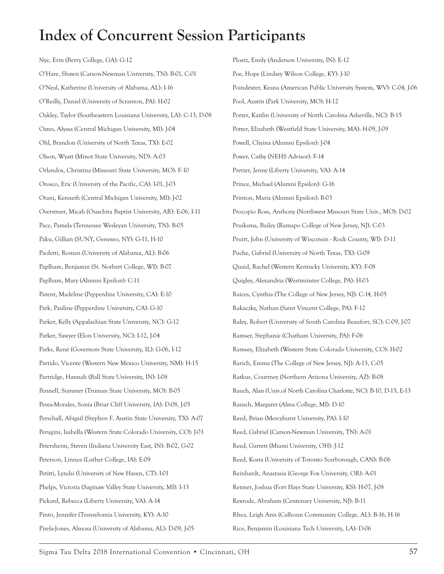Nye, Erin (Berry College, GA): G-12 O'Hare, Shawn (Carson-Newman University, TN): B-01, C-01 O'Neal, Katherine (University of Alabama, AL): I-16 O'Reilly, Daniel (University of Scranton, PA): H-02 Oakley, Taylor (Southeastern Louisiana University, LA): C-13, D-08 Oates, Alyssa (Central Michigan University, MI): J-04 Ohl, Brandon (University of North Texas, TX): E-02 Olson, Wyatt (Minot State University, ND): A-03 Orlandos, Christina (Missouri State University, MO): F-10 Orosco, Eric (University of the Pacific, CA): I-01, J-03 Otani, Kenneth (Central Michigan University, MI): J-02 Overstreet, Micah (Ouachita Baptist University, AR): E-06, I-11 Pace, Pamela (Tennessee Wesleyan University, TN): B-05 Paku, Gillian (SUNY, Geneseo, NY): G-11, H-10 Paoletti, Roman (University of Alabama, AL): B-06 Paplham, Benjamin (St. Norbert College, WI): B-07 Paplham, Mary (Alumni Epsilon): C-11 Parent, Madeline (Pepperdine University, CA): E-10 Park, Pauline (Pepperdine University, CA): G-10 Parker, Kelly (Appalachian State University, NC): G-12 Parker, Sawyer (Elon University, NC): I-12, J-04 Parks, René (Governors State University, IL): G-06, I-12 Partido, Vicente (Western New Mexico University, NM): H-15 Partridge, Hannah (Ball State University, IN): I-08 Pennell, Summer (Truman State University, MO): B-05 Perea-Morales, Sonia (Briar Cliff University, IA): D-08, J-05 Perschall, Abigail (Stephen F. Austin State University, TX): A-07 Perugini, Isabella (Western State Colorado University, CO): J-03 Petersheim, Steven (Indiana University East, IN): B-02, G-02 Peterson, Linnea (Luther College, IA): E-09 Petitti, Lyndsi (University of New Haven, CT): I-01 Phelps, Victoria (Saginaw Valley State University, MI): I-13 Pickard, Rebecca (Liberty University, VA): A-14 Pinto, Jennifer (Transylvania University, KY): A-10 Pirela-Jones, Almosa (University of Alabama, AL): D-09, J-05

Ploetz, Emily (Anderson University, IN): E-12 Poe, Hope (Lindsey Wilson College, KY): J-10 Poindexter, Keana (American Public University System, WV): C-04, J-06 Pool, Austin (Park University, MO): H-12 Porter, Kaitlin (University of North Carolina Asheville, NC): B-15 Potter, Elizabeth (Westfield State University, MA): H-09, J-09 Powell, Chyina (Alumni Epsilon): J-04 Power, Cathy (NEHS Advisor): F-14 Pretzer, Jenny (Liberty University, VA): A-14 Prince, Michael (Alumni Epsilon): G-16 Printon, Maria (Alumni Epsilon): B-03 Procopio Ross, Anthony (Northwest Missouri State Univ., MO): D-02 Pruiksma, Bailey (Ramapo College of New Jersey, NJ): C-03 Pruitt, John (University of Wisconsin - Rock County, WI): D-11 Puche, Gabriel (University of North Texas, TX): G-09 Quaid, Rachel (Western Kentucky University, KY): F-08 Quigley, Alexandria (Westminster College, PA): H-03 Raices, Cynthia (The College of New Jersey, NJ): C-14, H-05 Rakaczky, Nathan (Saint Vincent College, PA): F-12 Raley, Robert (University of South Carolina Beaufort, SC): C-09, J-07 Ramser, Stephanie (Chatham University, PA): F-06 Ramsey, Elizabeth (Western State Colorado University, CO): H-02 Rarich, Emma (The College of New Jersey, NJ): A-13, C-05 Ratkus, Courtney (Northern Arizona University, AZ): B-08 Rauch, Alan (Univ.of North Carolina Charlotte, NC): B-10, D-15, E-13 Rausch, Margaret (Alma College, MI): D-10 Reed, Brian (Mercyhurst University, PA): I-10 Reed, Gabriel (Carson-Newman University, TN): A-01 Reed, Garrett (Miami University, OH): J-12 Reed, Kosta (University of Toronto Scarborough, CAN): B-06 Reinhardt, Anastasia (George Fox University, OR): A-01 Renner, Joshua (Fort Hays State University, KS): H-07, J-08 Rexrode, Abraham (Centenary University, NJ): B-11 Rhea, Leigh Ann (Calhoun Community College, AL): B-16, H-16 Rice, Benjamin (Louisiana Tech University, LA): D-06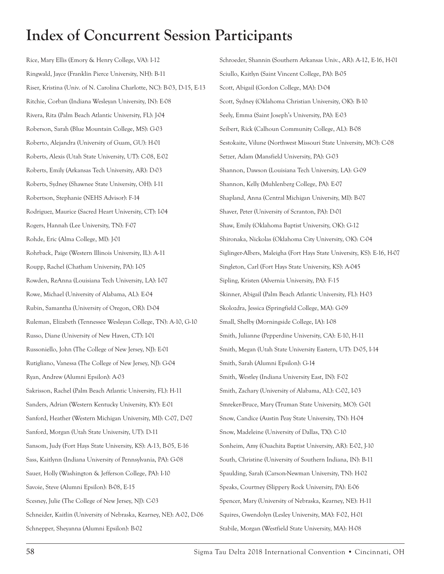Rice, Mary Ellis (Emory & Henry College, VA): I-12 Ringwald, Jayce (Franklin Pierce University, NH): B-11 Riser, Kristina (Univ. of N. Carolina Charlotte, NC): B-03, D-15, E-13 Ritchie, Corban (Indiana Wesleyan University, IN): E-08 Rivera, Rita (Palm Beach Atlantic University, FL): J-04 Roberson, Sarah (Blue Mountain College, MS): G-03 Roberto, Alejandra (University of Guam, GU): H-01 Roberts, Alexis (Utah State University, UT): C-08, E-02 Roberts, Emily (Arkansas Tech University, AR): D-03 Roberts, Sydney (Shawnee State University, OH): I-11 Robertson, Stephanie (NEHS Advisor): F-14 Rodriguez, Maurice (Sacred Heart University, CT): I-04 Rogers, Hannah (Lee University, TN): F-07 Rohde, Eric (Alma College, MI): J-01 Rohrback, Paige (Western Illinois University, IL): A-11 Roupp, Rachel (Chatham University, PA): I-05 Rowden, ReAnna (Louisiana Tech University, LA): I-07 Rowe, Michael (University of Alabama, AL): E-04 Rubin, Samantha (University of Oregon, OR): D-04 Ruleman, Elizabeth (Tennessee Wesleyan College, TN): A-10, G-10 Russo, Diane (University of New Haven, CT): I-01 Russoniello, John (The College of New Jersey, NJ): E-01 Rutigliano, Vanessa (The College of New Jersey, NJ): G-04 Ryan, Andrew (Alumni Epsilon): A-03 Sakrisson, Rachel (Palm Beach Atlantic University, FL): H-11 Sanders, Adrian (Western Kentucky University, KY): E-01 Sanford, Heather (Western Michigan University, MI): C-07, D-07 Sanford, Morgan (Utah State University, UT): D-11 Sansom, Judy (Fort Hays State University, KS): A-13, B-05, E-16 Sass, Kaitlynn (Indiana University of Pennsylvania, PA): G-08 Sauer, Holly (Washington & Jefferson College, PA): I-10 Savoie, Steve (Alumni Epsilon): B-08, E-15 Scesney, Julie (The College of New Jersey, NJ): C-03 Schneider, Kaitlin (University of Nebraska, Kearney, NE): A-02, D-06 Schnepper, Sheyanna (Alumni Epsilon): B-02

Schroeder, Shannin (Southern Arkansas Univ., AR): A-12, E-16, H-01 Sciullo, Kaitlyn (Saint Vincent College, PA): B-05 Scott, Abigail (Gordon College, MA): D-04 Scott, Sydney (Oklahoma Christian University, OK): B-10 Seely, Emma (Saint Joseph's University, PA): E-03 Seibert, Rick (Calhoun Community College, AL): B-08 Sestokaite, Vilune (Northwest Missouri State University, MO): C-08 Setzer, Adam (Mansfield University, PA): G-03 Shannon, Dawson (Louisiana Tech University, LA): G-09 Shannon, Kelly (Muhlenberg College, PA): E-07 Shapland, Anna (Central Michigan University, MI): B-07 Shaver, Peter (University of Scranton, PA): D-01 Shaw, Emily (Oklahoma Baptist University, OK): G-12 Shironaka, Nickolas (Oklahoma City University, OK): C-04 Siglinger-Albers, Maleigha (Fort Hays State University, KS): E-16, H-07 Singleton, Carl (Fort Hays State University, KS): A-045 Sipling, Kristen (Alvernia University, PA): F-15 Skinner, Abigail (Palm Beach Atlantic University, FL): H-03 Skolozdra, Jessica (Springfield College, MA): G-09 Small, Shelby (Morningside College, IA): I-08 Smith, Julianne (Pepperdine University, CA): E-10, H-11 Smith, Megan (Utah State University Eastern, UT): D-05, I-14 Smith, Sarah (Alumni Epsilon): G-14 Smith, Westley (Indiana University East, IN): F-02 Smith, Zachary (University of Alabama, AL): C-02, I-03 Smreker-Bruce, Mary (Truman State University, MO): G-01 Snow, Candice (Austin Peay State University, TN): H-04 Snow, Madeleine (University of Dallas, TX): C-10 Sonheim, Amy (Ouachita Baptist University, AR): E-02, J-10 South, Christine (University of Southern Indiana, IN): B-11 Spaulding, Sarah (Carson-Newman University, TN): H-02 Speaks, Courtney (Slippery Rock University, PA): E-06 Spencer, Mary (University of Nebraska, Kearney, NE): H-11 Squires, Gwendolyn (Lesley University, MA): F-02, H-01 Stabile, Morgan (Westfield State University, MA): H-08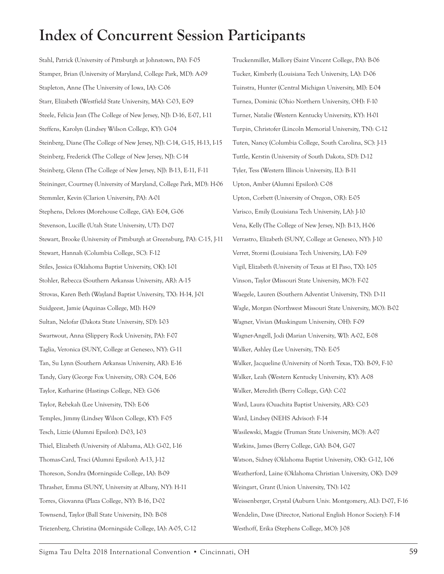Stahl, Patrick (University of Pittsburgh at Johnstown, PA): F-05 Stamper, Brian (University of Maryland, College Park, MD): A-09 Stapleton, Anne (The University of Iowa, IA): C-06 Starr, Elizabeth (Westfield State University, MA): C-03, E-09 Steele, Felicia Jean (The College of New Jersey, NJ): D-16, E-07, I-11 Steffens, Karolyn (Lindsey Wilson College, KY): G-04 Steinberg, Diane (The College of New Jersey, NJ): C-14, G-15, H-13, I-15 Steinberg, Frederick (The College of New Jersey, NJ): C-14 Steinberg, Glenn (The College of New Jersey, NJ): B-13, E-11, F-11 Steininger, Courtney (University of Maryland, College Park, MD): H-06 Stemmler, Kevin (Clarion University, PA): A-01 Stephens, Delores (Morehouse College, GA): E-04, G-06 Stevenson, Lucille (Utah State University, UT): D-07 Stewart, Brooke (University of Pittsburgh at Greensburg, PA): C-15, J-11 Stewart, Hannah (Columbia College, SC): F-12 Stiles, Jessica (Oklahoma Baptist University, OK): I-01 Stohler, Rebecca (Southern Arkansas University, AR): A-15 Strovas, Karen Beth (Wayland Baptist University, TX): H-14, J-01 Suidgeest, Jamie (Aquinas College, MI): H-09 Sultan, Nelofar (Dakota State University, SD): I-03 Swartwout, Anna (Slippery Rock University, PA): F-07 Taglia, Veronica (SUNY, College at Geneseo, NY): G-11 Tan, Su Lynn (Southern Arkansas University, AR): E-16 Tandy, Gary (George Fox University, OR): C-04, E-06 Taylor, Katharine (Hastings College, NE): G-06 Taylor, Rebekah (Lee University, TN): E-06 Temples, Jimmy (Lindsey Wilson College, KY): F-05 Tesch, Lizzie (Alumni Epsilon): D-03, I-03 Thiel, Elizabeth (University of Alabama, AL): G-02, I-16 Thomas-Card, Traci (Alumni Epsilon): A-13, J-12 Thoreson, Sondra (Morningside College, IA): B-09 Thrasher, Emma (SUNY, University at Albany, NY): H-11 Torres, Giovanna (Plaza College, NY): B-16, D-02 Townsend, Taylor (Ball State University, IN): B-08 Triezenberg, Christina (Morningside College, IA): A-05, C-12

Truckenmiller, Mallory (Saint Vincent College, PA): B-06 Tucker, Kimberly (Louisiana Tech University, LA): D-06 Tuinstra, Hunter (Central Michigan University, MI): E-04 Turnea, Dominic (Ohio Northern University, OH): F-10 Turner, Natalie (Western Kentucky University, KY): H-01 Turpin, Christofer (Lincoln Memorial University, TN): C-12 Tuten, Nancy (Columbia College, South Carolina, SC): J-13 Tuttle, Kerstin (University of South Dakota, SD): D-12 Tyler, Tess (Western Illinois University, IL): B-11 Upton, Amber (Alumni Epsilon): C-08 Upton, Corbett (University of Oregon, OR): E-05 Varisco, Emily (Louisiana Tech University, LA): J-10 Vena, Kelly (The College of New Jersey, NJ): B-13, H-06 Verrastro, Elizabeth (SUNY, College at Geneseo, NY): J-10 Verret, Stormi (Louisiana Tech University, LA): F-09 Vigil, Elizabeth (University of Texas at El Paso, TX): I-05 Vinson, Taylor (Missouri State University, MO): F-02 Waegele, Lauren (Southern Adventist University, TN): D-11 Wagle, Morgan (Northwest Missouri State University, MO): B-02 Wagner, Vivian (Muskingum University, OH): F-09 Wagner-Angell, Jodi (Marian University, WI): A-02, E-08 Walker, Ashley (Lee University, TN): E-05 Walker, Jacqueline (University of North Texas, TX): B-09, F-10 Walker, Leah (Western Kentucky University, KY): A-08 Walker, Meredith (Berry College, GA): C-02 Ward, Laura (Ouachita Baptist University, AR): C-03 Ward, Lindsey (NEHS Advisor): F-14 Wasilewski, Maggie (Truman State University, MO): A-07 Watkins, James (Berry College, GA): B-04, G-07 Watson, Sidney (Oklahoma Baptist University, OK): G-12, I-06 Weatherford, Laine (Oklahoma Christian University, OK): D-09 Weingart, Grant (Union University, TN): I-02 Weissenberger, Crystal (Auburn Univ. Montgomery, AL): D-07, F-16 Wendelin, Dave (Director, National English Honor Society): F-14 Westhoff, Erika (Stephens College, MO): J-08